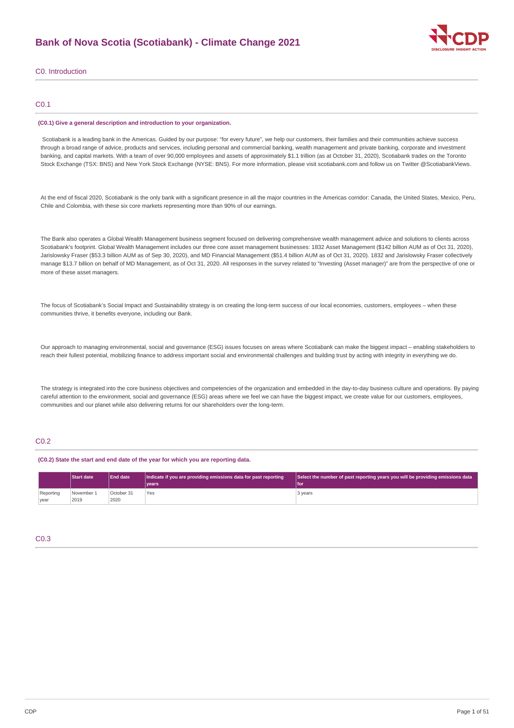

C0. Introduction

# C0.1

#### **(C0.1) Give a general description and introduction to your organization.**

Scotiabank is a leading bank in the Americas. Guided by our purpose: "for every future", we help our customers, their families and their communities achieve success through a broad range of advice, products and services, including personal and commercial banking, wealth management and private banking, corporate and investment banking, and capital markets. With a team of over 90,000 employees and assets of approximately \$1.1 trillion (as at October 31, 2020), Scotiabank trades on the Toronto Stock Exchange (TSX: BNS) and New York Stock Exchange (NYSE: BNS). For more information, please visit scotiabank.com and follow us on Twitter @ScotiabankViews.

At the end of fiscal 2020, Scotiabank is the only bank with a significant presence in all the major countries in the Americas corridor: Canada, the United States, Mexico, Peru, Chile and Colombia, with these six core markets representing more than 90% of our earnings.

The Bank also operates a Global Wealth Management business segment focused on delivering comprehensive wealth management advice and solutions to clients across Scotiabank's footprint. Global Wealth Management includes our three core asset management businesses: 1832 Asset Management (\$142 billion AUM as of Oct 31, 2020), Jarislowsky Fraser (\$53.3 billion AUM as of Sep 30, 2020), and MD Financial Management (\$51.4 billion AUM as of Oct 31, 2020). 1832 and Jarislowsky Fraser collectively manage \$13.7 billion on behalf of MD Management, as of Oct 31, 2020. All responses in the survey related to "Investing (Asset manager)" are from the perspective of one or more of these asset managers.

The focus of Scotiabank's Social Impact and Sustainability strategy is on creating the long-term success of our local economies, customers, employees - when these communities thrive, it benefits everyone, including our Bank.

Our approach to managing environmental, social and governance (ESG) issues focuses on areas where Scotiabank can make the biggest impact – enabling stakeholders to reach their fullest potential, mobilizing finance to address important social and environmental challenges and building trust by acting with integrity in everything we do.

The strategy is integrated into the core business objectives and competencies of the organization and embedded in the day-to-day business culture and operations. By paying careful attention to the environment, social and governance (ESG) areas where we feel we can have the biggest impact, we create value for our customers, employees, communities and our planet while also delivering returns for our shareholders over the long-term.

# C0.2

#### **(C0.2) State the start and end date of the year for which you are reporting data.**

|                   | <b>Start date</b>  | <b>End date</b>    | Indicate if you are providing emissions data for past reporting<br>vears <sup>®</sup> | Select the number of past reporting years you will be providing emissions data<br>'l for |
|-------------------|--------------------|--------------------|---------------------------------------------------------------------------------------|------------------------------------------------------------------------------------------|
| Reporting<br>vear | November 1<br>2019 | October 31<br>2020 | <b>Yes</b>                                                                            | 3 years                                                                                  |

# C0.3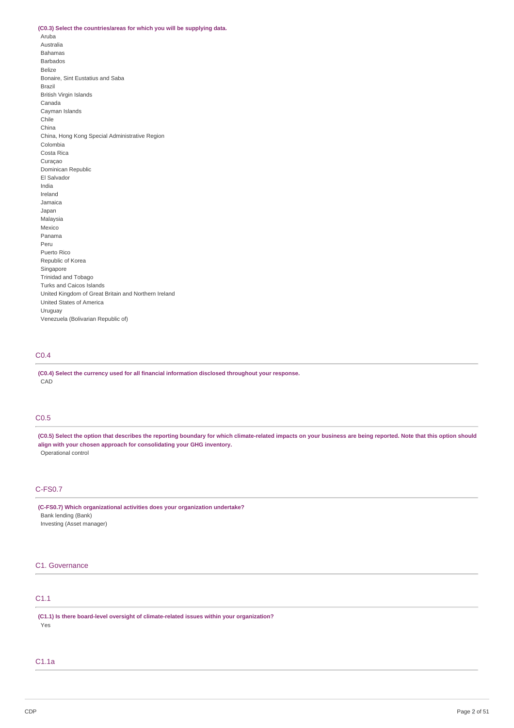#### **(C0.3) Select the countries/areas for which you will be supplying data.**

Aruba Australia Bahamas Barbados Belize Bonaire, Sint Eustatius and Saba Brazil British Virgin Islands Canada Cayman Islands Chile China China, Hong Kong Special Administrative Region Colombia Costa Rica Curaçao Dominican Republic El Salvador India Ireland Jamaica Japan Malaysia Mexico Panama Peru Puerto Rico Republic of Korea Singapore Trinidad and Tobago Turks and Caicos Islands United Kingdom of Great Britain and Northern Ireland United States of America Uruguay Venezuela (Bolivarian Republic of)

# C0.4

**(C0.4) Select the currency used for all financial information disclosed throughout your response.** CAD

# C0.5

(C0.5) Select the option that describes the reporting boundary for which climate-related impacts on your business are being reported. Note that this option should **align with your chosen approach for consolidating your GHG inventory.** Operational control

# C-FS0.7

**(C-FS0.7) Which organizational activities does your organization undertake?** Bank lending (Bank) Investing (Asset manager)

# C1. Governance

# C1.1

**(C1.1) Is there board-level oversight of climate-related issues within your organization?** Yes

#### C1.1a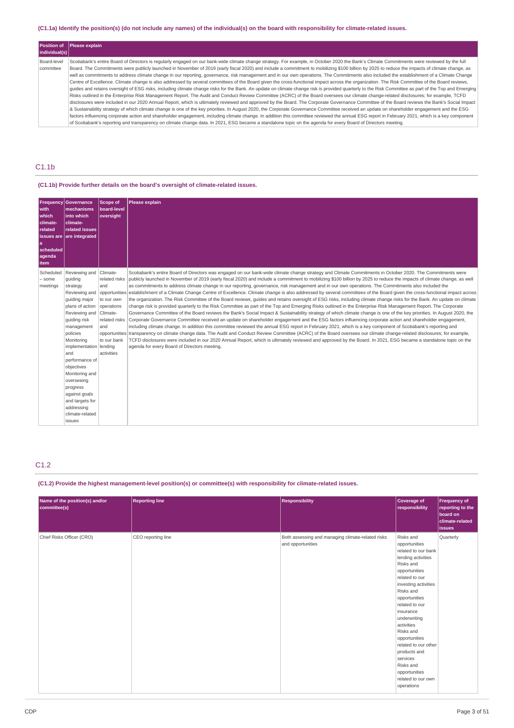# (C1.1a) Identify the position(s) (do not include any names) of the individual(s) on the board with responsibility for climate-related issues.

|               | Position of Please explain                                                                                                                                                                           |
|---------------|------------------------------------------------------------------------------------------------------------------------------------------------------------------------------------------------------|
| individual(s) |                                                                                                                                                                                                      |
| Board-leve    | Scotiabank's entire Board of Directors is regularly engaged on our bank-wide climate change strategy. For example, in October 2020 the Bank's Climate Commitments were reviewed by the full          |
| committee     | Board. The Commitments were publicly launched in November of 2019 (early fiscal 2020) and include a commitment to mobilizing \$100 billion by 2025 to reduce the impacts of climate change, as       |
|               | well as commitments to address climate change in our reporting, governance, risk management and in our own operations. The Commitments also included the establishment of a Climate Change           |
|               | Centre of Excellence, Climate change is also addressed by several committees of the Board given the cross-functional impact across the organization. The Risk Committee of the Board reviews.        |
|               | quides and retains oversight of ESG risks, including climate change risks for the Bank. An update on climate change risk is provided quarterly to the Risk Committee as part of the Top and Emerging |
|               | Risks outlined in the Enterprise Risk Management Report. The Audit and Conduct Review Committee (ACRC) of the Board oversees our climate change-related disclosures; for example, TCFD               |
|               | disclosures were included in our 2020 Annual Report, which is ultimately reviewed and approved by the Board. The Corporate Governance Committee of the Board reviews the Bank's Social Impact        |
|               | & Sustainability strategy of which climate change is one of the key priorities. In August 2020, the Corporate Governance Committee received an update on shareholder engagement and the ESG          |
|               | factors influencing corporate action and shareholder engagement, including climate change. In addition this committee reviewed the annual ESG report in February 2021, which is a key component      |
|               | of Scotiabank's reporting and transparency on climate change data. In 2021, ESG became a standalone topic on the agenda for every Board of Directors meeting.                                        |

# C1.1b

# **(C1.1b) Provide further details on the board's oversight of climate-related issues.**

| with<br>which<br>climate-<br>related<br>a<br>scheduled<br>agenda<br>item | <b>Frequency Governance</b><br>mechanisms<br>into which<br>climate-<br>related issues<br>issues are $ $ are integrated                                                                                                                                                                                                                                                    | <b>Scope of</b><br>board-level<br>oversight                                                                       | <b>Please explain</b>                                                                                                                                                                                                                                                                                                                                                                                                                                                                                                                                                                                                                                                                                                                                                                                                                                                                                                                                                                                                                                                                                                                                                                                                                                                                                                                                                                                                                                                                                                                                                                                                                                                                                                                                                                                                                                                                                                                  |
|--------------------------------------------------------------------------|---------------------------------------------------------------------------------------------------------------------------------------------------------------------------------------------------------------------------------------------------------------------------------------------------------------------------------------------------------------------------|-------------------------------------------------------------------------------------------------------------------|----------------------------------------------------------------------------------------------------------------------------------------------------------------------------------------------------------------------------------------------------------------------------------------------------------------------------------------------------------------------------------------------------------------------------------------------------------------------------------------------------------------------------------------------------------------------------------------------------------------------------------------------------------------------------------------------------------------------------------------------------------------------------------------------------------------------------------------------------------------------------------------------------------------------------------------------------------------------------------------------------------------------------------------------------------------------------------------------------------------------------------------------------------------------------------------------------------------------------------------------------------------------------------------------------------------------------------------------------------------------------------------------------------------------------------------------------------------------------------------------------------------------------------------------------------------------------------------------------------------------------------------------------------------------------------------------------------------------------------------------------------------------------------------------------------------------------------------------------------------------------------------------------------------------------------------|
| Scheduled<br>$-$ some<br>meetings                                        | Reviewing and<br>quiding<br>strategy<br>Reviewing and<br>quiding major<br>plans of action<br>Reviewing and Climate-<br>quiding risk<br>management<br>policies<br>Monitorina<br>implementation   lending<br>and<br>performance of<br>objectives<br>Monitoring and<br>overseeing<br>progress<br>against goals<br>and targets for<br>addressing<br>climate-related<br>issues | Climate-<br>and<br>opportunities<br>to our own<br>operations<br>related risks<br>and<br>to our bank<br>activities | Scotiabank's entire Board of Directors was engaged on our bank-wide climate change strategy and Climate Commitments in October 2020. The Commitments were<br>related risks publicly launched in November of 2019 (early fiscal 2020) and include a commitment to mobilizing \$100 billion by 2025 to reduce the impacts of climate change, as well<br>as commitments to address climate change in our reporting, governance, risk management and in our own operations. The Commitments also included the<br>establishment of a Climate Change Centre of Excellence. Climate change is also addressed by several committees of the Board given the cross-functional impact across<br>the organization. The Risk Committee of the Board reviews, quides and retains oversight of ESG risks, including climate change risks for the Bank. An update on climate<br>change risk is provided quarterly to the Risk Committee as part of the Top and Emerging Risks outlined in the Enterprise Risk Management Report. The Corporate<br>Governance Committee of the Board reviews the Bank's Social Impact & Sustainability strategy of which climate change is one of the key priorities. In August 2020, the<br>Corporate Governance Committee received an update on shareholder engagement and the ESG factors influencing corporate action and shareholder engagement,<br>including climate change. In addition this committee reviewed the annual ESG report in February 2021, which is a key component of Scotiabank's reporting and<br>opportunities transparency on climate change data. The Audit and Conduct Review Committee (ACRC) of the Board oversees our climate change-related disclosures; for example,<br>TCFD disclosures were included in our 2020 Annual Report, which is ultimately reviewed and approved by the Board. In 2021, ESG became a standalone topic on the<br>agenda for every Board of Directors meeting. |

# C1.2

# **(C1.2) Provide the highest management-level position(s) or committee(s) with responsibility for climate-related issues.**

| Name of the position(s) and/or<br>committee(s) | <b>Reporting line</b> | <b>Responsibility</b>                                                  | Coverage of<br>responsibility                                                                                                                                                                                                                                                                                                                                                                  | <b>Frequency of</b><br>reporting to the<br>board on<br>climate-related<br><i>issues</i> |
|------------------------------------------------|-----------------------|------------------------------------------------------------------------|------------------------------------------------------------------------------------------------------------------------------------------------------------------------------------------------------------------------------------------------------------------------------------------------------------------------------------------------------------------------------------------------|-----------------------------------------------------------------------------------------|
| Chief Risks Officer (CRO)                      | CEO reporting line    | Both assessing and managing climate-related risks<br>and opportunities | Risks and<br>opportunities<br>related to our bank<br>lending activities<br>Risks and<br>opportunities<br>related to our<br>investing activities<br>Risks and<br>opportunities<br>related to our<br>insurance<br>underwriting<br>activities<br>Risks and<br>opportunities<br>related to our other<br>products and<br>services<br>Risks and<br>opportunities<br>related to our own<br>operations | Quarterly                                                                               |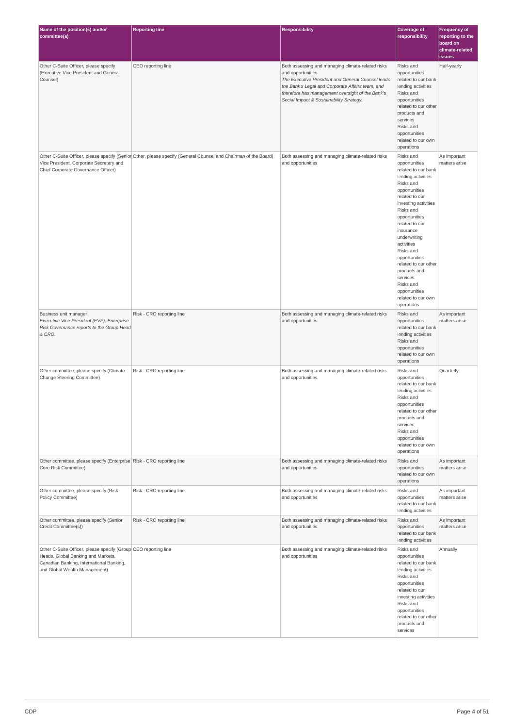| Name of the position(s) and/or<br>committee(s)                                                                                                                                     | <b>Reporting line</b>                                                                                           | <b>Responsibility</b>                                                                                                                                                                                                                                                           | <b>Coverage of</b><br>responsibility                                                                                                                                                                                                                                                                                                                                                           | <b>Frequency of</b><br>reporting to the<br>board on |
|------------------------------------------------------------------------------------------------------------------------------------------------------------------------------------|-----------------------------------------------------------------------------------------------------------------|---------------------------------------------------------------------------------------------------------------------------------------------------------------------------------------------------------------------------------------------------------------------------------|------------------------------------------------------------------------------------------------------------------------------------------------------------------------------------------------------------------------------------------------------------------------------------------------------------------------------------------------------------------------------------------------|-----------------------------------------------------|
|                                                                                                                                                                                    |                                                                                                                 |                                                                                                                                                                                                                                                                                 |                                                                                                                                                                                                                                                                                                                                                                                                | climate-related<br><b>issues</b>                    |
| Other C-Suite Officer, please specify<br>(Executive Vice President and General<br>Counsel)                                                                                         | CEO reporting line                                                                                              | Both assessing and managing climate-related risks<br>and opportunities<br>The Executive President and General Counsel leads<br>the Bank's Legal and Corporate Affairs team, and<br>therefore has management oversight of the Bank's<br>Social Impact & Sustainability Strategy. | Risks and<br>opportunities<br>related to our bank<br>lending activities<br>Risks and<br>opportunities<br>related to our other<br>products and<br>services<br>Risks and<br>opportunities<br>related to our own<br>operations                                                                                                                                                                    | Half-yearly                                         |
| Vice President, Corporate Secretary and<br>Chief Corporate Governance Officer)                                                                                                     | Other C-Suite Officer, please specify (Senior Other, please specify (General Counsel and Chairman of the Board) | Both assessing and managing climate-related risks<br>and opportunities                                                                                                                                                                                                          | Risks and<br>opportunities<br>related to our bank<br>lending activities<br>Risks and<br>opportunities<br>related to our<br>investing activities<br>Risks and<br>opportunities<br>related to our<br>insurance<br>underwriting<br>activities<br>Risks and<br>opportunities<br>related to our other<br>products and<br>services<br>Risks and<br>opportunities<br>related to our own<br>operations | As important<br>matters arise                       |
| Business unit manager<br>Executive Vice President (EVP), Enterprise<br>Risk Governance reports to the Group Head<br>& CRO.                                                         | Risk - CRO reporting line                                                                                       | Both assessing and managing climate-related risks<br>and opportunities                                                                                                                                                                                                          | Risks and<br>opportunities<br>related to our bank<br>lending activities<br>Risks and<br>opportunities<br>related to our own<br>operations                                                                                                                                                                                                                                                      | As important<br>matters arise                       |
| Other committee, please specify (Climate<br>Change Steering Committee)                                                                                                             | Risk - CRO reporting line                                                                                       | Both assessing and managing climate-related risks<br>and opportunities                                                                                                                                                                                                          | Risks and<br>opportunities<br>related to our bank<br>lending activities<br>Risks and<br>opportunities<br>related to our other<br>products and<br>services<br>Risks and<br>opportunities<br>related to our own<br>operations                                                                                                                                                                    | Quarterly                                           |
| Other committee, please specify (Enterprise Risk - CRO reporting line<br>Core Risk Committee)                                                                                      |                                                                                                                 | Both assessing and managing climate-related risks<br>and opportunities                                                                                                                                                                                                          | Risks and<br>opportunities<br>related to our own<br>operations                                                                                                                                                                                                                                                                                                                                 | As important<br>matters arise                       |
| Other committee, please specify (Risk<br>Policy Committee)                                                                                                                         | Risk - CRO reporting line                                                                                       | Both assessing and managing climate-related risks<br>and opportunities                                                                                                                                                                                                          | Risks and<br>opportunities<br>related to our bank<br>lending activities                                                                                                                                                                                                                                                                                                                        | As important<br>matters arise                       |
| Other committee, please specify (Senior<br>Credit Committee(s))                                                                                                                    | Risk - CRO reporting line                                                                                       | Both assessing and managing climate-related risks<br>and opportunities                                                                                                                                                                                                          | Risks and<br>opportunities<br>related to our bank<br>lending activities                                                                                                                                                                                                                                                                                                                        | As important<br>matters arise                       |
| Other C-Suite Officer, please specify (Group CEO reporting line<br>Heads, Global Banking and Markets,<br>Canadian Banking, International Banking,<br>and Global Wealth Management) |                                                                                                                 | Both assessing and managing climate-related risks<br>and opportunities                                                                                                                                                                                                          | Risks and<br>opportunities<br>related to our bank<br>lending activities<br>Risks and<br>opportunities<br>related to our<br>investing activities<br>Risks and<br>opportunities<br>related to our other<br>products and<br>services                                                                                                                                                              | Annually                                            |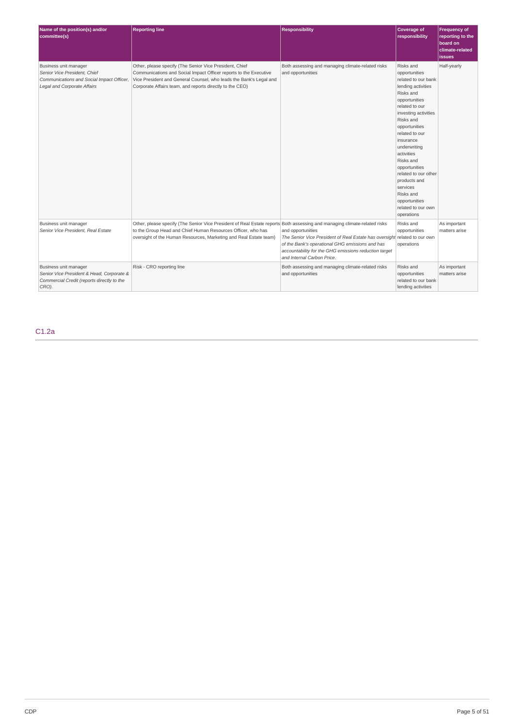| Name of the position(s) and/or<br>committee(s)                                                                                    | <b>Reporting line</b>                                                                                                                                                                                                                                          | <b>Responsibility</b>                                                                                                                                                                                                                    | Coverage of<br>responsibility                                                                                                                                                                                                                                                                                                                                                                  | Frequency of<br>reporting to the<br>board on<br>climate-related<br>issues |
|-----------------------------------------------------------------------------------------------------------------------------------|----------------------------------------------------------------------------------------------------------------------------------------------------------------------------------------------------------------------------------------------------------------|------------------------------------------------------------------------------------------------------------------------------------------------------------------------------------------------------------------------------------------|------------------------------------------------------------------------------------------------------------------------------------------------------------------------------------------------------------------------------------------------------------------------------------------------------------------------------------------------------------------------------------------------|---------------------------------------------------------------------------|
| Business unit manager<br>Senior Vice President, Chief<br>Communications and Social Impact Officer,<br>Legal and Corporate Affairs | Other, please specify (The Senior Vice President, Chief<br>Communications and Social Impact Officer reports to the Executive<br>Vice President and General Counsel, who leads the Bank's Legal and<br>Corporate Affairs team, and reports directly to the CEO) | Both assessing and managing climate-related risks<br>and opportunities                                                                                                                                                                   | Risks and<br>opportunities<br>related to our bank<br>lending activities<br>Risks and<br>opportunities<br>related to our<br>investing activities<br>Risks and<br>opportunities<br>related to our<br>insurance<br>underwriting<br>activities<br>Risks and<br>opportunities<br>related to our other<br>products and<br>services<br>Risks and<br>opportunities<br>related to our own<br>operations | Half-yearly                                                               |
| Business unit manager<br>Senior Vice President, Real Estate                                                                       | Other, please specify (The Senior Vice President of Real Estate reports Both assessing and managing climate-related risks<br>to the Group Head and Chief Human Resources Officer, who has<br>oversight of the Human Resources, Marketing and Real Estate team) | and opportunities<br>The Senior Vice President of Real Estate has oversight related to our own<br>of the Bank's operational GHG emissions and has<br>accountability for the GHG emissions reduction target<br>and Internal Carbon Price. | Risks and<br>opportunities<br>operations                                                                                                                                                                                                                                                                                                                                                       | As important<br>matters arise                                             |
| Business unit manager<br>Senior Vice President & Head, Corporate &<br>Commercial Credit (reports directly to the<br>CRO).         | Risk - CRO reporting line                                                                                                                                                                                                                                      | Both assessing and managing climate-related risks<br>and opportunities                                                                                                                                                                   | Risks and<br>opportunities<br>related to our bank<br>lending activities                                                                                                                                                                                                                                                                                                                        | As important<br>matters arise                                             |

C1.2a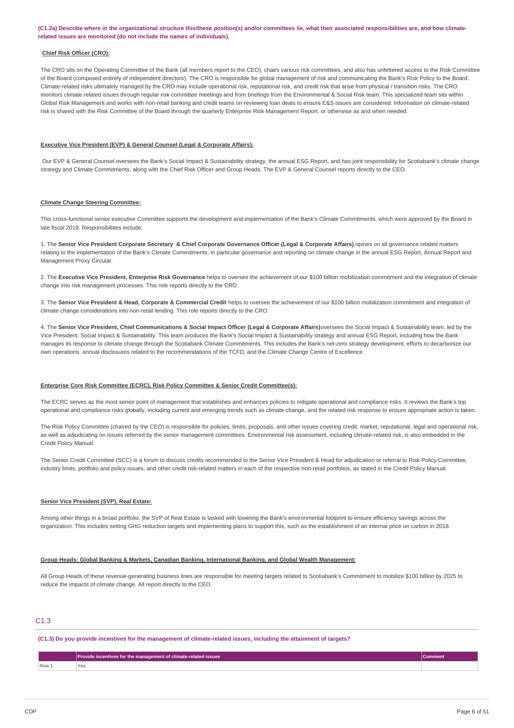#### (C1.2a) Describe where in the organizational structure this/these position(s) and/or committees lie, what their associated responsibilities are, and how climate**related issues are monitored (do not include the names of individuals).**

### **Chief Risk Officer (CRO):**

The CRO sits on the Operating Committee of the Bank (all members report to the CEO), chairs various risk committees, and also has unfettered access to the Risk Committee of the Board (composed entirely of independent directors). The CRO is responsible for global management of risk and communicating the Bank's Risk Policy to the Board. Climate-related risks ultimately managed by the CRO may include operational risk, reputational risk, and credit risk that arise from physical / transition risks. The CRO monitors climate related issues through regular risk committee meetings and from briefings from the Environmental & Social Risk team. This specialized team sits within Global Risk Management and works with non-retail banking and credit teams on reviewing loan deals to ensure E&S issues are considered. Information on climate-related risk is shared with the Risk Committee of the Board through the quarterly Enterprise Risk Management Report, or otherwise as and when needed.

#### **Executive Vice President (EVP) & General Counsel (Legal & Corporate Affairs):**

Our EVP & General Counsel oversees the Bank's Social Impact & Sustainability strategy, the annual ESG Report, and has joint responsibility for Scotiabank's climate change strategy and Climate Commitments, along with the Chief Risk Officer and Group Heads. The EVP & General Counsel reports directly to the CEO.

#### **Climate Change Steering Committee:**

This cross-functional senior executive Committee supports the development and implementation of the Bank's Climate Commitments, which were approved by the Board in late fiscal 2019. Responsibilities include:

1. The Senior Vice President Corporate Secretary & Chief Corporate Governance Officer (Legal & Corporate Affairs) opines on all governance related matters relating to the implementation of the Bank's Climate Commitments, in particular governance and reporting on climate change in the annual ESG Report, Annual Report and Management Proxy Circular.

2. The **Executive Vice President, Enterprise Risk Governance** helps to oversee the achievement of our \$100 billion mobilization commitment and the integration of climate change into risk management processes. This role reports directly to the CRO.

3. The Senior Vice President & Head, Corporate & Commercial Credit helps to oversee the achievement of our \$100 billion mobilization commitment and integration of climate change considerations into non-retail lending. This role reports directly to the CRO.

4. The Senior Vice President, Chief Communications & Social Impact Officer (Legal & Corporate Affairs) oversees the Social Impact & Sustainability team, led by the Vice President, Social Impact & Sustainability. This team produces the Bank's Social Impact & Sustainability strategy and annual ESG Report, including how the Bank manages its response to climate change through the Scotiabank Climate Commitments. This includes the Bank's net-zero strategy development, efforts to decarbonize our own operations, annual disclosures related to the recommendations of the TCFD, and the Climate Change Centre of Excellence.

#### **Enterprise Core Risk Committee (ECRC), Risk Policy Committee & Senior Credit Committee(s):**

The ECRC serves as the most senior point of management that establishes and enhances policies to mitigate operational and compliance risks. It reviews the Bank's top operational and compliance risks globally, including current and emerging trends such as climate change, and the related risk response to ensure appropriate action is taken.

The Risk Policy Committee (chaired by the CEO) is responsible for policies, limits, proposals, and other issues covering credit, market, reputational, legal and operational risk, as well as adjudicating on issues referred by the senior management committees. Environmental risk assessment, including climate-related risk, is also embedded in the Credit Policy Manual.

The Senior Credit Committee (SCC) is a forum to discuss credits recommended to the Senior Vice President & Head for adjudication or referral to Risk Policy Committee, industry limits, portfolio and policy issues, and other credit risk-related matters in each of the respective non-retail portfolios, as stated in the Credit Policy Manual.

#### **Senior Vice President (SVP), Real Estate:**

Among other things in a broad portfolio, the SVP of Real Estate is tasked with lowering the Bank's environmental footprint to ensure efficiency savings across the organization. This includes setting GHG reduction targets and implementing plans to support this, such as the establishment of an internal price on carbon in 2018.

#### **Group Heads: Global Banking & Markets, Canadian Banking, International Banking, and Global Wealth Management:**

All Group Heads of these revenue-generating business lines are responsible for meeting targets related to Scotiabank's Commitment to mobilize \$100 billion by 2025 to reduce the impacts of climate change. All report directly to the CEO.

# C1.3

(C1.3) Do you provide incentives for the management of climate-related issues, including the attainment of targets?

|                | $\bar{\bf s}$ for the management of climate-related issues $\bar{\bf v}$<br><b>Prove</b> |  |
|----------------|------------------------------------------------------------------------------------------|--|
| $\sqrt{$ Row 1 | Y۵<br>ರ<br>___                                                                           |  |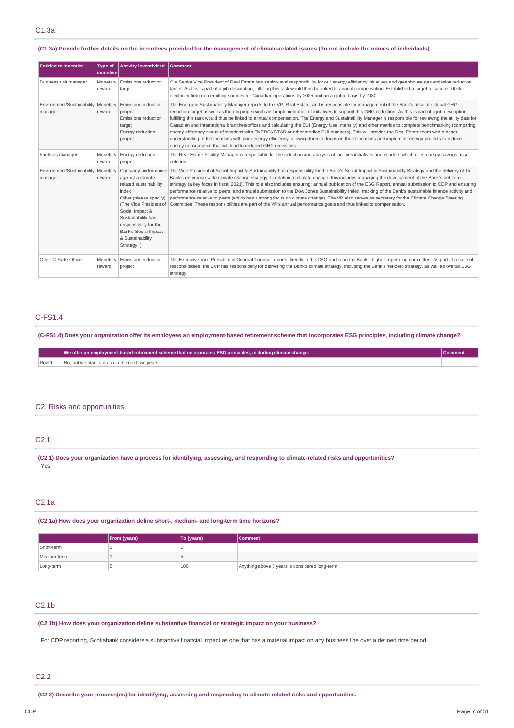#### (C1.3a) Provide further details on the incentives provided for the management of climate-related issues (do not include the names of individuals).

| <b>Entitled to incentive</b>                     | <b>Type of</b><br><b>Incentive</b> | <b>Activity inventivized</b>                                                                                                                                                                                                                  | <b>Comment</b>                                                                                                                                                                                                                                                                                                                                                                                                                                                                                                                                                                                                                                                                                                                                                                                                                                                                                                                                                                |
|--------------------------------------------------|------------------------------------|-----------------------------------------------------------------------------------------------------------------------------------------------------------------------------------------------------------------------------------------------|-------------------------------------------------------------------------------------------------------------------------------------------------------------------------------------------------------------------------------------------------------------------------------------------------------------------------------------------------------------------------------------------------------------------------------------------------------------------------------------------------------------------------------------------------------------------------------------------------------------------------------------------------------------------------------------------------------------------------------------------------------------------------------------------------------------------------------------------------------------------------------------------------------------------------------------------------------------------------------|
| Business unit manager                            | Monetary<br>reward                 | Emissions reduction<br>target                                                                                                                                                                                                                 | Our Senior Vice President of Real Estate has senior-level responsibility for our energy efficiency initiatives and greenhouse gas emission reduction<br>target. As this is part of a job description, fulfilling this task would thus be linked to annual compensation. Established a target to secure 100%<br>electricity from non-emitting sources for Canadian operations by 2025 and on a global basis by 2030                                                                                                                                                                                                                                                                                                                                                                                                                                                                                                                                                            |
| Environment/Sustainability   Monetary<br>manager | reward                             | Emissions reduction<br>project<br><b>Emissions reduction</b><br>target<br>Energy reduction<br>project                                                                                                                                         | The Energy & Sustainability Manager reports to the VP, Real Estate, and is responsible for management of the Bank's absolute global GHG<br>reduction target as well as the ongoing search and implementation of initiatives to support this GHG reduction. As this is part of a job description,<br>fulfilling this task would thus be linked to annual compensation. The Energy and Sustainability Manager is responsible for reviewing the utility data for<br>Canadian and International branches/offices and calculating the EUI (Energy Use Intensity) and other metrics to complete benchmarking (comparing<br>energy efficiency status of locations with ENERGYSTAR or other median EUI numbers). This will provide the Real Estate team with a better<br>understanding of the locations with poor energy efficiency, allowing them to focus on these locations and implement energy projects to reduce<br>energy consumption that will lead to reduced GHG emissions. |
| Facilities manager                               | Monetary<br>reward                 | Energy reduction<br>project                                                                                                                                                                                                                   | The Real Estate Facility Manager is responsible for the selection and analysis of facilities initiatives and vendors which uses energy savings as a<br>criterion.                                                                                                                                                                                                                                                                                                                                                                                                                                                                                                                                                                                                                                                                                                                                                                                                             |
| Environment/Sustainability   Monetary<br>manager | reward                             | against a climate-<br>related sustainability<br>index<br>Other (please specify)<br>(The Vice President of<br>Social Impact &<br>Sustainability has<br>responsibility for the<br><b>Bank's Social Impact</b><br>& Sustainability<br>Strategy.) | Company performance The Vice President of Social Impact & Sustainability has responsibility for the Bank's Social Impact & Sustainability Strategy and the delivery of the<br>Bank's enterprise-wide climate change strategy. In relation to climate change, this includes managing the development of the Bank's net-zero<br>strategy (a key focus in fiscal 2021). This role also includes ensuring: annual publication of the ESG Report, annual submission to CDP and ensuring<br>performance relative to peers, and annual submission to the Dow Jones Sustainability Index, tracking of the Bank's sustainable finance activity and<br>performance relative to peers (which has a strong focus on climate change). The VP also serves as secretary for the Climate Change Steering<br>Committee. These responsibilities are part of the VP's annual performance goals and thus linked to compensation.                                                                  |
| Other C-Suite Officer                            | Monetary<br>reward                 | Emissions reduction<br>project                                                                                                                                                                                                                | The Executive Vice President & General Counsel reports directly to the CEO and is on the Bank's highest operating committee. As part of a suite of<br>responsibilities, the EVP has responsibility for delivering the Bank's climate strategy, including the Bank's net-zero strategy, as well as overall ESG<br>strategy.                                                                                                                                                                                                                                                                                                                                                                                                                                                                                                                                                                                                                                                    |

# C-FS1.4

(C-FS1.4) Does your organization offer its employees an employment-based retirement scheme that incorporates ESG principles, including climate change?

|       | We offer an employment-based retirement scheme that incorporates ESG principles, including climate change. | Comment |
|-------|------------------------------------------------------------------------------------------------------------|---------|
| Row 1 | No, but we plan to do so in the next two vears                                                             |         |

# C2. Risks and opportunities

# C2.1

(C2.1) Does your organization have a process for identifying, assessing, and responding to climate-related risks and opportunities? Yes

# C2.1a

**(C2.1a) How does your organization define short-, medium- and long-term time horizons?**

|             | <b>From (years)</b> | To (years) | <b>Comment</b>                                 |
|-------------|---------------------|------------|------------------------------------------------|
| Short-term  |                     |            |                                                |
| Medium-term |                     |            |                                                |
| Long-term   |                     | 100        | Anything above 5 years is considered long-term |

# C2.1b

**(C2.1b) How does your organization define substantive financial or strategic impact on your business?**

For CDP reporting, Scotiabank considers a substantive financial impact as one that has a material impact on any business line over a defined time period.

# C2.2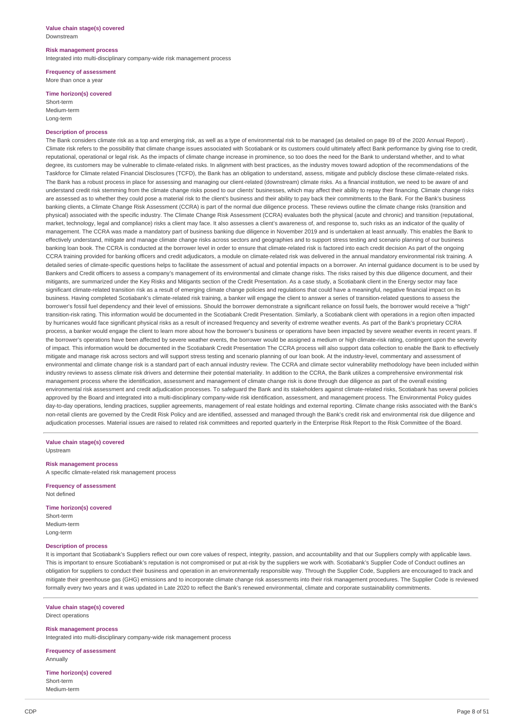#### **Value chain stage(s) covered** Downstream

#### **Risk management process**

Integrated into multi-disciplinary company-wide risk management process

**Frequency of assessment** More than once a year

### **Time horizon(s) covered**

Short-term Medium-term Long-term

#### **Description of process**

The Bank considers climate risk as a top and emerging risk, as well as a type of environmental risk to be managed (as detailed on page 89 of the 2020 Annual Report) Climate risk refers to the possibility that climate change issues associated with Scotiabank or its customers could ultimately affect Bank performance by giving rise to credit, reputational, operational or legal risk. As the impacts of climate change increase in prominence, so too does the need for the Bank to understand whether, and to what degree, its customers may be vulnerable to climate-related risks. In alignment with best practices, as the industry moves toward adoption of the recommendations of the Taskforce for Climate related Financial Disclosures (TCFD), the Bank has an obligation to understand, assess, mitigate and publicly disclose these climate-related risks. The Bank has a robust process in place for assessing and managing our client-related (downstream) climate risks. As a financial institution, we need to be aware of and understand credit risk stemming from the climate change risks posed to our clients' businesses, which may affect their ability to repay their financing. Climate change risks are assessed as to whether they could pose a material risk to the client's business and their ability to pay back their commitments to the Bank. For the Bank's business banking clients, a Climate Change Risk Assessment (CCRA) is part of the normal due diligence process. These reviews outline the climate change risks (transition and physical) associated with the specific industry. The Climate Change Risk Assessment (CCRA) evaluates both the physical (acute and chronic) and transition (reputational, market, technology, legal and compliance) risks a client may face. It also assesses a client's awareness of, and response to, such risks as an indicator of the quality of management. The CCRA was made a mandatory part of business banking due diligence in November 2019 and is undertaken at least annually. This enables the Bank to effectively understand, mitigate and manage climate change risks across sectors and geographies and to support stress testing and scenario planning of our business banking loan book. The CCRA is conducted at the borrower level in order to ensure that climate-related risk is factored into each credit decision As part of the ongoing CCRA training provided for banking officers and credit adjudicators, a module on climate-related risk was delivered in the annual mandatory environmental risk training. A detailed series of climate-specific questions helps to facilitate the assessment of actual and potential impacts on a borrower. An internal guidance document is to be used by Bankers and Credit officers to assess a company's management of its environmental and climate change risks. The risks raised by this due diligence document, and their mitigants, are summarized under the Key Risks and Mitigants section of the Credit Presentation. As a case study, a Scotiabank client in the Energy sector may face significant climate-related transition risk as a result of emerging climate change policies and regulations that could have a meaningful, negative financial impact on its business. Having completed Scotiabank's climate-related risk training, a banker will engage the client to answer a series of transition-related questions to assess the borrower's fossil fuel dependency and their level of emissions. Should the borrower demonstrate a significant reliance on fossil fuels, the borrower would receive a "high" transition-risk rating. This information would be documented in the Scotiabank Credit Presentation. Similarly, a Scotiabank client with operations in a region often impacted by hurricanes would face significant physical risks as a result of increased frequency and severity of extreme weather events. As part of the Bank's proprietary CCRA process, a banker would engage the client to learn more about how the borrower's business or operations have been impacted by severe weather events in recent years. If the borrower's operations have been affected by severe weather events, the borrower would be assigned a medium or high climate-risk rating, contingent upon the severity of impact. This information would be documented in the Scotiabank Credit Presentation The CCRA process will also support data collection to enable the Bank to effectively mitigate and manage risk across sectors and will support stress testing and scenario planning of our loan book. At the industry-level, commentary and assessment of environmental and climate change risk is a standard part of each annual industry review. The CCRA and climate sector vulnerability methodology have been included within industry reviews to assess climate risk drivers and determine their potential materiality. In addition to the CCRA, the Bank utilizes a comprehensive environmental risk management process where the identification, assessment and management of climate change risk is done through due diligence as part of the overall existing environmental risk assessment and credit adjudication processes. To safeguard the Bank and its stakeholders against climate-related risks, Scotiabank has several policies approved by the Board and integrated into a multi-disciplinary company-wide risk identification, assessment, and management process. The Environmental Policy guides day-to-day operations, lending practices, supplier agreements, management of real estate holdings and external reporting. Climate change risks associated with the Bank's non-retail clients are governed by the Credit Risk Policy and are identified, assessed and managed through the Bank's credit risk and environmental risk due diligence and adjudication processes. Material issues are raised to related risk committees and reported quarterly in the Enterprise Risk Report to the Risk Committee of the Board.

**Value chain stage(s) covered** Upstream

#### **Risk management process**

A specific climate-related risk management process

**Frequency of assessment** Not defined

#### **Time horizon(s) covered**

Short-term Medium-term Long-term

# **Description of process**

It is important that Scotiabank's Suppliers reflect our own core values of respect, integrity, passion, and accountability and that our Suppliers comply with applicable laws. This is important to ensure Scotiabank's reputation is not compromised or put at-risk by the suppliers we work with. Scotiabank's Supplier Code of Conduct outlines an obligation for suppliers to conduct their business and operation in an environmentally responsible way. Through the Supplier Code, Suppliers are encouraged to track and mitigate their greenhouse gas (GHG) emissions and to incorporate climate change risk assessments into their risk management procedures. The Supplier Code is reviewed formally every two years and it was updated in Late 2020 to reflect the Bank's renewed environmental, climate and corporate sustainability commitments.

#### **Value chain stage(s) covered** Direct operations

**Risk management process**

Integrated into multi-disciplinary company-wide risk management process

**Frequency of assessment** Annually

**Time horizon(s) covered** Short-term Medium-term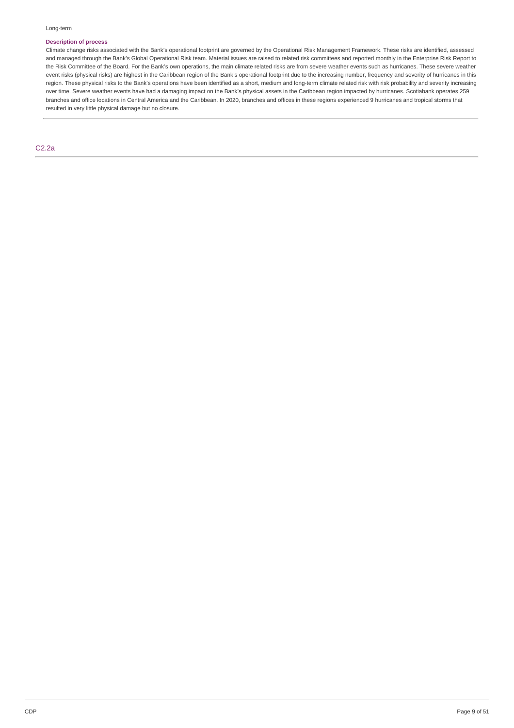# **Description of process**

Climate change risks associated with the Bank's operational footprint are governed by the Operational Risk Management Framework. These risks are identified, assessed and managed through the Bank's Global Operational Risk team. Material issues are raised to related risk committees and reported monthly in the Enterprise Risk Report to the Risk Committee of the Board. For the Bank's own operations, the main climate related risks are from severe weather events such as hurricanes. These severe weather event risks (physical risks) are highest in the Caribbean region of the Bank's operational footprint due to the increasing number, frequency and severity of hurricanes in this region. These physical risks to the Bank's operations have been identified as a short, medium and long-term climate related risk with risk probability and severity increasing over time. Severe weather events have had a damaging impact on the Bank's physical assets in the Caribbean region impacted by hurricanes. Scotiabank operates 259 branches and office locations in Central America and the Caribbean. In 2020, branches and offices in these regions experienced 9 hurricanes and tropical storms that resulted in very little physical damage but no closure.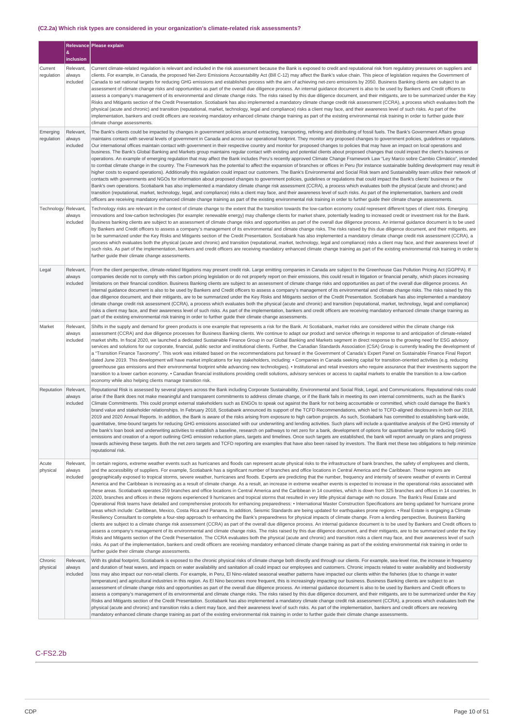# **(C2.2a) Which risk types are considered in your organization's climate-related risk assessments?**

|                        |                                 | Relevance Please explain                                                                                                                                                                                                                                                                                                                                                                                                                                                                                                                                                                                                                                                                                                                                                                                                                                                                                                                                                                                                                                                                                                                                                                                                                                                                                                                                                                                                                                                                                                                                                                                                                                                                                                                                                                                                                                                                                                                                                                                                                                                                                                                                                                                                                                                                                                                                                                                                                                                                                                                                      |
|------------------------|---------------------------------|---------------------------------------------------------------------------------------------------------------------------------------------------------------------------------------------------------------------------------------------------------------------------------------------------------------------------------------------------------------------------------------------------------------------------------------------------------------------------------------------------------------------------------------------------------------------------------------------------------------------------------------------------------------------------------------------------------------------------------------------------------------------------------------------------------------------------------------------------------------------------------------------------------------------------------------------------------------------------------------------------------------------------------------------------------------------------------------------------------------------------------------------------------------------------------------------------------------------------------------------------------------------------------------------------------------------------------------------------------------------------------------------------------------------------------------------------------------------------------------------------------------------------------------------------------------------------------------------------------------------------------------------------------------------------------------------------------------------------------------------------------------------------------------------------------------------------------------------------------------------------------------------------------------------------------------------------------------------------------------------------------------------------------------------------------------------------------------------------------------------------------------------------------------------------------------------------------------------------------------------------------------------------------------------------------------------------------------------------------------------------------------------------------------------------------------------------------------------------------------------------------------------------------------------------------------|
|                        | &<br>inclusion                  |                                                                                                                                                                                                                                                                                                                                                                                                                                                                                                                                                                                                                                                                                                                                                                                                                                                                                                                                                                                                                                                                                                                                                                                                                                                                                                                                                                                                                                                                                                                                                                                                                                                                                                                                                                                                                                                                                                                                                                                                                                                                                                                                                                                                                                                                                                                                                                                                                                                                                                                                                               |
| Current<br>regulation  | Relevant,<br>always<br>included | Current climate-related requlation is relevant and included in the risk assessment because the Bank is exposed to credit and reputational risk from requlatory pressures on suppliers and<br>clients. For example, in Canada, the proposed Net-Zero Emissions Accountability Act (Bill C-12) may affect the Bank's value chain. This piece of legislation requires the Government of<br>Canada to set national targets for reducing GHG emissions and establishes process with the aim of achieving net-zero emissions by 2050. Business Banking clients are subject to an<br>assessment of climate change risks and opportunities as part of the overall due diligence process. An internal quidance document is also to be used by Bankers and Credit officers to<br>assess a company's management of its environmental and climate change risks. The risks raised by this due diligence document, and their mitigants, are to be summarized under the Key<br>Risks and Mitigants section of the Credit Presentation. Scotiabank has also implemented a mandatory climate change credit risk assessment (CCRA), a process which evaluates both the<br>physical (acute and chronic) and transition (reputational, market, technology, legal and compliance) risks a client may face, and their awareness level of such risks. As part of the<br>implementation, bankers and credit officers are receiving mandatory enhanced climate change training as part of the existing environmental risk training in order to further guide their<br>climate change assessments.                                                                                                                                                                                                                                                                                                                                                                                                                                                                                                                                                                                                                                                                                                                                                                                                                                                                                                                                                                                      |
| Emerging<br>regulation | Relevant.<br>always<br>included | The Bank's clients could be impacted by changes in government policies around extracting, transporting, refining and distributing of fossil fuels. The Bank's Government Affairs group<br>maintains contact with several levels of government in Canada and across our operational footprint. They monitor any proposed changes to government policies, quidelines or regulations.<br>Our international offices maintain contact with government in their respective country and monitor for proposed changes to policies that may have an impact on local operations and<br>business. The Bank's Global Banking and Markets group maintains regular contact with existing and potential clients about proposed changes that could impact the client's business or<br>operations. An example of emerging regulation that may affect the Bank includes Peru's recently approved Climate Change Framework Law "Ley Marco sobre Cambio Climático", intended<br>to combat climate change in the country. The Framework has the potential to affect the expansion of branches or offices in Peru (for instance sustainable building development may result in<br>higher costs to expand operations). Additionally this regulation could impact our customers. The Bank's Environmental and Social Risk team and Sustainability team utilize their network of<br>contacts with governments and NGOs for information about proposed changes to government policies, guidelines or regulations that could impact the Bank's clients' business or the<br>Bank's own operations. Scotiabank has also implemented a mandatory climate change risk assessment (CCRA), a process which evaluates both the physical (acute and chronic) and<br>transition (reputational, market, technology, legal, and compliance) risks a client may face, and their awareness level of such risks. As part of the implementation, bankers and credit<br>officers are receiving mandatory enhanced climate change training as part of the existing environmental risk training in order to further guide their climate change assessments.                                                                                                                                                                                                                                                                                                                                                                                                                                                |
| Technology Relevant,   | always<br>included              | Technology risks are relevant in the context of climate change to the extent that the transition towards the low-carbon economy could represent different types of client risks. Emerging<br>innovations and low-carbon technologies (for example: renewable energy) may challenge clients for market share, potentially leading to increased credit or investment risk for the Bank.<br>Business banking clients are subject to an assessment of climate change risks and opportunities as part of the overall due diligence process. An internal guidance document is to be used<br>by Bankers and Credit officers to assess a company's management of its environmental and climate change risks. The risks raised by this due diligence document, and their mitigants, are<br>to be summarized under the Key Risks and Mitigants section of the Credit Presentation. Scotiabank has also implemented a mandatory climate change credit risk assessment (CCRA), a<br>process which evaluates both the physical (acute and chronic) and transition (reputational, market, technology, legal and compliance) risks a client may face, and their awareness level of<br>such risks. As part of the implementation, bankers and credit officers are receiving mandatory enhanced climate change training as part of the existing environmental risk training in order to<br>further guide their climate change assessments.                                                                                                                                                                                                                                                                                                                                                                                                                                                                                                                                                                                                                                                                                                                                                                                                                                                                                                                                                                                                                                                                                                                                     |
| Legal                  | Relevant,<br>always<br>included | From the client perspective, climate-related litigations may present credit risk. Large emitting companies in Canada are subject to the Greenhouse Gas Pollution Pricing Act (GGPPA). If<br>companies decide not to comply with this carbon pricing legislation or do not properly report on their emissions, this could result in litigation or financial penalty, which places increasing<br>limitations on their financial condition. Business Banking clients are subject to an assessment of climate change risks and opportunities as part of the overall due diligence process. An<br>internal guidance document is also to be used by Bankers and Credit officers to assess a company's management of its environmental and climate change risks. The risks raised by this<br>due diligence document, and their mitigants, are to be summarized under the Key Risks and Mitigants section of the Credit Presentation. Scotiabank has also implemented a mandatory<br>climate change credit risk assessment (CCRA), a process which evaluates both the physical (acute and chronic) and transition (reputational, market, technology, legal and compliance)<br>risks a client may face, and their awareness level of such risks. As part of the implementation, bankers and credit officers are receiving mandatory enhanced climate change training as<br>part of the existing environmental risk training in order to further guide their climate change assessments.                                                                                                                                                                                                                                                                                                                                                                                                                                                                                                                                                                                                                                                                                                                                                                                                                                                                                                                                                                                                                                                                                |
| Market                 | Relevant,<br>always<br>included | Shifts in the supply and demand for green products is one example that represents a risk for the Bank. At Scotiabank, market risks are considered within the climate change risk<br>assessment (CCRA) and due diligence processes for Business Banking clients. We continue to adapt our product and service offerings in response to and anticipation of climate-related<br>market shifts. In fiscal 2020, we launched a dedicated Sustainable Finance Group in our Global Banking and Markets segment in direct response to the growing need for ESG advisory<br>services and solutions for our corporate, financial, public sector and institutional clients. Further, the Canadian Standards Association (CSA) Group is currently leading the development of<br>a "Transition Finance Taxonomy". This work was initiated based on the recommendations put forward in the Government of Canada's Expert Panel on Sustainable Finance Final Report<br>dated June 2019. This development will have market implications for key stakeholders, including: . Companies in Canada seeking capital for transition-oriented activities (e.g. reducing<br>greenhouse gas emissions and their environmental footprint while advancing new technologies). • Institutional and retail investors who require assurance that their investments support the<br>transition to a lower carbon economy. • Canadian financial institutions providing credit solutions, advisory services or access to capital markets to enable the transition to a low-carbon<br>economy while also helping clients manage transition risk.                                                                                                                                                                                                                                                                                                                                                                                                                                                                                                                                                                                                                                                                                                                                                                                                                                                                                                                                                  |
| Reputation             | Relevant,<br>always<br>included | Reputational Risk is assessed by several players across the Bank including Corporate Sustainability, Environmental and Social Risk, Legal, and Communications. Reputational risks could<br>arise if the Bank does not make meaningful and transparent commitments to address climate change, or if the Bank fails in meeting its own internal commitments, such as the Bank's<br>Climate Commitments. This could prompt external stakeholders such as ENGOs to speak out against the Bank for not being accountable or committed, which could damage the Bank's<br>brand value and stakeholder relationships. In February 2018, Scotiabank announced its support of the TCFD Recommendations, which led to TCFD-aligned disclosures in both our 2018,<br>2019 and 2020 Annual Reports. In addition, the Bank is aware of the risks arising from exposure to high carbon projects. As such, Scotiabank has committed to establishing bank-wide,<br>quantitative, time-bound targets for reducing GHG emissions associated with our underwriting and lending activities. Such plans will include a quantitative analysis of the GHG intensity of<br>the bank's loan book and underwriting activities to establish a baseline, research on pathways to net zero for a bank, development of options for quantitative targets for reducing GHG<br>emissions and creation of a report outlining GHG emission reduction plans, targets and timelines. Once such targets are established, the bank will report annually on plans and progress<br>towards achieving these targets. Both the net zero targets and TCFD reporting are examples that have also been raised by investors. The Bank met these two obligations to help minimize<br>reputational risk.                                                                                                                                                                                                                                                                                                                                                                                                                                                                                                                                                                                                                                                                                                                                                                                                        |
| Acute<br>physical      | Relevant<br>always<br>included  | In certain regions, extreme weather events such as hurricanes and floods can represent acute physical risks to the infrastructure of bank branches, the safety of employees and clients,<br>and the accessibility of suppliers. For example, Scotiabank has a significant number of branches and office locations in Central America and the Caribbean. These regions are<br>geographically exposed to tropical storms, severe weather, hurricanes and floods. Experts are predicting that the number, frequency and intensity of severe weather of events in Central<br>America and the Caribbean is increasing as a result of climate change. As a result, an increase in extreme weather events is expected to increase in the operational risks associated with<br>these areas. Scotiabank operates 259 branches and office locations in Central America and the Caribbean in 14 countries, which is down from 325 branches and offices in 14 countries. In<br>2020, branches and offices in these regions experienced 9 hurricanes and tropical storms that resulted in very little physical damage with no closure. The Bank's Real Estate and<br>Operational Risk teams have detailed and comprehensive protocols for enhancing preparedness: • International Master Construction Specifications are being updated for hurricane prone<br>areas which include: Caribbean, Mexico, Costa Rica and Panama. In addition, Seismic Standards are being updated for earthquakes prone regions. • Real Estate is engaging a Climate<br>Resiliency Consultant to complete a four-step approach to enhancing the Bank's preparedness for physical impacts of climate change. From a lending perspective, Business Banking<br>clients are subject to a climate change risk assessment (CCRA) as part of the overall due diligence process. An internal guidance document is to be used by Bankers and Credit officers to<br>assess a company's management of its environmental and climate change risks. The risks raised by this due diligence document, and their mitigants, are to be summarized under the Key<br>Risks and Mitigants section of the Credit Presentation. The CCRA evaluates both the physical (acute and chronic) and transition risks a client may face, and their awareness level of such<br>risks. As part of the implementation, bankers and credit officers are receiving mandatory enhanced climate change training as part of the existing environmental risk training in order to<br>further guide their climate change assessments. |
| Chronic<br>physical    | Relevant,<br>always<br>included | With its global footprint, Scotiabank is exposed to the chronic physical risks of climate change both directly and through our clients. For example, sea-level rise, the increase in frequency<br>and duration of heat waves, and impacts on water availability and sanitation all could impact our employees and customers. Chronic impacts related to water availability and biodiversity<br>loss may also impact our non-retail clients. For example, in Peru, El Nino-related seasonal weather patterns have impacted our clients within the fisheries (due to change in water<br>temperature) and agricultural industries in this region. As El Nino becomes more frequent, this is increasingly impacting our business. Business Banking clients are subject to an<br>assessment of climate change risks and opportunities as part of the overall due diligence process. An internal guidance document is also to be used by Bankers and Credit officers to<br>assess a company's management of its environmental and climate change risks. The risks raised by this due diligence document, and their mitigants, are to be summarized under the Key<br>Risks and Mitigants section of the Credit Presentation. Scotiabank has also implemented a mandatory climate change credit risk assessment (CCRA), a process which evaluates both the<br>physical (acute and chronic) and transition risks a client may face, and their awareness level of such risks. As part of the implementation, bankers and credit officers are receiving<br>mandatory enhanced climate change training as part of the existing environmental risk training in order to further guide their climate change assessments.                                                                                                                                                                                                                                                                                                                                                                                                                                                                                                                                                                                                                                                                                                                                                                                                                                                    |

C-FS2.2b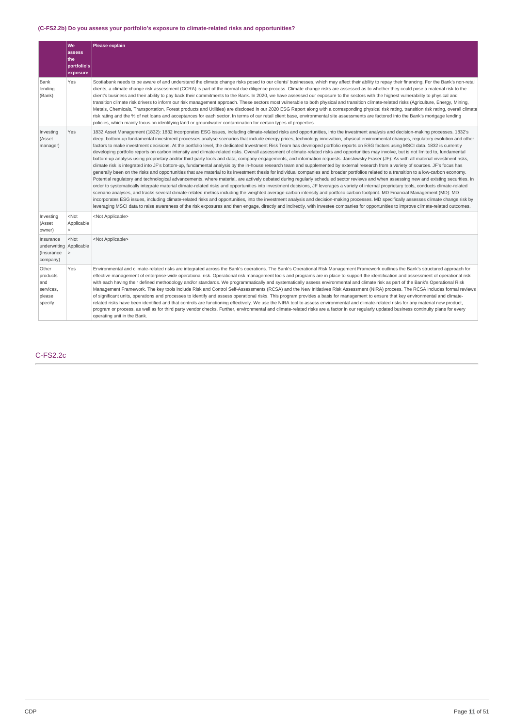# **(C-FS2.2b) Do you assess your portfolio's exposure to climate-related risks and opportunities?**

|                                                                | lwe<br>assess<br>the<br>portfolio's<br>exposure | Please explain                                                                                                                                                                                                                                                                                                                                                                                                                                                                                                                                                                                                                                                                                                                                                                                                                                                                                                                                                                                                                                                                                                                                                                                                                                                                                                                                                                                                                                                                                                                                                                                                                                                                                                                                                                                                                                                                                                                                                                                                                                                                                                                                                                                                                                                                                             |
|----------------------------------------------------------------|-------------------------------------------------|------------------------------------------------------------------------------------------------------------------------------------------------------------------------------------------------------------------------------------------------------------------------------------------------------------------------------------------------------------------------------------------------------------------------------------------------------------------------------------------------------------------------------------------------------------------------------------------------------------------------------------------------------------------------------------------------------------------------------------------------------------------------------------------------------------------------------------------------------------------------------------------------------------------------------------------------------------------------------------------------------------------------------------------------------------------------------------------------------------------------------------------------------------------------------------------------------------------------------------------------------------------------------------------------------------------------------------------------------------------------------------------------------------------------------------------------------------------------------------------------------------------------------------------------------------------------------------------------------------------------------------------------------------------------------------------------------------------------------------------------------------------------------------------------------------------------------------------------------------------------------------------------------------------------------------------------------------------------------------------------------------------------------------------------------------------------------------------------------------------------------------------------------------------------------------------------------------------------------------------------------------------------------------------------------------|
| Bank<br>lending<br>(Bank)                                      | Yes                                             | Scotiabank needs to be aware of and understand the climate change risks posed to our clients' businesses, which may affect their ability to repay their financing. For the Bank's non-retail<br>clients, a climate change risk assessment (CCRA) is part of the normal due diligence process. Climate change risks are assessed as to whether they could pose a material risk to the<br>client's business and their ability to pay back their commitments to the Bank. In 2020, we have assessed our exposure to the sectors with the highest vulnerability to physical and<br>transition climate risk drivers to inform our risk management approach. These sectors most vulnerable to both physical and transition climate-related risks (Agriculture, Energy, Mining,<br>Metals, Chemicals, Transportation, Forest products and Utilities) are disclosed in our 2020 ESG Report along with a corresponding physical risk rating, transition risk rating, overall climate<br>risk rating and the % of net loans and acceptances for each sector. In terms of our retail client base, environmental site assessments are factored into the Bank's mortgage lending<br>policies, which mainly focus on identifying land or groundwater contamination for certain types of properties.                                                                                                                                                                                                                                                                                                                                                                                                                                                                                                                                                                                                                                                                                                                                                                                                                                                                                                                                                                                                                      |
| Investing<br>(Asset<br>manager)                                | Yes                                             | 1832 Asset Management (1832): 1832 incorporates ESG issues, including climate-related risks and opportunities, into the investment analysis and decision-making processes. 1832's<br>deep, bottom-up fundamental investment processes analyse scenarios that include energy prices, technology innovation, physical environmental changes, regulatory evolution and other<br>factors to make investment decisions. At the portfolio level, the dedicated Investment Risk Team has developed portfolio reports on ESG factors using MSCI data. 1832 is currently<br>developing portfolio reports on carbon intensity and climate-related risks. Overall assessment of climate-related risks and opportunities may involve, but is not limited to, fundamental<br>bottom-up analysis using proprietary and/or third-party tools and data, company engagements, and information requests. Jarislowsky Fraser (JF): As with all material investment risks,<br>climate risk is integrated into JF's bottom-up, fundamental analysis by the in-house research team and supplemented by external research from a variety of sources. JF's focus has<br>generally been on the risks and opportunities that are material to its investment thesis for individual companies and broader portfolios related to a transition to a low-carbon economy.<br>Potential regulatory and technological advancements, where material, are actively debated during regularly scheduled sector reviews and when assessing new and existing securities. In<br>order to systematically integrate material climate-related risks and opportunities into investment decisions, JF leverages a variety of internal proprietary tools, conducts climate-related<br>scenario analyses, and tracks several climate-related metrics including the weighted average carbon intensity and portfolio carbon footprint. MD Financial Management (MD): MD<br>incorporates ESG issues, including climate-related risks and opportunities, into the investment analysis and decision-making processes. MD specifically assesses climate change risk by<br>leveraging MSCI data to raise awareness of the risk exposures and then engage, directly and indirectly, with investee companies for opportunities to improve climate-related outcomes. |
| Investing<br>(Asset<br>owner)                                  | $<$ Not<br>Applicable<br>$\mathbf{r}$           | <not applicable=""></not>                                                                                                                                                                                                                                                                                                                                                                                                                                                                                                                                                                                                                                                                                                                                                                                                                                                                                                                                                                                                                                                                                                                                                                                                                                                                                                                                                                                                                                                                                                                                                                                                                                                                                                                                                                                                                                                                                                                                                                                                                                                                                                                                                                                                                                                                                  |
| Insurance<br>underwriting Applicable<br>(Insurance<br>company) | $<$ Not<br>∣>                                   | <not applicable=""></not>                                                                                                                                                                                                                                                                                                                                                                                                                                                                                                                                                                                                                                                                                                                                                                                                                                                                                                                                                                                                                                                                                                                                                                                                                                                                                                                                                                                                                                                                                                                                                                                                                                                                                                                                                                                                                                                                                                                                                                                                                                                                                                                                                                                                                                                                                  |
| Other<br>products<br>and<br>services,<br>please<br>specify     | Yes                                             | Environmental and climate-related risks are integrated across the Bank's operations. The Bank's Operational Risk Management Framework outlines the Bank's structured approach for<br>effective management of enterprise-wide operational risk. Operational risk management tools and programs are in place to support the identification and assessment of operational risk<br>with each having their defined methodology and/or standards. We programmatically and systematically assess environmental and climate risk as part of the Bank's Operational Risk<br>Management Framework. The key tools include Risk and Control Self-Assessments (RCSA) and the New Initiatives Risk Assessment (NIRA) process. The RCSA includes formal reviews<br>of significant units, operations and processes to identify and assess operational risks. This program provides a basis for management to ensure that key environmental and climate-<br>related risks have been identified and that controls are functioning effectively. We use the NIRA tool to assess environmental and climate-related risks for any material new product,<br>program or process, as well as for third party vendor checks. Further, environmental and climate-related risks are a factor in our regularly updated business continuity plans for every<br>operating unit in the Bank.                                                                                                                                                                                                                                                                                                                                                                                                                                                                                                                                                                                                                                                                                                                                                                                                                                                                                                                                               |

# C-FS2.2c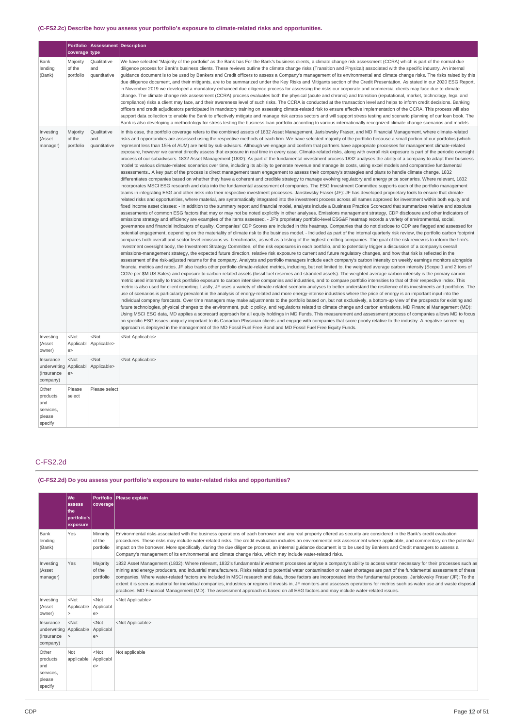# **(C-FS2.2c) Describe how you assess your portfolio's exposure to climate-related risks and opportunities.**

|                                                            |                                  | Portfolio   Assessment   Description |                                                                                                                                                                                                                                                                                                                                                                                                                                                                                                                                                                                                                                                                                                                                                                                                                                                                                                                                                                                                                                                                                                                                                                                                                                                                                                                                                                                                                                                                                                                                                                                                                                                                                                                                                                                                                                                                                                                                                                                                                                                                                                                                                                                                                                                                                                                                                                                                                                                                                                                                                                                                                                                                                                                                                                                                                                                                                                                                                                                                                                                                                                                                                                                                                                                                                                                                                                                                                                                                                                                                                                                                                                                                                                                                                                                                                                                                                                                                                                                                                                                                                                                                                                                                                                                                                                                                                                                                                                                                                                                                                                                                                                                                                                                                                                                                                                                                                                                                                                                                                                                                                                                                                                                                                                                                    |
|------------------------------------------------------------|----------------------------------|--------------------------------------|--------------------------------------------------------------------------------------------------------------------------------------------------------------------------------------------------------------------------------------------------------------------------------------------------------------------------------------------------------------------------------------------------------------------------------------------------------------------------------------------------------------------------------------------------------------------------------------------------------------------------------------------------------------------------------------------------------------------------------------------------------------------------------------------------------------------------------------------------------------------------------------------------------------------------------------------------------------------------------------------------------------------------------------------------------------------------------------------------------------------------------------------------------------------------------------------------------------------------------------------------------------------------------------------------------------------------------------------------------------------------------------------------------------------------------------------------------------------------------------------------------------------------------------------------------------------------------------------------------------------------------------------------------------------------------------------------------------------------------------------------------------------------------------------------------------------------------------------------------------------------------------------------------------------------------------------------------------------------------------------------------------------------------------------------------------------------------------------------------------------------------------------------------------------------------------------------------------------------------------------------------------------------------------------------------------------------------------------------------------------------------------------------------------------------------------------------------------------------------------------------------------------------------------------------------------------------------------------------------------------------------------------------------------------------------------------------------------------------------------------------------------------------------------------------------------------------------------------------------------------------------------------------------------------------------------------------------------------------------------------------------------------------------------------------------------------------------------------------------------------------------------------------------------------------------------------------------------------------------------------------------------------------------------------------------------------------------------------------------------------------------------------------------------------------------------------------------------------------------------------------------------------------------------------------------------------------------------------------------------------------------------------------------------------------------------------------------------------------------------------------------------------------------------------------------------------------------------------------------------------------------------------------------------------------------------------------------------------------------------------------------------------------------------------------------------------------------------------------------------------------------------------------------------------------------------------------------------------------------------------------------------------------------------------------------------------------------------------------------------------------------------------------------------------------------------------------------------------------------------------------------------------------------------------------------------------------------------------------------------------------------------------------------------------------------------------------------------------------------------------------------------------------------------------------------------------------------------------------------------------------------------------------------------------------------------------------------------------------------------------------------------------------------------------------------------------------------------------------------------------------------------------------------------------------------------------------------------------------------------------------------------------|
|                                                            | coverage type                    |                                      |                                                                                                                                                                                                                                                                                                                                                                                                                                                                                                                                                                                                                                                                                                                                                                                                                                                                                                                                                                                                                                                                                                                                                                                                                                                                                                                                                                                                                                                                                                                                                                                                                                                                                                                                                                                                                                                                                                                                                                                                                                                                                                                                                                                                                                                                                                                                                                                                                                                                                                                                                                                                                                                                                                                                                                                                                                                                                                                                                                                                                                                                                                                                                                                                                                                                                                                                                                                                                                                                                                                                                                                                                                                                                                                                                                                                                                                                                                                                                                                                                                                                                                                                                                                                                                                                                                                                                                                                                                                                                                                                                                                                                                                                                                                                                                                                                                                                                                                                                                                                                                                                                                                                                                                                                                                                    |
| Bank<br>lending<br>(Bank)                                  | Majority<br>of the<br>portfolio  | Qualitative<br>and<br>quantitative   | We have selected "Majority of the portfolio" as the Bank has For the Bank's business clients, a climate change risk assessment (CCRA) which is part of the normal due<br>diligence process for Bank's business clients. These reviews outline the climate change risks (Transition and Physical) associated with the specific industry. An internal<br>quidance document is to be used by Bankers and Credit officers to assess a Company's management of its environmental and climate change risks. The risks raised by this<br>due diligence document, and their mitigants, are to be summarized under the Key Risks and Mitigants section of the Credit Presentation. As stated in our 2020 ESG Report,<br>in November 2019 we developed a mandatory enhanced due diligence process for assessing the risks our corporate and commercial clients may face due to climate<br>change. The climate change risk assessment (CCRA) process evaluates both the physical (acute and chronic) and transition (reputational, market, technology, legal and<br>compliance) risks a client may face, and their awareness level of such risks. The CCRA is conducted at the transaction level and helps to inform credit decisions. Banking<br>officers and credit adjudicators participated in mandatory training on assessing climate-related risk to ensure effective implementation of the CCRA. This process will also<br>support data collection to enable the Bank to effectively mitigate and manage risk across sectors and will support stress testing and scenario planning of our loan book. The<br>Bank is also developing a methodology for stress testing the business loan portfolio according to various internationally recognized climate change scenarios and models.                                                                                                                                                                                                                                                                                                                                                                                                                                                                                                                                                                                                                                                                                                                                                                                                                                                                                                                                                                                                                                                                                                                                                                                                                                                                                                                                                                                                                                                                                                                                                                                                                                                                                                                                                                                                                                                                                                                                                                                                                                                                                                                                                                                                                                                                                                                                                                                                                                                                                                                                                                                                                                                                                                                                                                                                                                                                                                                                                                                                                                                                                                                                                                                                                                                                                                                                                                                                                                                                                  |
| Investing<br>(Asset<br>manager)                            | Majority<br>of the<br>portfolio  | Qualitative<br>and<br>quantitative   | In this case, the portfolio coverage refers to the combined assets of 1832 Asset Management, Jarislowsky Fraser, and MD Financial Management, where climate-related<br>risks and opportunities are assessed using the respective methods of each firm. We have selected majority of the portfolio because a small portion of our portfolios (which<br>represent less than 15% of AUM) are held by sub-advisors. Although we engage and confirm that partners have appropriate processes for management climate-related<br>exposure, however we cannot directly assess that exposure in real time in every case. Climate-related risks, along with overall risk exposure is part of the periodic oversight<br>process of our subadvisors. 1832 Asset Management (1832): As part of the fundamental investment process 1832 analyses the ability of a company to adapt their business<br>model to various climate-related scenarios over time, including its ability to generate revenue and manage its costs, using excel models and comparative fundamental<br>assessments A key part of the process is direct management team engagement to assess their company's strategies and plans to handle climate change. 1832<br>differentiates companies based on whether they have a coherent and credible strategy to manage evolving regulatory and energy price scenarios. Where relevant, 1832<br>incorporates MSCI ESG research and data into the fundamental assessment of companies. The ESG Investment Committee supports each of the portfolio management<br>teams in integrating ESG and other risks into their respective investment processes. Jarislowsky Fraser (JF): JF has developed proprietary tools to ensure that climate-<br>related risks and opportunities, where material, are systematically integrated into the investment process across all names approved for investment within both equity and<br>fixed income asset classes: - In addition to the summary report and financial model, analysts include a Business Practice Scorecard that summarizes relative and absolute<br>assessments of common ESG factors that may or may not be noted explicitly in other analyses. Emissions management strategy, CDP disclosure and other indicators of<br>emissions strategy and efficiency are examples of the items assessed. - JF's proprietary portfolio-level ESG&F heatmap records a variety of environmental, social,<br>governance and financial indicators of quality. Companies' CDP Scores are included in this heatmap. Companies that do not disclose to CDP are flagged and assessed for<br>potential engagement, depending on the materiality of climate risk to the business model. - Included as part of the internal quarterly risk review, the portfolio carbon footprint<br>compares both overall and sector level emissions vs. benchmarks, as well as a listing of the highest emitting companies. The goal of the risk review is to inform the firm's<br>investment oversight body, the Investment Strategy Committee, of the risk exposures in each portfolio, and to potentially trigger a discussion of a company's overall<br>emissions-management strategy, the expected future direction, relative risk exposure to current and future regulatory changes, and how that risk is reflected in the<br>assessment of the risk-adjusted returns for the company. Analysts and portfolio managers include each company's carbon intensity on weekly earnings monitors alongside<br>financial metrics and ratios. JF also tracks other portfolio climate-related metrics, including, but not limited to, the weighted average carbon intensity (Scope 1 and 2 tons of<br>CO2e per \$M US Sales) and exposure to carbon-related assets (fossil fuel reserves and stranded assets). The weighted average carbon intensity is the primary carbon<br>metric used internally to track portfolio exposure to carbon intensive companies and industries, and to compare portfolio intensities to that of their respective index. This<br>metric is also used for client reporting. Lastly, JF uses a variety of climate-related scenario analyses to better understand the resilience of its investments and portfolios. The<br>use of scenarios is particularly prevalent in the analysis of energy-related and more energy-intense industries where the price of energy is an important input into the<br>individual company forecasts. Over time managers may make adjustments to the portfolio based on, but not exclusively, a bottom-up view of the prospects for existing and<br>future technologies, physical changes to the environment, public policy, and regulations related to climate change and carbon emissions. MD Financial Management (MD):<br>Using MSCI ESG data, MD applies a scorecard approach for all equity holdings in MD Funds. This measurement and assessment process of companies allows MD to focus<br>on specific ESG issues uniquely important to its Canadian Physician clients and engage with companies that score poorly relative to the industry. A negative screening<br>approach is deployed in the management of the MD Fossil Fuel Free Bond and MD Fossil Fuel Free Equity Funds. |
| Investing<br>(Asset<br>owner)                              | $<$ Not<br>Applicabl<br>e        | $<$ Not<br>Applicable>               | <not applicable=""></not>                                                                                                                                                                                                                                                                                                                                                                                                                                                                                                                                                                                                                                                                                                                                                                                                                                                                                                                                                                                                                                                                                                                                                                                                                                                                                                                                                                                                                                                                                                                                                                                                                                                                                                                                                                                                                                                                                                                                                                                                                                                                                                                                                                                                                                                                                                                                                                                                                                                                                                                                                                                                                                                                                                                                                                                                                                                                                                                                                                                                                                                                                                                                                                                                                                                                                                                                                                                                                                                                                                                                                                                                                                                                                                                                                                                                                                                                                                                                                                                                                                                                                                                                                                                                                                                                                                                                                                                                                                                                                                                                                                                                                                                                                                                                                                                                                                                                                                                                                                                                                                                                                                                                                                                                                                          |
| Insurance<br>underwriting<br>(Insurance<br>company)        | <not<br>Applicabl<br/>e</not<br> | $<$ Not<br>Applicable>               | <not applicable=""></not>                                                                                                                                                                                                                                                                                                                                                                                                                                                                                                                                                                                                                                                                                                                                                                                                                                                                                                                                                                                                                                                                                                                                                                                                                                                                                                                                                                                                                                                                                                                                                                                                                                                                                                                                                                                                                                                                                                                                                                                                                                                                                                                                                                                                                                                                                                                                                                                                                                                                                                                                                                                                                                                                                                                                                                                                                                                                                                                                                                                                                                                                                                                                                                                                                                                                                                                                                                                                                                                                                                                                                                                                                                                                                                                                                                                                                                                                                                                                                                                                                                                                                                                                                                                                                                                                                                                                                                                                                                                                                                                                                                                                                                                                                                                                                                                                                                                                                                                                                                                                                                                                                                                                                                                                                                          |
| Other<br>products<br>and<br>services,<br>please<br>specify | Please<br>select                 | Please select                        |                                                                                                                                                                                                                                                                                                                                                                                                                                                                                                                                                                                                                                                                                                                                                                                                                                                                                                                                                                                                                                                                                                                                                                                                                                                                                                                                                                                                                                                                                                                                                                                                                                                                                                                                                                                                                                                                                                                                                                                                                                                                                                                                                                                                                                                                                                                                                                                                                                                                                                                                                                                                                                                                                                                                                                                                                                                                                                                                                                                                                                                                                                                                                                                                                                                                                                                                                                                                                                                                                                                                                                                                                                                                                                                                                                                                                                                                                                                                                                                                                                                                                                                                                                                                                                                                                                                                                                                                                                                                                                                                                                                                                                                                                                                                                                                                                                                                                                                                                                                                                                                                                                                                                                                                                                                                    |

# C-FS2.2d

# **(C-FS2.2d) Do you assess your portfolio's exposure to water-related risks and opportunities?**

|                                                                | lwe<br>assess<br>l the<br>portfolio's<br>exposure | <b>Portfolio</b><br>coverage    | Please explain                                                                                                                                                                                                                                                                                                                                                                                                                                                                                                                                                                                                                                                                                                                                                                                                                                                    |
|----------------------------------------------------------------|---------------------------------------------------|---------------------------------|-------------------------------------------------------------------------------------------------------------------------------------------------------------------------------------------------------------------------------------------------------------------------------------------------------------------------------------------------------------------------------------------------------------------------------------------------------------------------------------------------------------------------------------------------------------------------------------------------------------------------------------------------------------------------------------------------------------------------------------------------------------------------------------------------------------------------------------------------------------------|
| Bank<br>lending<br>(Bank)                                      | Yes                                               | Minority<br>of the<br>portfolio | Environmental risks associated with the business operations of each borrower and any real property offered as security are considered in the Bank's credit evaluation<br>procedures. These risks may include water-related risks. The credit evaluation includes an environmental risk assessment where applicable, and commentary on the potential<br>impact on the borrower. More specifically, during the due diligence process, an internal quidance document is to be used by Bankers and Credit managers to assess a<br>Company's management of its environmental and climate change risks, which may include water-related risks.                                                                                                                                                                                                                          |
| Investing<br>(Asset<br>manager)                                | Yes                                               | Majority<br>of the<br>portfolio | 1832 Asset Management (1832): Where relevant, 1832's fundamental investment processes analyse a company's ability to access water necessary for their processes such as<br>mining and energy producers, and industrial manufacturers. Risks related to potential water contamination or water shortages are part of the fundamental assessment of these<br>companies. Where water-related factors are included in MSCI research and data, those factors are incorporated into the fundamental process. Jarislowsky Fraser (JF): To the<br>extent it is seen as material for individual companies, industries or regions it invests in, JF monitors and assesses operations for metrics such as water use and waste disposal<br>practices. MD Financial Management (MD): The assessment approach is based on all ESG factors and may include water-related issues. |
| Investing<br>(Asset<br>owner)                                  | $<$ Not<br>Applicable Applicabl                   | $<$ Not<br>e >                  | <not applicable=""></not>                                                                                                                                                                                                                                                                                                                                                                                                                                                                                                                                                                                                                                                                                                                                                                                                                                         |
| Insurance<br>underwriting Applicable<br>(Insurance<br>company) | $<$ Not                                           | $<$ Not<br>Applicabl<br>e >     | <not applicable=""></not>                                                                                                                                                                                                                                                                                                                                                                                                                                                                                                                                                                                                                                                                                                                                                                                                                                         |
| Other<br>products<br>and<br>services,<br>please<br>specify     | Not<br>applicable                                 | $<$ Not<br>Applicabl<br>e       | Not applicable                                                                                                                                                                                                                                                                                                                                                                                                                                                                                                                                                                                                                                                                                                                                                                                                                                                    |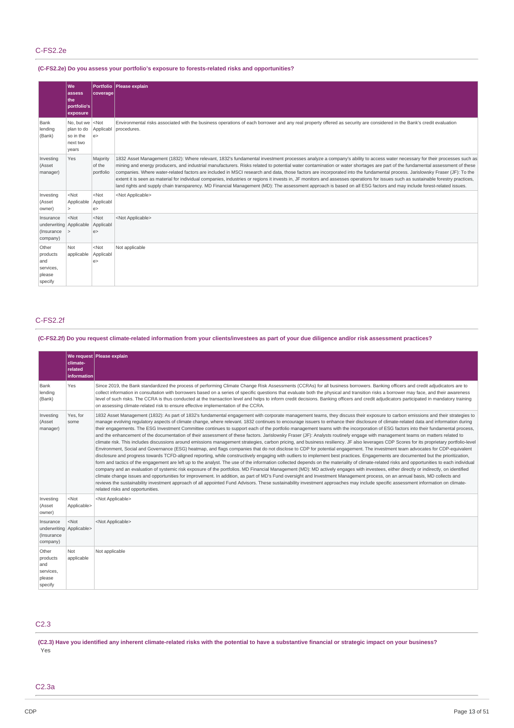# **(C-FS2.2e) Do you assess your portfolio's exposure to forests-related risks and opportunities?**

|                                                                | lwe:<br>assess<br>lthe:<br>portfolio's<br>exposure                          | coverage                        | Portfolio Please explain                                                                                                                                                                                                                                                                                                                                                                                                                                                                                                                                                                                                                                                                                                                                                                                                                                                                             |
|----------------------------------------------------------------|-----------------------------------------------------------------------------|---------------------------------|------------------------------------------------------------------------------------------------------------------------------------------------------------------------------------------------------------------------------------------------------------------------------------------------------------------------------------------------------------------------------------------------------------------------------------------------------------------------------------------------------------------------------------------------------------------------------------------------------------------------------------------------------------------------------------------------------------------------------------------------------------------------------------------------------------------------------------------------------------------------------------------------------|
| Bank<br>lending<br>(Bank)                                      | No, but we <not<br>plan to do<br/>so in the<br/>next two<br/>years</not<br> | Applicabl<br>e                  | Environmental risks associated with the business operations of each borrower and any real property offered as security are considered in the Bank's credit evaluation<br>procedures.                                                                                                                                                                                                                                                                                                                                                                                                                                                                                                                                                                                                                                                                                                                 |
| Investing<br>(Asset<br>manager)                                | Yes                                                                         | Majority<br>of the<br>portfolio | 1832 Asset Management (1832): Where relevant, 1832's fundamental investment processes analyze a company's ability to access water necessary for their processes such as<br>mining and energy producers, and industrial manufacturers. Risks related to potential water contamination or water shortages are part of the fundamental assessment of these<br>companies. Where water-related factors are included in MSCI research and data, those factors are incorporated into the fundamental process. Jarislowsky Fraser (JF): To the<br>extent it is seen as material for individual companies, industries or regions it invests in, JF monitors and assesses operations for issues such as sustainable forestry practices,<br>land rights and supply chain transparency. MD Financial Management (MD): The assessment approach is based on all ESG factors and may include forest-related issues. |
| Investing<br>(Asset<br>owner)                                  | $<$ Not<br>Applicable<br>$\mathbf{L}$                                       | $<$ Not<br>Applicabl<br>e       | <not applicable=""></not>                                                                                                                                                                                                                                                                                                                                                                                                                                                                                                                                                                                                                                                                                                                                                                                                                                                                            |
| Insurance<br>underwriting Applicable<br>(Insurance<br>company) | $<$ Not<br>∣>                                                               | $<$ Not<br>Applicabl<br>e >     | <not applicable=""></not>                                                                                                                                                                                                                                                                                                                                                                                                                                                                                                                                                                                                                                                                                                                                                                                                                                                                            |
| Other<br>products<br>and<br>services,<br>please<br>specify     | Not<br>applicable                                                           | $<$ Not<br>Applicabl<br>e >     | Not applicable                                                                                                                                                                                                                                                                                                                                                                                                                                                                                                                                                                                                                                                                                                                                                                                                                                                                                       |

# C-FS2.2f

# (C-FS2.2f) Do you request climate-related information from your clients/investees as part of your due diligence and/or risk assessment practices?

|                                                                 | climate-<br>related<br><i>information</i> | We request Please explain                                                                                                                                                                                                                                                                                                                                                                                                                                                                                                                                                                                                                                                                                                                                                                                                                                                                                                                                                                                                                                                                                                                                                                                                                                                                                                                                                                                                                                                                                                                                                                                                                                                                                                                                                                                                                                                                                                                                                                                                                                                                                          |
|-----------------------------------------------------------------|-------------------------------------------|--------------------------------------------------------------------------------------------------------------------------------------------------------------------------------------------------------------------------------------------------------------------------------------------------------------------------------------------------------------------------------------------------------------------------------------------------------------------------------------------------------------------------------------------------------------------------------------------------------------------------------------------------------------------------------------------------------------------------------------------------------------------------------------------------------------------------------------------------------------------------------------------------------------------------------------------------------------------------------------------------------------------------------------------------------------------------------------------------------------------------------------------------------------------------------------------------------------------------------------------------------------------------------------------------------------------------------------------------------------------------------------------------------------------------------------------------------------------------------------------------------------------------------------------------------------------------------------------------------------------------------------------------------------------------------------------------------------------------------------------------------------------------------------------------------------------------------------------------------------------------------------------------------------------------------------------------------------------------------------------------------------------------------------------------------------------------------------------------------------------|
| Bank<br>lending<br>(Bank)                                       | Yes                                       | Since 2019, the Bank standardized the process of performing Climate Change Risk Assessments (CCRAs) for all business borrowers. Banking officers and credit adjudicators are to<br>collect information in consultation with borrowers based on a series of specific questions that evaluate both the physical and transition risks a borrower may face, and their awareness<br>level of such risks. The CCRA is thus conducted at the transaction level and helps to inform credit decisions. Banking officers and credit adjudicators participated in mandatory training<br>on assessing climate-related risk to ensure effective implementation of the CCRA.                                                                                                                                                                                                                                                                                                                                                                                                                                                                                                                                                                                                                                                                                                                                                                                                                                                                                                                                                                                                                                                                                                                                                                                                                                                                                                                                                                                                                                                     |
| Investing<br>(Asset<br>manager)                                 | Yes, for<br>some                          | 1832 Asset Management (1832): As part of 1832's fundamental engagement with corporate management teams, they discuss their exposure to carbon emissions and their strategies to<br>manage evolving regulatory aspects of climate change, where relevant. 1832 continues to encourage issuers to enhance their disclosure of climate-related data and information during<br>their engagements. The ESG Investment Committee continues to support each of the portfolio management teams with the incorporation of ESG factors into their fundamental process,<br>and the enhancement of the documentation of their assessment of these factors. Jarislowsky Fraser (JF): Analysts routinely engage with management teams on matters related to<br>climate risk. This includes discussions around emissions management strategies, carbon pricing, and business resiliency. JF also leverages CDP Scores for its proprietary portfolio-level<br>Environment, Social and Governance (ESG) heatmap, and flags companies that do not disclose to CDP for potential engagement. The investment team advocates for CDP-equivalent<br>disclosure and progress towards TCFD-aligned reporting, while constructively engaging with outliers to implement best practices. Engagements are documented but the prioritization,<br>form and tactics of the engagement are left up to the analyst. The use of the information collected depends on the materiality of climate-related risks and opportunities to each individual<br>company and an evaluation of systemic risk exposure of the portfolios. MD Financial Management (MD): MD actively engages with investees, either directly or indirectly, on identified<br>climate change issues and opportunities for improvement. In addition, as part of MD's Fund oversight and Investment Management process, on an annual basis, MD collects and<br>reviews the sustainability investment approach of all appointed Fund Advisors. These sustainability investment approaches may include specific assessment information on climate-<br>related risks and opportunities. |
| Investing<br>(Asset<br>owner)                                   | $<$ Not<br>Applicable>                    | <not applicable=""></not>                                                                                                                                                                                                                                                                                                                                                                                                                                                                                                                                                                                                                                                                                                                                                                                                                                                                                                                                                                                                                                                                                                                                                                                                                                                                                                                                                                                                                                                                                                                                                                                                                                                                                                                                                                                                                                                                                                                                                                                                                                                                                          |
| Insurance<br>underwriting Applicable><br>(Insurance<br>company) | $<$ Not                                   | <not applicable=""></not>                                                                                                                                                                                                                                                                                                                                                                                                                                                                                                                                                                                                                                                                                                                                                                                                                                                                                                                                                                                                                                                                                                                                                                                                                                                                                                                                                                                                                                                                                                                                                                                                                                                                                                                                                                                                                                                                                                                                                                                                                                                                                          |
| Other<br>products<br>and<br>services,<br>please<br>specify      | Not<br>applicable                         | Not applicable                                                                                                                                                                                                                                                                                                                                                                                                                                                                                                                                                                                                                                                                                                                                                                                                                                                                                                                                                                                                                                                                                                                                                                                                                                                                                                                                                                                                                                                                                                                                                                                                                                                                                                                                                                                                                                                                                                                                                                                                                                                                                                     |

# C2.3

(C2.3) Have you identified any inherent climate-related risks with the potential to have a substantive financial or strategic impact on your business? Yes

# C2.3a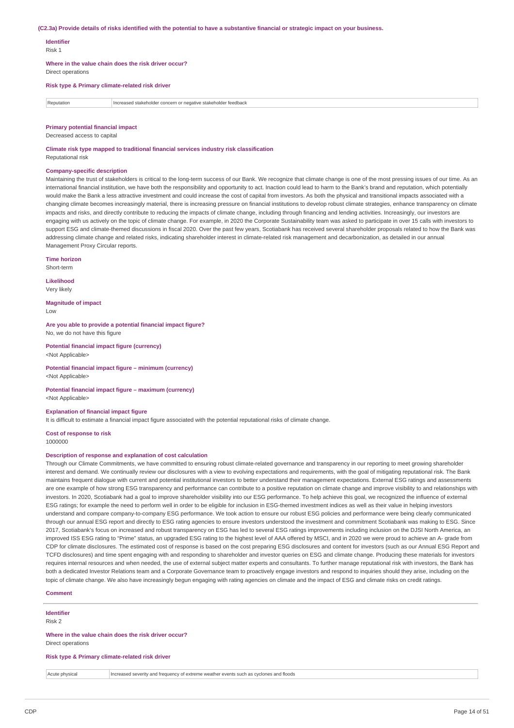#### (C2.3a) Provide details of risks identified with the potential to have a substantive financial or strategic impact on your business.

### **Identifier**

Risk 1

**Where in the value chain does the risk driver occur?**

Direct operations

# **Risk type & Primary climate-related risk driver**

**Reputation** Increased stakeholder concern or negative stakeholder feedback

#### **Primary potential financial impact**

Decreased access to capital

**Climate risk type mapped to traditional financial services industry risk classification** Reputational risk

#### **Company-specific description**

Maintaining the trust of stakeholders is critical to the long-term success of our Bank. We recognize that climate change is one of the most pressing issues of our time. As an international financial institution, we have both the responsibility and opportunity to act. Inaction could lead to harm to the Bank's brand and reputation, which potentially would make the Bank a less attractive investment and could increase the cost of capital from investors. As both the physical and transitional impacts associated with a changing climate becomes increasingly material, there is increasing pressure on financial institutions to develop robust climate strategies, enhance transparency on climate impacts and risks, and directly contribute to reducing the impacts of climate change, including through financing and lending activities. Increasingly, our investors are engaging with us actively on the topic of climate change. For example, in 2020 the Corporate Sustainability team was asked to participate in over 15 calls with investors to support ESG and climate-themed discussions in fiscal 2020. Over the past few years, Scotiabank has received several shareholder proposals related to how the Bank was addressing climate change and related risks, indicating shareholder interest in climate-related risk management and decarbonization, as detailed in our annual Management Proxy Circular reports.

**Time horizon** Short-term

**Likelihood**

Very likely

**Magnitude of impact** Low

**Are you able to provide a potential financial impact figure?** No, we do not have this figure

**Potential financial impact figure (currency)** <Not Applicable>

**Potential financial impact figure – minimum (currency)** <Not Applicable>

**Potential financial impact figure – maximum (currency)** <Not Applicable>

#### **Explanation of financial impact figure**

It is difficult to estimate a financial impact figure associated with the potential reputational risks of climate change.

**Cost of response to risk** 1000000

#### **Description of response and explanation of cost calculation**

Through our Climate Commitments, we have committed to ensuring robust climate-related governance and transparency in our reporting to meet growing shareholder interest and demand. We continually review our disclosures with a view to evolving expectations and requirements, with the goal of mitigating reputational risk. The Bank maintains frequent dialogue with current and potential institutional investors to better understand their management expectations. External ESG ratings and assessments are one example of how strong ESG transparency and performance can contribute to a positive reputation on climate change and improve visibility to and relationships with investors. In 2020, Scotiabank had a goal to improve shareholder visibility into our ESG performance. To help achieve this goal, we recognized the influence of external ESG ratings; for example the need to perform well in order to be eligible for inclusion in ESG-themed investment indices as well as their value in helping investors understand and compare company-to-company ESG performance. We took action to ensure our robust ESG policies and performance were being clearly communicated through our annual ESG report and directly to ESG rating agencies to ensure investors understood the investment and commitment Scotiabank was making to ESG. Since 2017, Scotiabank's focus on increased and robust transparency on ESG has led to several ESG ratings improvements including inclusion on the DJSI North America, an improved ISS ESG rating to "Prime" status, an upgraded ESG rating to the highest level of AAA offered by MSCI, and in 2020 we were proud to achieve an A- grade from CDP for climate disclosures. The estimated cost of response is based on the cost preparing ESG disclosures and content for investors (such as our Annual ESG Report and TCFD disclosures) and time spent engaging with and responding to shareholder and investor queries on ESG and climate change. Producing these materials for investors requires internal resources and when needed, the use of external subject matter experts and consultants. To further manage reputational risk with investors, the Bank has both a dedicated Investor Relations team and a Corporate Governance team to proactively engage investors and respond to inquiries should they arise, including on the topic of climate change. We also have increasingly begun engaging with rating agencies on climate and the impact of ESG and climate risks on credit ratings.

#### **Comment**

**Identifier**

Risk 2

**Where in the value chain does the risk driver occur?** Direct operations

**Risk type & Primary climate-related risk driver**

Acute physical Increased severity and frequency of extreme weather events such as cyclones and floods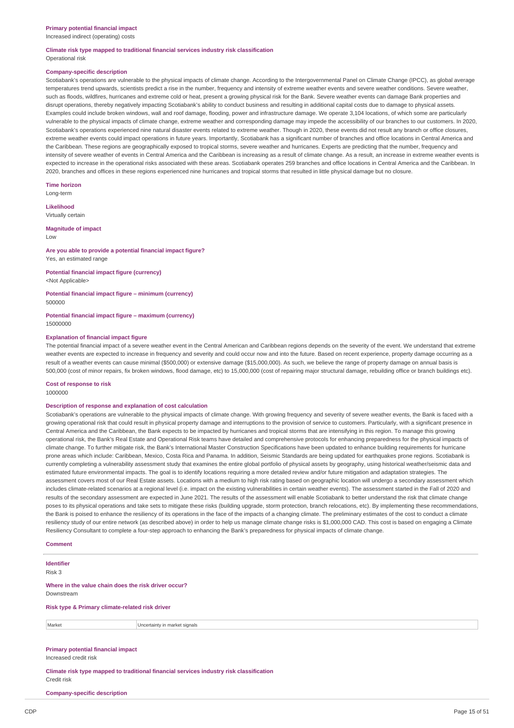Increased indirect (operating) costs

#### **Climate risk type mapped to traditional financial services industry risk classification** Operational risk

#### **Company-specific description**

Scotiabank's operations are vulnerable to the physical impacts of climate change. According to the Intergovernmental Panel on Climate Change (IPCC), as global average temperatures trend upwards, scientists predict a rise in the number, frequency and intensity of extreme weather events and severe weather conditions. Severe weather, such as floods, wildfires, hurricanes and extreme cold or heat, present a growing physical risk for the Bank. Severe weather events can damage Bank properties and disrupt operations, thereby negatively impacting Scotiabank's ability to conduct business and resulting in additional capital costs due to damage to physical assets. Examples could include broken windows, wall and roof damage, flooding, power and infrastructure damage. We operate 3,104 locations, of which some are particularly vulnerable to the physical impacts of climate change, extreme weather and corresponding damage may impede the accessibility of our branches to our customers. In 2020, Scotiabank's operations experienced nine natural disaster events related to extreme weather. Though in 2020, these events did not result any branch or office closures, extreme weather events could impact operations in future years. Importantly, Scotiabank has a significant number of branches and office locations in Central America and the Caribbean. These regions are geographically exposed to tropical storms, severe weather and hurricanes. Experts are predicting that the number, frequency and intensity of severe weather of events in Central America and the Caribbean is increasing as a result of climate change. As a result, an increase in extreme weather events is expected to increase in the operational risks associated with these areas. Scotiabank operates 259 branches and office locations in Central America and the Caribbean. In 2020, branches and offices in these regions experienced nine hurricanes and tropical storms that resulted in little physical damage but no closure.

**Time horizon** Long-term

**Likelihood**

Virtually certain

**Magnitude of impact**

Low

**Are you able to provide a potential financial impact figure?** Yes, an estimated range

**Potential financial impact figure (currency)** <Not Applicable>

**Potential financial impact figure – minimum (currency)** 500000

**Potential financial impact figure – maximum (currency)** 15000000

#### **Explanation of financial impact figure**

The potential financial impact of a severe weather event in the Central American and Caribbean regions depends on the severity of the event. We understand that extreme weather events are expected to increase in frequency and severity and could occur now and into the future. Based on recent experience, property damage occurring as a result of a weather events can cause minimal (\$500,000) or extensive damage (\$15,000,000). As such, we believe the range of property damage on annual basis is 500,000 (cost of minor repairs, fix broken windows, flood damage, etc) to 15,000,000 (cost of repairing major structural damage, rebuilding office or branch buildings etc).

#### **Cost of response to risk** 1000000

#### **Description of response and explanation of cost calculation**

Scotiabank's operations are vulnerable to the physical impacts of climate change. With growing frequency and severity of severe weather events, the Bank is faced with a growing operational risk that could result in physical property damage and interruptions to the provision of service to customers. Particularly, with a significant presence in Central America and the Caribbean, the Bank expects to be impacted by hurricanes and tropical storms that are intensifying in this region. To manage this growing operational risk, the Bank's Real Estate and Operational Risk teams have detailed and comprehensive protocols for enhancing preparedness for the physical impacts of climate change. To further mitigate risk, the Bank's International Master Construction Specifications have been updated to enhance building requirements for hurricane prone areas which include: Caribbean, Mexico, Costa Rica and Panama. In addition, Seismic Standards are being updated for earthquakes prone regions. Scotiabank is currently completing a vulnerability assessment study that examines the entire global portfolio of physical assets by geography, using historical weather/seismic data and estimated future environmental impacts. The goal is to identify locations requiring a more detailed review and/or future mitigation and adaptation strategies. The assessment covers most of our Real Estate assets. Locations with a medium to high risk rating based on geographic location will undergo a secondary assessment which includes climate-related scenarios at a regional level (i.e. impact on the existing vulnerabilities in certain weather events). The assessment started in the Fall of 2020 and results of the secondary assessment are expected in June 2021. The results of the assessment will enable Scotiabank to better understand the risk that climate change poses to its physical operations and take sets to mitigate these risks (building upgrade, storm protection, branch relocations, etc). By implementing these recommendations, the Bank is poised to enhance the resiliency of its operations in the face of the impacts of a changing climate. The preliminary estimates of the cost to conduct a climate resiliency study of our entire network (as described above) in order to help us manage climate change risks is \$1,000,000 CAD. This cost is based on engaging a Climate Resiliency Consultant to complete a four-step approach to enhancing the Bank's preparedness for physical impacts of climate change.

**Comment**

**Identifier** Risk 3 **Where in the value chain does the risk driver occur?** Downstream **Risk type & Primary climate-related risk driver** Market **Uncertainty in market signals Primary potential financial impact** Increased credit risk

**Climate risk type mapped to traditional financial services industry risk classification** Credit risk

**Company-specific description**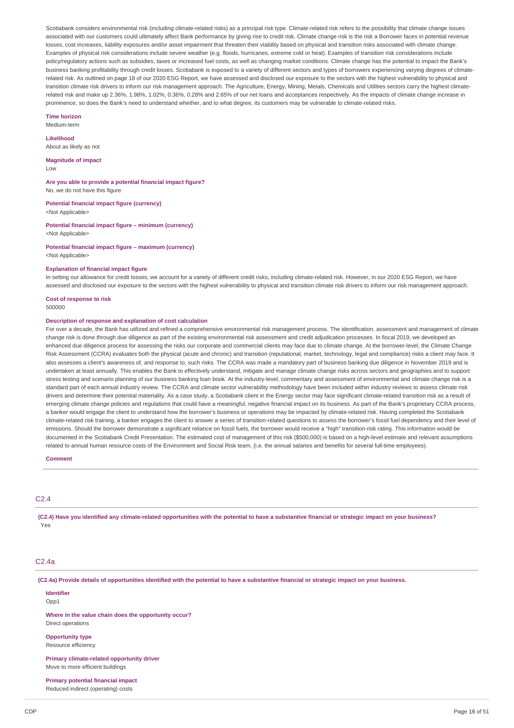Scotiabank considers environmental risk (including climate-related risks) as a principal risk type. Climate-related risk refers to the possibility that climate change issues associated with our customers could ultimately affect Bank performance by giving rise to credit risk. Climate change risk is the risk a Borrower faces in potential revenue losses, cost increases, liability exposures and/or asset impairment that threaten their viability based on physical and transition risks associated with climate change. Examples of physical risk considerations include severe weather (e.g. floods, hurricanes, extreme cold or heat). Examples of transition risk considerations include policy/regulatory actions such as subsidies, taxes or increased fuel costs, as well as changing market conditions. Climate change has the potential to impact the Bank's business banking profitability through credit losses. Scotiabank is exposed to a variety of different sectors and types of borrowers experiencing varying degrees of climaterelated risk. As outlined on page 18 of our 2020 ESG Report, we have assessed and disclosed our exposure to the sectors with the highest vulnerability to physical and transition climate risk drivers to inform our risk management approach. The Agriculture, Energy, Mining, Metals, Chemicals and Utilities sectors carry the highest climaterelated risk and make up 2.36%, 1.98%, 1.02%, 0.36%, 0.28% and 2.65% of our net loans and acceptances respectively. As the impacts of climate change increase in prominence, so does the Bank's need to understand whether, and to what degree, its customers may be vulnerable to climate-related risks.

#### **Time horizon**

Medium-term

**Likelihood**

About as likely as not

### **Magnitude of impact**

Low

**Are you able to provide a potential financial impact figure?** No, we do not have this figure

**Potential financial impact figure (currency)**

<Not Applicable>

**Potential financial impact figure – minimum (currency)** <Not Applicable>

**Potential financial impact figure – maximum (currency)** <Not Applicable>

#### **Explanation of financial impact figure**

In setting our allowance for credit losses, we account for a variety of different credit risks, including climate-related risk. However, in our 2020 ESG Report, we have assessed and disclosed our exposure to the sectors with the highest vulnerability to physical and transition climate risk drivers to inform our risk management approach.

**Cost of response to risk** 500000

#### **Description of response and explanation of cost calculation**

For over a decade, the Bank has utilized and refined a comprehensive environmental risk management process. The identification, assessment and management of climate change risk is done through due diligence as part of the existing environmental risk assessment and credit adjudication processes. In fiscal 2019, we developed an enhanced due diligence process for assessing the risks our corporate and commercial clients may face due to climate change. At the borrower-level, the Climate Change Risk Assessment (CCRA) evaluates both the physical (acute and chronic) and transition (reputational, market, technology, legal and compliance) risks a client may face. It also assesses a client's awareness of, and response to, such risks. The CCRA was made a mandatory part of business banking due diligence in November 2019 and is undertaken at least annually. This enables the Bank to effectively understand, mitigate and manage climate change risks across sectors and geographies and to support stress testing and scenario planning of our business banking loan book. At the industry-level, commentary and assessment of environmental and climate change risk is a standard part of each annual industry review. The CCRA and climate sector vulnerability methodology have been included within industry reviews to assess climate risk drivers and determine their potential materiality. As a case study, a Scotiabank client in the Energy sector may face significant climate-related transition risk as a result of emerging climate change policies and regulations that could have a meaningful, negative financial impact on its business. As part of the Bank's proprietary CCRA process, a banker would engage the client to understand how the borrower's business or operations may be impacted by climate-related risk. Having completed the Scotiabank climate-related risk training, a banker engages the client to answer a series of transition-related questions to assess the borrower's fossil fuel dependency and their level of emissions. Should the borrower demonstrate a significant reliance on fossil fuels, the borrower would receive a "high" transition-risk rating. This information would be documented in the Scotiabank Credit Presentation. The estimated cost of management of this risk (\$500,000) is based on a high-level estimate and relevant assumptions related to annual human resource costs of the Environment and Social Risk team, (i.e. the annual salaries and benefits for several full-time employees).

### **Comment**

# C2.4

(C2.4) Have you identified any climate-related opportunities with the potential to have a substantive financial or strategic impact on your business? Yes

#### C<sub>2</sub> Aa

(C2.4a) Provide details of opportunities identified with the potential to have a substantive financial or strategic impact on your business.

**Identifier** Opp1

**Where in the value chain does the opportunity occur?** Direct operations

**Opportunity type** Resource efficiency

**Primary climate-related opportunity driver** Move to more efficient buildings

**Primary potential financial impact** Reduced indirect (operating) costs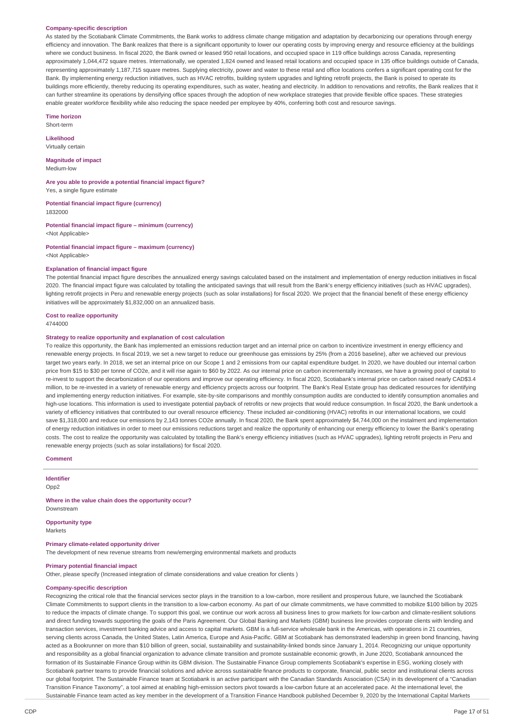#### **Company-specific description**

As stated by the Scotiabank Climate Commitments, the Bank works to address climate change mitigation and adaptation by decarbonizing our operations through energy efficiency and innovation. The Bank realizes that there is a significant opportunity to lower our operating costs by improving energy and resource efficiency at the buildings where we conduct business. In fiscal 2020, the Bank owned or leased 950 retail locations, and occupied space in 119 office buildings across Canada, representing approximately 1,044,472 square metres. Internationally, we operated 1,824 owned and leased retail locations and occupied space in 135 office buildings outside of Canada, representing approximately 1,187,715 square metres. Supplying electricity, power and water to these retail and office locations confers a significant operating cost for the Bank. By implementing energy reduction initiatives, such as HVAC retrofits, building system upgrades and lighting retrofit projects, the Bank is poised to operate its buildings more efficiently, thereby reducing its operating expenditures, such as water, heating and electricity. In addition to renovations and retrofits, the Bank realizes that it can further streamline its operations by densifying office spaces through the adoption of new workplace strategies that provide flexible office spaces. These strategies enable greater workforce flexibility while also reducing the space needed per employee by 40%, conferring both cost and resource savings.

#### **Time horizon**

Short-term

**Likelihood** Virtually certain

#### **Magnitude of impact**

Medium-low

**Are you able to provide a potential financial impact figure?** Yes, a single figure estimate

**Potential financial impact figure (currency)** 1832000

**Potential financial impact figure – minimum (currency)** <Not Applicable>

**Potential financial impact figure – maximum (currency)** <Not Applicable>

### **Explanation of financial impact figure**

The potential financial impact figure describes the annualized energy savings calculated based on the instalment and implementation of energy reduction initiatives in fiscal 2020. The financial impact figure was calculated by totalling the anticipated savings that will result from the Bank's energy efficiency initiatives (such as HVAC upgrades), lighting retrofit projects in Peru and renewable energy projects (such as solar installations) for fiscal 2020. We project that the financial benefit of these energy efficiency initiatives will be approximately \$1,832,000 on an annualized basis.

# **Cost to realize opportunity**

4744000

### **Strategy to realize opportunity and explanation of cost calculation**

To realize this opportunity, the Bank has implemented an emissions reduction target and an internal price on carbon to incentivize investment in energy efficiency and renewable energy projects. In fiscal 2019, we set a new target to reduce our greenhouse gas emissions by 25% (from a 2016 baseline), after we achieved our previous target two years early. In 2018, we set an internal price on our Scope 1 and 2 emissions from our capital expenditure budget. In 2020, we have doubled our internal carbon price from \$15 to \$30 per tonne of CO2e, and it will rise again to \$60 by 2022. As our internal price on carbon incrementally increases, we have a growing pool of capital to re-invest to support the decarbonization of our operations and improve our operating efficiency. In fiscal 2020, Scotiabank's internal price on carbon raised nearly CAD\$3.4 million, to be re-invested in a variety of renewable energy and efficiency projects across our footprint. The Bank's Real Estate group has dedicated resources for identifying and implementing energy reduction initiatives. For example, site-by-site comparisons and monthly consumption audits are conducted to identify consumption anomalies and high-use locations. This information is used to investigate potential payback of retrofits or new projects that would reduce consumption. In fiscal 2020, the Bank undertook a variety of efficiency initiatives that contributed to our overall resource efficiency. These included air-conditioning (HVAC) retrofits in our international locations, we could save \$1,318,000 and reduce our emissions by 2,143 tonnes CO2e annually. In fiscal 2020, the Bank spent approximately \$4,744,000 on the instalment and implementation of energy reduction initiatives in order to meet our emissions reductions target and realize the opportunity of enhancing our energy efficiency to lower the Bank's operating costs. The cost to realize the opportunity was calculated by totalling the Bank's energy efficiency initiatives (such as HVAC upgrades), lighting retrofit projects in Peru and renewable energy projects (such as solar installations) for fiscal 2020.

### **Comment**

**Identifier** Opp2

**Where in the value chain does the opportunity occur?**

# **Opportunity type**

Markets

Downstream

### **Primary climate-related opportunity driver**

The development of new revenue streams from new/emerging environmental markets and products

# **Primary potential financial impact**

Other, please specify (Increased integration of climate considerations and value creation for clients )

## **Company-specific description**

Recognizing the critical role that the financial services sector plays in the transition to a low-carbon, more resilient and prosperous future, we launched the Scotiabank Climate Commitments to support clients in the transition to a low-carbon economy. As part of our climate commitments, we have committed to mobilize \$100 billion by 2025 to reduce the impacts of climate change. To support this goal, we continue our work across all business lines to grow markets for low-carbon and climate-resilient solutions and direct funding towards supporting the goals of the Paris Agreement. Our Global Banking and Markets (GBM) business line provides corporate clients with lending and transaction services, investment banking advice and access to capital markets. GBM is a full-service wholesale bank in the Americas, with operations in 21 countries, serving clients across Canada, the United States, Latin America, Europe and Asia-Pacific. GBM at Scotiabank has demonstrated leadership in green bond financing, having acted as a Bookrunner on more than \$10 billion of green, social, sustainability and sustainability-linked bonds since January 1, 2014. Recognizing our unique opportunity and responsibility as a global financial organization to advance climate transition and promote sustainable economic growth, in June 2020, Scotiabank announced the formation of its Sustainable Finance Group within its GBM division. The Sustainable Finance Group complements Scotiabank's expertise in ESG, working closely with Scotiabank partner teams to provide financial solutions and advice across sustainable finance products to corporate, financial, public sector and institutional clients across our global footprint. The Sustainable Finance team at Scotiabank is an active participant with the Canadian Standards Association (CSA) in its development of a "Canadian Transition Finance Taxonomy", a tool aimed at enabling high-emission sectors pivot towards a low-carbon future at an accelerated pace. At the international level, the Sustainable Finance team acted as key member in the development of a Transition Finance Handbook published December 9, 2020 by the International Capital Markets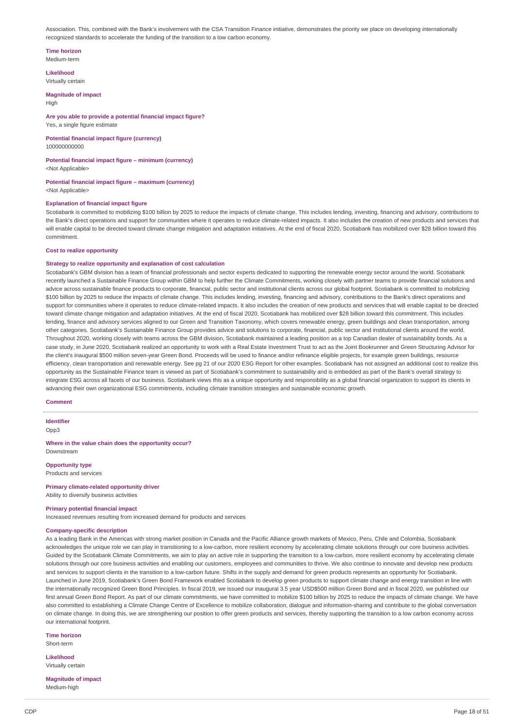Association. This, combined with the Bank's involvement with the CSA Transition Finance initiative, demonstrates the priority we place on developing internationally recognized standards to accelerate the funding of the transition to a low carbon economy.

# **Time horizon**

Medium-term

**Likelihood** Virtually certain

**Magnitude of impact** High

## **Are you able to provide a potential financial impact figure?**

Yes, a single figure estimate

#### **Potential financial impact figure (currency)** 100000000000

# **Potential financial impact figure – minimum (currency)**

<Not Applicable>

#### **Potential financial impact figure – maximum (currency)** <Not Applicable>

#### **Explanation of financial impact figure**

Scotiabank is committed to mobilizing \$100 billion by 2025 to reduce the impacts of climate change. This includes lending, investing, financing and advisory, contributions to the Bank's direct operations and support for communities where it operates to reduce climate-related impacts. It also includes the creation of new products and services that will enable capital to be directed toward climate change mitigation and adaptation initiatives. At the end of fiscal 2020, Scotiabank has mobilized over \$28 billion toward this commitment.

### **Cost to realize opportunity**

#### **Strategy to realize opportunity and explanation of cost calculation**

Scotiabank's GBM division has a team of financial professionals and sector experts dedicated to supporting the renewable energy sector around the world. Scotiabank recently launched a Sustainable Finance Group within GBM to help further the Climate Commitments, working closely with partner teams to provide financial solutions and advice across sustainable finance products to corporate, financial, public sector and institutional clients across our global footprint. Scotiabank is committed to mobilizing \$100 billion by 2025 to reduce the impacts of climate change. This includes lending, investing, financing and advisory, contributions to the Bank's direct operations and support for communities where it operates to reduce climate-related impacts. It also includes the creation of new products and services that will enable capital to be directed toward climate change mitigation and adaptation initiatives. At the end of fiscal 2020, Scotiabank has mobilized over \$28 billion toward this commitment. This includes lending, finance and advisory services aligned to our Green and Transition Taxonomy, which covers renewable energy, green buildings and clean transportation, among other categories. Scotiabank's Sustainable Finance Group provides advice and solutions to corporate, financial, public sector and institutional clients around the world. Throughout 2020, working closely with teams across the GBM division, Scotiabank maintained a leading position as a top Canadian dealer of sustainability bonds. As a case study, in June 2020, Scotiabank realized an opportunity to work with a Real Estate Investment Trust to act as the Joint Bookrunner and Green Structuring Advisor for the client's inaugural \$500 million seven-year Green Bond. Proceeds will be used to finance and/or refinance eligible projects, for example green buildings, resource efficiency, clean transportation and renewable energy. See pg 21 of our 2020 ESG Report for other examples. Scotiabank has not assigned an additional cost to realize this opportunity as the Sustainable Finance team is viewed as part of Scotiabank's commitment to sustainability and is embedded as part of the Bank's overall strategy to integrate ESG across all facets of our business. Scotiabank views this as a unique opportunity and responsibility as a global financial organization to support its clients in advancing their own organizational ESG commitments, including climate transition strategies and sustainable economic growth.

#### **Comment**

**Identifier**

Opp3

#### **Where in the value chain does the opportunity occur?** Downstream

**Opportunity type**

Products and services

#### **Primary climate-related opportunity driver** Ability to diversify business activities

# **Primary potential financial impact**

Increased revenues resulting from increased demand for products and services

#### **Company-specific description**

As a leading Bank in the Americas with strong market position in Canada and the Pacific Alliance growth markets of Mexico, Peru, Chile and Colombia, Scotiabank acknowledges the unique role we can play in transitioning to a low-carbon, more resilient economy by accelerating climate solutions through our core business activities. Guided by the Scotiabank Climate Commitments, we aim to play an active role in supporting the transition to a low-carbon, more resilient economy by accelerating climate solutions through our core business activities and enabling our customers, employees and communities to thrive. We also continue to innovate and develop new products and services to support clients in the transition to a low-carbon future. Shifts in the supply and demand for green products represents an opportunity for Scotiabank. Launched in June 2019, Scotiabank's Green Bond Framework enabled Scotiabank to develop green products to support climate change and energy transition in line with the internationally recognized Green Bond Principles. In fiscal 2019, we issued our inaugural 3.5 year USD\$500 million Green Bond and in fiscal 2020, we published our first annual Green Bond Report. As part of our climate commitments, we have committed to mobilize \$100 billion by 2025 to reduce the impacts of climate change. We have also committed to establishing a Climate Change Centre of Excellence to mobilize collaboration, dialogue and information-sharing and contribute to the global conversation on climate change. In doing this, we are strengthening our position to offer green products and services, thereby supporting the transition to a low carbon economy across our international footprint.

#### **Time horizon**

Short-term

**Likelihood** Virtually certain

# **Magnitude of impact**

Medium-high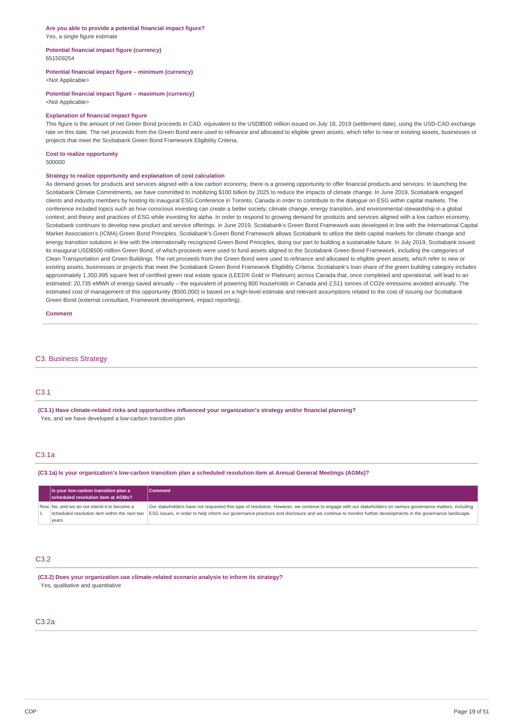#### **Are you able to provide a potential financial impact figure?** Yes, a single figure estimate

#### **Potential financial impact figure (currency)** 651509254

# **Potential financial impact figure – minimum (currency)**

<Not Applicable>

**Potential financial impact figure – maximum (currency)** <Not Applicable>

### **Explanation of financial impact figure**

This figure is the amount of net Green Bond proceeds in CAD, equivalent to the USD\$500 million issued on July 18, 2019 (settlement date), using the USD-CAD exchange rate on this date. The net proceeds from the Green Bond were used to refinance and allocated to eligible green assets, which refer to new or existing assets, businesses or projects that meet the Scotiabank Green Bond Framework Eligibility Criteria.

#### **Cost to realize opportunity** 500000

#### **Strategy to realize opportunity and explanation of cost calculation**

As demand grows for products and services aligned with a low carbon economy, there is a growing opportunity to offer financial products and services. In launching the Scotiabank Climate Commitments, we have committed to mobilizing \$100 billion by 2025 to reduce the impacts of climate change. In June 2019, Scotiabank engaged clients and industry members by hosting its inaugural ESG Conference in Toronto, Canada in order to contribute to the dialogue on ESG within capital markets. The conference included topics such as how conscious investing can create a better society; climate change, energy transition, and environmental stewardship in a global context; and theory and practices of ESG while investing for alpha. In order to respond to growing demand for products and services aligned with a low carbon economy, Scotiabank continues to develop new product and service offerings. in June 2019, Scotiabank's Green Bond Framework was developed in line with the International Capital Market Association's (ICMA) Green Bond Principles. Scotiabank's Green Bond Framework allows Scotiabank to utilize the debt capital markets for climate change and energy transition solutions in line with the internationally recognized Green Bond Principles, doing our part to building a sustainable future. In July 2019, Scotiabank issued its inaugural USD\$500 million Green Bond, of which proceeds were used to fund assets aligned to the Scotiabank Green Bond Framework, including the categories of Clean Transportation and Green Buildings. The net proceeds from the Green Bond were used to refinance and allocated to eligible green assets, which refer to new or existing assets, businesses or projects that meet the Scotiabank Green Bond Framework Eligibility Criteria. Scotiabank's loan share of the green building category includes approximately 1,350,995 square feet of certified green real estate space (LEED® Gold or Platinum) across Canada that, once completed and operational, will lead to an estimated: 20,735 eMWh of energy saved annually – the equivalent of powering 800 households in Canada and 2,511 tonnes of CO2e emissions avoided annually. The estimated cost of management of this opportunity (\$500,000) is based on a high-level estimate and relevant assumptions related to the cost of issuing our Scotiabank Green Bond (external consultant, Framework development, impact reporting).

**Comment**

#### C3. Business Strategy

# C3.1

**(C3.1) Have climate-related risks and opportunities influenced your organization's strategy and/or financial planning?** Yes, and we have developed a low-carbon transition plan

## C3.1a

(C3.1a) Is your organization's low-carbon transition plan a scheduled resolution item at Annual General Meetings (AGMs)?

| Is your low-carbon transition plan a<br>scheduled resolution item at AGMs? | Comment                                                                                                                                                    |
|----------------------------------------------------------------------------|------------------------------------------------------------------------------------------------------------------------------------------------------------|
| Row No, and we do not intend it to become a                                | Our stakeholders have not requested this type of resolution. However, we continue to engage with our stakeholders on various governance matters, including |
| scheduled resolution item within the next two                              | ESG issues, in order to help inform our governance practices and disclosure and we continue to monitor further developments in the governance landscape.   |
| years                                                                      |                                                                                                                                                            |

# C3.2

**(C3.2) Does your organization use climate-related scenario analysis to inform its strategy?** Yes, qualitative and quantitative

# C3.2a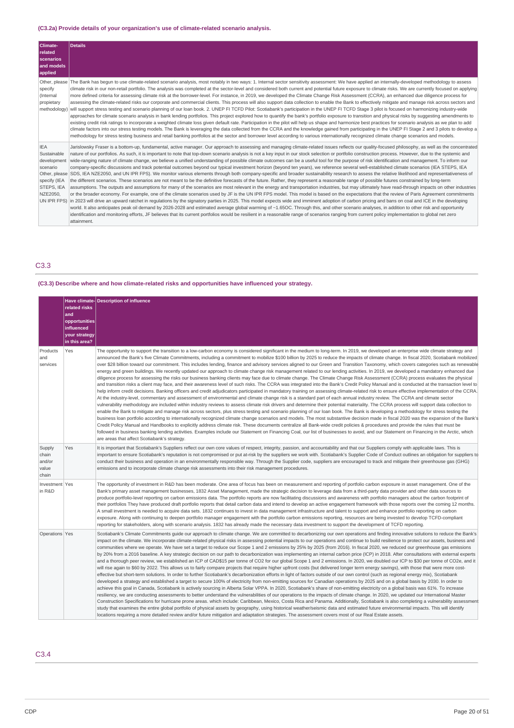# **(C3.2a) Provide details of your organization's use of climate-related scenario analysis.**

| Climate-<br>related<br>scenarios<br>and models<br>applied                                                       | Details                                                                                                                                                                                                                                                                                                                                                                                                                                                                                                                                                                                                                                                                                                                                                                                                                                                                                                                                                                                                                                                                                                                                                                                                                                                                                                                                                                                                                                                                                                                                                                                                                                                                                                                                                                                                                                                                                                                                                                                                                                                                                                                                                                                                                                                      |
|-----------------------------------------------------------------------------------------------------------------|--------------------------------------------------------------------------------------------------------------------------------------------------------------------------------------------------------------------------------------------------------------------------------------------------------------------------------------------------------------------------------------------------------------------------------------------------------------------------------------------------------------------------------------------------------------------------------------------------------------------------------------------------------------------------------------------------------------------------------------------------------------------------------------------------------------------------------------------------------------------------------------------------------------------------------------------------------------------------------------------------------------------------------------------------------------------------------------------------------------------------------------------------------------------------------------------------------------------------------------------------------------------------------------------------------------------------------------------------------------------------------------------------------------------------------------------------------------------------------------------------------------------------------------------------------------------------------------------------------------------------------------------------------------------------------------------------------------------------------------------------------------------------------------------------------------------------------------------------------------------------------------------------------------------------------------------------------------------------------------------------------------------------------------------------------------------------------------------------------------------------------------------------------------------------------------------------------------------------------------------------------------|
| Other, please<br>specify<br>(Internal<br>propietary<br>methodology)                                             | The Bank has begun to use climate-related scenario analysis, most notably in two ways: 1. Internal sector sensitivity assessment: We have applied an internally-developed methodology to assess<br>climate risk in our non-retail portfolio. The analysis was completed at the sector-level and considered both current and potential future exposure to climate risks. We are currently focused on applying<br>more defined criteria for assessing climate risk at the borrower-level. For instance, in 2019, we developed the Climate Change Risk Assessment (CCRA), an enhanced due diligence process for<br>assessing the climate-related risks our corporate and commercial clients. This process will also support data collection to enable the Bank to effectively mitigate and manage risk across sectors and<br>will support stress testing and scenario planning of our loan book. 2. UNEP FI TCFD Pilot: Scotiabank's participation in the UNEP FI TCFD Stage 3 pilot is focused on harmonizing industry-wide<br>approaches for climate scenario analysis in bank lending portfolios. This project explored how to quantify the bank's portfolio exposure to transition and physical risks by suggesting amendments to<br>existing credit risk ratings to incorporate a weighted climate loss given default rate. Participation in the pilot will help us shape and harmonize best practices for scenario analysis as we plan to add<br>climate factors into our stress testing models. The Bank is leveraging the data collected from the CCRA and the knowledge gained from participating in the UNEP FI Stage 2 and 3 pilots to develop a<br>methodology for stress testing business and retail banking portfolios at the sector and borrower level according to various internationally recognized climate change scenarios and models.                                                                                                                                                                                                                                                                                                                                                                                                      |
| <b>IEA</b><br>Sustainable<br>development<br>scenario<br>Other, please<br>specify (IEA<br>STEPS, IEA<br>NZE2050. | Jarislowsky Fraser is a bottom-up, fundamental, active manager. Our approach to assessing and managing climate-related issues reflects our quality-focused philosophy, as well as the concentrated<br>nature of our portfolios. As such, it is important to note that top-down scenario analysis is not a key input in our stock selection or portfolio construction process. However, due to the systemic and<br>wide-ranging nature of climate change, we believe a unified understanding of possible climate outcomes can be a useful tool for the purpose of risk identification and management. To inform our<br>company-specific discussions and track potential outcomes beyond our typical investment horizon (beyond ten years), we reference several well-established climate scenarios (IEA STEPS, IEA<br>SDS, IEA NZE2050, and UN IPR FPS). We monitor various elements through both company-specific and broader sustainability research to assess the relative likelihood and representativeness of<br>the different scenarios. These scenarios are not meant to be the definitive forecasts of the future. Rather, they represent a reasonable range of possible futures constrained by long-term<br>assumptions. The outputs and assumptions for many of the scenarios are most relevant in the energy and transportation industries, but may ultimately have read-through impacts on other industries<br>or the broader economy. For example, one of the climate scenarios used by JF is the UN IPR FPS model. This model is based on the expectations that the review of Paris Agreement commitments<br>UN IPR FPS) in 2023 will drive an upward ratchet in requlations by the signatory parties in 2025. This model expects wide and imminent adoption of carbon pricing and bans on coal and ICE in the developing<br>world. It also anticipates peak oil demand by 2026-2028 and estimated average global warming of ~1.65OC. Through this, and other scenario analyses, in addition to other risk and opportunity<br>identification and monitoring efforts, JF believes that its current portfolios would be resilient in a reasonable range of scenarios ranging from current policy implementation to global net zero<br>attainment. |

# C3.3

# **(C3.3) Describe where and how climate-related risks and opportunities have influenced your strategy.**

|                                             | related risks<br>and<br>opportunities<br>influenced<br>vour strategy<br>in this area? | Have climate- Description of influence                                                                                                                                                                                                                                                                                                                                                                                                                                                                                                                                                                                                                                                                                                                                                                                                                                                                                                                                                                                                                                                                                                                                                                                                                                                                                                                                                                                                                                                                                                                                                                                                                                                                                                                                                                                                                                                                                                                                                                                                                                                                                                                                                                                                                                                                                                                                                                                                                                                                                              |
|---------------------------------------------|---------------------------------------------------------------------------------------|-------------------------------------------------------------------------------------------------------------------------------------------------------------------------------------------------------------------------------------------------------------------------------------------------------------------------------------------------------------------------------------------------------------------------------------------------------------------------------------------------------------------------------------------------------------------------------------------------------------------------------------------------------------------------------------------------------------------------------------------------------------------------------------------------------------------------------------------------------------------------------------------------------------------------------------------------------------------------------------------------------------------------------------------------------------------------------------------------------------------------------------------------------------------------------------------------------------------------------------------------------------------------------------------------------------------------------------------------------------------------------------------------------------------------------------------------------------------------------------------------------------------------------------------------------------------------------------------------------------------------------------------------------------------------------------------------------------------------------------------------------------------------------------------------------------------------------------------------------------------------------------------------------------------------------------------------------------------------------------------------------------------------------------------------------------------------------------------------------------------------------------------------------------------------------------------------------------------------------------------------------------------------------------------------------------------------------------------------------------------------------------------------------------------------------------------------------------------------------------------------------------------------------------|
| Products<br>and<br>services                 | Yes                                                                                   | The opportunity to support the transition to a low-carbon economy is considered significant in the medium to long-term. In 2019, we developed an enterprise wide climate strategy and<br>announced the Bank's five Climate Commitments, including a commitment to mobilize \$100 billion by 2025 to reduce the impacts of climate change. In fiscal 2020, Scotiabank mobilized<br>over \$28 billion toward our commitment. This includes lending, finance and advisory services aligned to our Green and Transition Taxonomy, which covers categories such as renewable<br>energy and green buildings. We recently updated our approach to climate change risk management related to our lending activities. In 2019, we developed a mandatory enhanced due<br>diligence process for assessing the risks our business banking clients may face due to climate change. The Climate Change Risk Assessment (CCRA) process evaluates the physical<br>and transition risks a client may face, and their awareness level of such risks. The CCRA was integrated into the Bank's Credit Policy Manual and is conducted at the transaction level to<br>help inform credit decisions. Banking officers and credit adjudicators participated in mandatory training on assessing climate-related risk to ensure effective implementation of the CCRA.<br>At the industry-level, commentary and assessment of environmental and climate change risk is a standard part of each annual industry review. The CCRA and climate sector<br>vulnerability methodology are included within industry reviews to assess climate risk drivers and determine their potential materiality. The CCRA process will support data collection to<br>enable the Bank to mitigate and manage risk across sectors, plus stress testing and scenario planning of our loan book. The Bank is developing a methodology for stress testing the<br>business loan portfolio according to internationally recognized climate change scenarios and models. The most substantive decision made in fiscal 2020 was the expansion of the Bank's<br>Credit Policy Manual and Handbooks to explicitly address climate risk. These documents centralize all Bank-wide credit policies & procedures and provide the rules that must be<br>followed in business banking lending activities. Examples include our Statement on Financing Coal, our list of businesses to avoid, and our Statement on Financing in the Arctic, which<br>are areas that affect Scotiabank's strategy. |
| Supply<br>chain<br>and/or<br>value<br>chain | Yes                                                                                   | It is important that Scotiabank's Suppliers reflect our own core values of respect, integrity, passion, and accountability and that our Suppliers comply with applicable laws. This is<br>important to ensure Scotiabank's reputation is not compromised or put at-risk by the suppliers we work with. Scotiabank's Supplier Code of Conduct outlines an obligation for suppliers to<br>conduct their business and operation in an environmentally responsible way. Through the Supplier code, suppliers are encouraged to track and mitigate their greenhouse gas (GHG)<br>emissions and to incorporate climate change risk assessments into their risk management procedures.                                                                                                                                                                                                                                                                                                                                                                                                                                                                                                                                                                                                                                                                                                                                                                                                                                                                                                                                                                                                                                                                                                                                                                                                                                                                                                                                                                                                                                                                                                                                                                                                                                                                                                                                                                                                                                                     |
| Investment Yes<br>in R&D                    |                                                                                       | The opportunity of investment in R&D has been moderate. One area of focus has been on measurement and reporting of portfolio carbon exposure in asset management. One of the<br>Bank's primary asset management businesses, 1832 Asset Management, made the strategic decision to leverage data from a third-party data provider and other data sources to<br>produce portfolio-level reporting on carbon emissions data. The portfolio reports are now facilitating discussions and awareness with portfolio managers about the carbon footprint of<br>their portfolios They have produced draft portfolio reports that detail carbon data and intend to develop an active engagement framework with those reports over the coming 12 months.<br>A small investment is needed to acquire data sets. 1832 continues to invest in data management infrastructure and talent to support and enhance portfolio reporting on carbon<br>exposure. Along with continuing to deepen portfolio manager engagement with the portfolio carbon emissions reporting, resources are being invested to develop TCFD-compliant<br>reporting for stakeholders, along with scenario analysis. 1832 has already made the necessary data investment to support the development of TCFD reporting.                                                                                                                                                                                                                                                                                                                                                                                                                                                                                                                                                                                                                                                                                                                                                                                                                                                                                                                                                                                                                                                                                                                                                                                                                                                      |
| Operations Yes                              |                                                                                       | Scotiabank's Climate Commitments quide our approach to climate change. We are committed to decarbonizing our own operations and finding innovative solutions to reduce the Bank's<br>impact on the climate. We incorporate climate-related physical risks in assessing potential impacts to our operations and continue to build resilience to protect our assets, business and<br>communities where we operate. We have set a target to reduce our Scope 1 and 2 emissions by 25% by 2025 (from 2016). In fiscal 2020, we reduced our greenhouse gas emissions<br>by 20% from a 2016 baseline. A key strategic decision on our path to decarbonization was implementing an internal carbon price (ICP) in 2018. After consultations with external experts<br>and a thorough peer review, we established an ICP of CAD\$15 per tonne of CO2 for our global Scope 1 and 2 emissions. In 2020, we doubled our ICP to \$30 per tonne of CO2e, and it<br>will rise again to \$60 by 2022. This allows us to fairly compare projects that require higher upfront costs (but delivered longer term energy savings), with those that were more cost-<br>effective but short-term solutions. In order to further Scotiabank's decarbonization efforts in light of factors outside of our own control (such as regional energy mix), Scotiabank<br>developed a strategy and established a target to secure 100% of electricity from non-emitting sources for Canadian operations by 2025 and on a global basis by 2030. In order to<br>achieve this goal in Canada, Scotiabank is actively sourcing in Alberta Solar VPPA. In 2020, Scotiabank's share of non-emitting electricity on a global basis was 61%. To increase<br>resiliency, we are conducting assessments to better understand the vulnerabilities of our operations to the impacts of climate change. In 2020, we updated our International Master<br>Construction Specifications for hurricane prone areas. which include: Caribbean, Mexico, Costa Rica and Panama. Additionally, Scotiabank is also completing a vulnerability assessment<br>study that examines the entire global portfolio of physical assets by geography, using historical weather/seismic data and estimated future environmental impacts. This will identify<br>locations requiring a more detailed review and/or future mitigation and adaptation strategies. The assessment covers most of our Real Estate assets.                                                                                  |

C3.4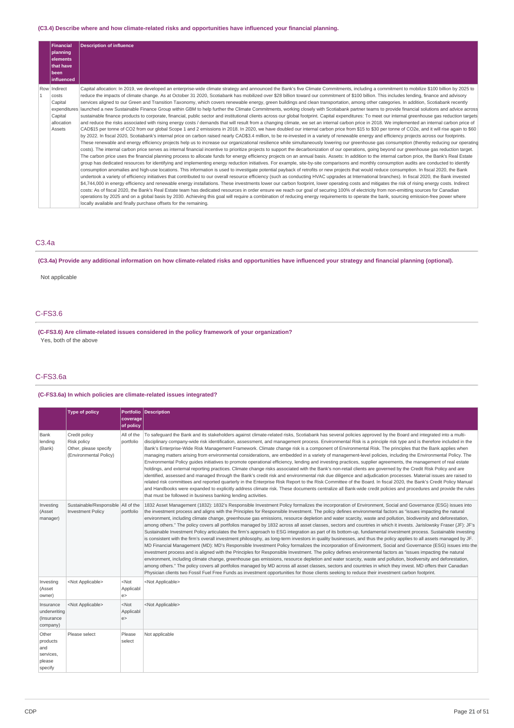### **(C3.4) Describe where and how climate-related risks and opportunities have influenced your financial planning.**

| Financial<br>planning                                               | <b>Description of influence</b>                                                                                                                                                                                                                                                                                                                                                                                                                                                                                                                                                                                                                                                                                                                                                                                                                                                                                                                                                                                                                                                                                                                                                                                                                                                                                                                                                                                                                                                                                                                                                                                                                                                                                                                                                                                                                                                                                                                                                                                                                                                                                                                                                                                                                                                                                                                                                                                                                                                                                                                                                                                                                                                                                                                                                                                                                                                                                                                                                                                                                                                                                                                                                                                                                                                                                                                                                                                                                                                                                    |
|---------------------------------------------------------------------|--------------------------------------------------------------------------------------------------------------------------------------------------------------------------------------------------------------------------------------------------------------------------------------------------------------------------------------------------------------------------------------------------------------------------------------------------------------------------------------------------------------------------------------------------------------------------------------------------------------------------------------------------------------------------------------------------------------------------------------------------------------------------------------------------------------------------------------------------------------------------------------------------------------------------------------------------------------------------------------------------------------------------------------------------------------------------------------------------------------------------------------------------------------------------------------------------------------------------------------------------------------------------------------------------------------------------------------------------------------------------------------------------------------------------------------------------------------------------------------------------------------------------------------------------------------------------------------------------------------------------------------------------------------------------------------------------------------------------------------------------------------------------------------------------------------------------------------------------------------------------------------------------------------------------------------------------------------------------------------------------------------------------------------------------------------------------------------------------------------------------------------------------------------------------------------------------------------------------------------------------------------------------------------------------------------------------------------------------------------------------------------------------------------------------------------------------------------------------------------------------------------------------------------------------------------------------------------------------------------------------------------------------------------------------------------------------------------------------------------------------------------------------------------------------------------------------------------------------------------------------------------------------------------------------------------------------------------------------------------------------------------------------------------------------------------------------------------------------------------------------------------------------------------------------------------------------------------------------------------------------------------------------------------------------------------------------------------------------------------------------------------------------------------------------------------------------------------------------------------------------------------------|
| <b>elements</b><br>that have<br> been                               |                                                                                                                                                                                                                                                                                                                                                                                                                                                                                                                                                                                                                                                                                                                                                                                                                                                                                                                                                                                                                                                                                                                                                                                                                                                                                                                                                                                                                                                                                                                                                                                                                                                                                                                                                                                                                                                                                                                                                                                                                                                                                                                                                                                                                                                                                                                                                                                                                                                                                                                                                                                                                                                                                                                                                                                                                                                                                                                                                                                                                                                                                                                                                                                                                                                                                                                                                                                                                                                                                                                    |
| l influenced                                                        |                                                                                                                                                                                                                                                                                                                                                                                                                                                                                                                                                                                                                                                                                                                                                                                                                                                                                                                                                                                                                                                                                                                                                                                                                                                                                                                                                                                                                                                                                                                                                                                                                                                                                                                                                                                                                                                                                                                                                                                                                                                                                                                                                                                                                                                                                                                                                                                                                                                                                                                                                                                                                                                                                                                                                                                                                                                                                                                                                                                                                                                                                                                                                                                                                                                                                                                                                                                                                                                                                                                    |
| Row Indirect<br>costs<br>Capital<br>Capital<br>allocation<br>Assets | Capital allocation: In 2019, we developed an enterprise-wide climate strategy and announced the Bank's five Climate Commitments, including a commitment to mobilize \$100 billion by 2025 to<br>reduce the impacts of climate change. As at October 31 2020, Scotiabank has mobilized over \$28 billion toward our commitment of \$100 billion. This includes lending, finance and advisory<br>services aligned to our Green and Transition Taxonomy, which covers renewable energy, green buildings and clean transportation, among other categories. In addition, Scotiabank recently<br>expenditures   launched a new Sustainable Finance Group within GBM to help further the Climate Commitments, working closely with Scotiabank partner teams to provide financial solutions and advice across<br>sustainable finance products to corporate, financial, public sector and institutional clients across our global footprint. Capital expenditures: To meet our internal greenhouse gas reduction targets<br>and reduce the risks associated with rising energy costs / demands that will result from a changing climate, we set an internal carbon price in 2018. We implemented an internal carbon price in 2018.<br>CAD\$15 per tonne of CO2 from our global Scope 1 and 2 emissions in 2018. In 2020, we have doubled our internal carbon price from \$15 to \$30 per tonne of CO2e, and it will rise again to \$60<br>by 2022. In fiscal 2020, Scotiabank's internal price on carbon raised nearly CAD\$3.4 million, to be re-invested in a variety of renewable energy and efficiency projects across our footprints.<br>These renewable and energy efficiency projects help us to increase our organizational resilience while simultaneously lowering our greenhouse gas consumption (thereby reducing our operating<br>costs). The internal carbon price serves as internal financial incentive to prioritize projects to support the decarbonization of our operations, going beyond our greenhouse gas reduction target.<br>The carbon price uses the financial planning process to allocate funds for energy efficiency projects on an annual basis. Assets: In addition to the internal carbon price, the Bank's Real Estate<br>group has dedicated resources for identifying and implementing energy reduction initiatives. For example, site-by-site comparisons and monthly consumption audits are conducted to identify<br>consumption anomalies and high-use locations. This information is used to investigate potential payback of retrofits or new projects that would reduce consumption. In fiscal 2020, the Bank<br>undertook a variety of efficiency initiatives that contributed to our overall resource efficiency (such as conducting HVAC upgrades at International branches). In fiscal 2020, the Bank invested<br>\$4,744,000 in energy efficiency and renewable energy installations. These investments lower our carbon footprint, lower operating costs and mitigates the risk of rising energy costs. Indirect<br>costs: As of fiscal 2020, the Bank's Real Estate team has dedicated resources in order ensure we reach our goal of securing 100% of electricity from non-emitting sources for Canadian<br>operations by 2025 and on a global basis by 2030. Achieving this goal will require a combination of reducing energy requirements to operate the bank, sourcing emission-free power where<br>locally available and finally purchase offsets for the remaining. |

# C3.4a

(C3.4a) Provide any additional information on how climate-related risks and opportunities have influenced your strategy and financial planning (optional).

# Not applicable

# C-FS3.6

**(C-FS3.6) Are climate-related issues considered in the policy framework of your organization?** Yes, both of the above

# C-FS3.6a

# **(C-FS3.6a) In which policies are climate-related issues integrated?**

|                                                            | <b>Type of policy</b>                                                           |                           | Portfolio Description                                                                                                                                                                                                                                                                                                                                                                                                                                                                                                                                                                                                                                                                                                                                                                                                                                                                                                                                                                                                                                                                                                                                                                                                                                                                                                                                                                                                                                                                                                                                                                                                                                                                                                                                                                                                  |
|------------------------------------------------------------|---------------------------------------------------------------------------------|---------------------------|------------------------------------------------------------------------------------------------------------------------------------------------------------------------------------------------------------------------------------------------------------------------------------------------------------------------------------------------------------------------------------------------------------------------------------------------------------------------------------------------------------------------------------------------------------------------------------------------------------------------------------------------------------------------------------------------------------------------------------------------------------------------------------------------------------------------------------------------------------------------------------------------------------------------------------------------------------------------------------------------------------------------------------------------------------------------------------------------------------------------------------------------------------------------------------------------------------------------------------------------------------------------------------------------------------------------------------------------------------------------------------------------------------------------------------------------------------------------------------------------------------------------------------------------------------------------------------------------------------------------------------------------------------------------------------------------------------------------------------------------------------------------------------------------------------------------|
|                                                            |                                                                                 | coverage<br>of policy     |                                                                                                                                                                                                                                                                                                                                                                                                                                                                                                                                                                                                                                                                                                                                                                                                                                                                                                                                                                                                                                                                                                                                                                                                                                                                                                                                                                                                                                                                                                                                                                                                                                                                                                                                                                                                                        |
| Bank<br>lending<br>(Bank)                                  | Credit policy<br>Risk policy<br>Other, please specify<br>(Environmental Policy) | All of the<br>portfolio   | To safequard the Bank and its stakeholders against climate-related risks, Scotiabank has several policies approved by the Board and integrated into a multi-<br>disciplinary company-wide risk identification, assessment, and management process. Environmental Risk is a principle risk type and is therefore included in the<br>Bank's Enterprise-Wide Risk Management Framework. Climate change risk is a component of Environmental Risk. The principles that the Bank applies when<br>managing matters arising from environmental considerations, are embedded in a variety of management-level policies, including the Environmental Policy. The<br>Environmental Policy quides initiatives to promote operational efficiency, lending and investing practices, supplier agreements, the management of real estate<br>holdings, and external reporting practices. Climate change risks associated with the Bank's non-retail clients are governed by the Credit Risk Policy and are<br>identified, assessed and managed through the Bank's credit risk and environmental risk due diligence and adjudication processes. Material issues are raised to<br>related risk committees and reported quarterly in the Enterprise Risk Report to the Risk Committee of the Board. In fiscal 2020, the Bank's Credit Policy Manual<br>and Handbooks were expanded to explicitly address climate risk. These documents centralize all Bank-wide credit policies and procedures and provide the rules<br>that must be followed in business banking lending activities.                                                                                                                                                                                                                                                     |
| Investing<br>(Asset<br>manager)                            | Sustainable/Responsible All of the<br><b>Investment Policy</b>                  | portfolio                 | 1832 Asset Management (1832): 1832's Responsible Investment Policy formalizes the incorporation of Environment, Social and Governance (ESG) issues into<br>the investment process and aligns with the Principles for Responsible Investment. The policy defines environmental factors as "issues impacting the natural<br>environment, including climate change, greenhouse gas emissions, resource depletion and water scarcity, waste and pollution, biodiversity and deforestation,<br>among others." The policy covers all portfolios managed by 1832 across all asset classes, sectors and countries in which it invests. Jarislowsky Fraser (JF): JF's<br>Sustainable Investment Policy articulates the firm's approach to ESG integration as part of its bottom-up, fundamental investment process. Sustainable investing<br>is consistent with the firm's overall investment philosophy, as long-term investors in quality businesses, and thus the policy applies to all assets managed by JF.<br>MD Financial Management (MD): MD's Responsible Investment Policy formalizes the incorporation of Environment, Social and Governance (ESG) issues into the<br>investment process and is aligned with the Principles for Responsible Investment. The policy defines environmental factors as "issues impacting the natural<br>environment, including climate change, greenhouse gas emissions, resource depletion and water scarcity, waste and pollution, biodiversity and deforestation,<br>among others." The policy covers all portfolios managed by MD across all asset classes, sectors and countries in which they invest. MD offers their Canadian<br>Physician clients two Fossil Fuel Free Funds as investment opportunities for those clients seeking to reduce their investment carbon footprint. |
| Investing<br>(Asset<br>owner)                              | <not applicable=""></not>                                                       | $<$ Not<br>Applicabl<br>e | <not applicable=""></not>                                                                                                                                                                                                                                                                                                                                                                                                                                                                                                                                                                                                                                                                                                                                                                                                                                                                                                                                                                                                                                                                                                                                                                                                                                                                                                                                                                                                                                                                                                                                                                                                                                                                                                                                                                                              |
| Insurance<br>underwriting<br>(Insurance<br>company)        | <not applicable=""></not>                                                       | $<$ Not<br>Applicabl<br>e | <not applicable=""></not>                                                                                                                                                                                                                                                                                                                                                                                                                                                                                                                                                                                                                                                                                                                                                                                                                                                                                                                                                                                                                                                                                                                                                                                                                                                                                                                                                                                                                                                                                                                                                                                                                                                                                                                                                                                              |
| Other<br>products<br>and<br>services,<br>please<br>specify | Please select                                                                   | Please<br>select          | Not applicable                                                                                                                                                                                                                                                                                                                                                                                                                                                                                                                                                                                                                                                                                                                                                                                                                                                                                                                                                                                                                                                                                                                                                                                                                                                                                                                                                                                                                                                                                                                                                                                                                                                                                                                                                                                                         |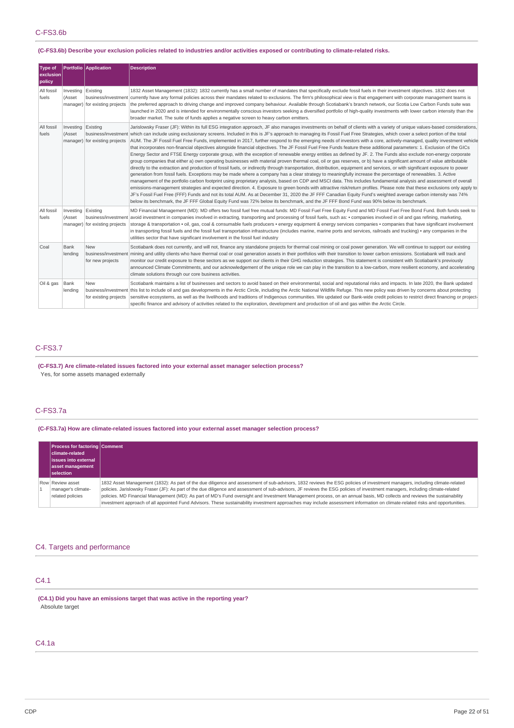### (C-FS3.6b) Describe your exclusion policies related to industries and/or activities exposed or contributing to climate-related risks.

| <b>Type of</b><br>exclusion<br>policy |                              | Portfolio Application                                 | <b>Description</b>                                                                                                                                                                                                                                                                                                                                                                                                                                                                                                                                                                                                                                                                                                                                                                                                                                                                                                                                                                                                                                                                                                                                                                                                                                                                                                                                                                                                                                                                                                                                                                                                                                                                                                                                                                                                                                                                                                                                                                                                                                                             |
|---------------------------------------|------------------------------|-------------------------------------------------------|--------------------------------------------------------------------------------------------------------------------------------------------------------------------------------------------------------------------------------------------------------------------------------------------------------------------------------------------------------------------------------------------------------------------------------------------------------------------------------------------------------------------------------------------------------------------------------------------------------------------------------------------------------------------------------------------------------------------------------------------------------------------------------------------------------------------------------------------------------------------------------------------------------------------------------------------------------------------------------------------------------------------------------------------------------------------------------------------------------------------------------------------------------------------------------------------------------------------------------------------------------------------------------------------------------------------------------------------------------------------------------------------------------------------------------------------------------------------------------------------------------------------------------------------------------------------------------------------------------------------------------------------------------------------------------------------------------------------------------------------------------------------------------------------------------------------------------------------------------------------------------------------------------------------------------------------------------------------------------------------------------------------------------------------------------------------------------|
| All fossil<br>fuels                   | Investing Existing<br>(Asset | manager) for existing projects                        | 1832 Asset Management (1832): 1832 currently has a small number of mandates that specifically exclude fossil fuels in their investment objectives. 1832 does not<br>business/investment currently have any formal policies across their mandates related to exclusions. The firm's philosophical view is that engagement with corporate management teams is<br>the preferred approach to driving change and improved company behaviour. Available through Scotiabank's branch network, our Scotia Low Carbon Funds suite was<br>launched in 2020 and is intended for environmentally conscious investors seeking a diversified portfolio of high-quality investments with lower carbon intensity than the<br>broader market. The suite of funds applies a negative screen to heavy carbon emitters.                                                                                                                                                                                                                                                                                                                                                                                                                                                                                                                                                                                                                                                                                                                                                                                                                                                                                                                                                                                                                                                                                                                                                                                                                                                                            |
| All fossil<br>fuels                   | Investing Existing<br>(Asset | manager) for existing projects                        | Jarislowsky Fraser (JF): Within its full ESG integration approach, JF also manages investments on behalf of clients with a variety of unique values-based considerations,<br>business/investment which can include using exclusionary screens. Included in this is JF's approach to managing its Fossil Fuel Free Strategies, which cover a select portion of the total<br>AUM. The JF Fossil Fuel Free Funds, implemented in 2017, further respond to the emerging needs of investors with a core, actively-managed, quality investment vehicle<br>that incorporates non-financial objectives alongside financial objectives. The JF Fossil Fuel Free Funds feature these additional parameters: 1. Exclusion of the GICs<br>Energy Sector and FTSE Energy corporate group, with the exception of renewable energy entities as defined by JF. 2. The Funds also exclude non-energy corporate<br>group companies that either a) own operating businesses with material proven thermal coal, oil or gas reserves, or b) have a significant amount of value attributable<br>directly to the extraction and production of fossil fuels, or indirectly through transportation, distribution, equipment and services, or with significant exposure to power<br>generation from fossil fuels. Exceptions may be made where a company has a clear strategy to meaningfully increase the percentage of renewables. 3. Active<br>management of the portfolio carbon footprint using proprietary analysis, based on CDP and MSCI data. This includes fundamental analysis and assessment of overall<br>emissions-management strategies and expected direction. 4. Exposure to green bonds with attractive risk/return profiles. Please note that these exclusions only apply to<br>JF's Fossil Fuel Free (FFF) Funds and not its total AUM. As at December 31, 2020 the JF FFF Canadian Equity Fund's weighted average carbon intensity was 74%<br>below its benchmark, the JF FFF Global Equity Fund was 72% below its benchmark, and the JF FFF Bond Fund was 90% below its benchmark. |
| All fossil<br>fuels                   | Investing Existing<br>(Asset | business/investment<br>manager) for existing projects | MD Financial Management (MD): MD offers two fossil fuel free mutual funds: MD Fossil Fuel Free Equity Fund and MD Fossil Fuel Free Bond Fund. Both funds seek to<br>avoid investment in companies involved in extracting, transporting and processing of fossil fuels, such as: • companies involved in oil and gas refining, marketing,<br>storage & transportation • oil, gas, coal & consumable fuels producers • energy equipment & energy services companies • companies that have significant involvement<br>in transporting fossil fuels and the fossil fuel transportation infrastructure (includes marine, marine ports and services, railroads and trucking) • any companies in the<br>utilities sector that have significant involvement in the fossil fuel industry                                                                                                                                                                                                                                                                                                                                                                                                                                                                                                                                                                                                                                                                                                                                                                                                                                                                                                                                                                                                                                                                                                                                                                                                                                                                                                |
| Coal                                  | Bank<br>lending              | <b>New</b><br>for new projects                        | Scotiabank does not currently, and will not, finance any standalone projects for thermal coal mining or coal power generation. We will continue to support our existing<br>business/investment   mining and utility clients who have thermal coal or coal generation assets in their portfolios with their transition to lower carbon emissions. Scotiabank will track and<br>monitor our credit exposure to these sectors as we support our clients in their GHG reduction strategies. This statement is consistent with Scotiabank's previously<br>announced Climate Commitments, and our acknowledgement of the unique role we can play in the transition to a low-carbon, more resilient economy, and accelerating<br>climate solutions through our core business activities.                                                                                                                                                                                                                                                                                                                                                                                                                                                                                                                                                                                                                                                                                                                                                                                                                                                                                                                                                                                                                                                                                                                                                                                                                                                                                              |
| Oil & gas                             | Bank<br>lending              | <b>New</b><br>for existing projects                   | Scotiabank maintains a list of businesses and sectors to avoid based on their environmental, social and reputational risks and impacts. In late 2020, the Bank updated<br>business/investment this list to include oil and gas developments in the Arctic Circle, including the Arctic National Wildlife Refuge. This new policy was driven by concerns about protecting<br>sensitive ecosystems, as well as the livelihoods and traditions of Indigenous communities. We updated our Bank-wide credit policies to restrict direct financing or project-<br>specific finance and advisory of activities related to the exploration, development and production of oil and gas within the Arctic Circle.                                                                                                                                                                                                                                                                                                                                                                                                                                                                                                                                                                                                                                                                                                                                                                                                                                                                                                                                                                                                                                                                                                                                                                                                                                                                                                                                                                        |

# C-FS3.7

**(C-FS3.7) Are climate-related issues factored into your external asset manager selection process?** Yes, for some assets managed externally

# C-FS3.7a

**(C-FS3.7a) How are climate-related issues factored into your external asset manager selection process?**

| <b>Process for factoring Comment</b><br>l climate-related<br><b>lissues into external</b><br>asset management<br><b>Iselection</b> |                                                                                                                                                                                                                                                                                                                                                                                                                                                                                                                                                                                                                                                                                                                          |
|------------------------------------------------------------------------------------------------------------------------------------|--------------------------------------------------------------------------------------------------------------------------------------------------------------------------------------------------------------------------------------------------------------------------------------------------------------------------------------------------------------------------------------------------------------------------------------------------------------------------------------------------------------------------------------------------------------------------------------------------------------------------------------------------------------------------------------------------------------------------|
| Row Review asset<br>manager's climate-<br>related policies                                                                         | 1832 Asset Management (1832): As part of the due diligence and assessment of sub-advisors, 1832 reviews the ESG policies of investment managers, including climate-related<br>policies. Jarislowsky Fraser (JF): As part of the due diligence and assessment of sub-advisors, JF reviews the ESG policies of investment managers, including climate-related<br>policies. MD Financial Management (MD): As part of MD's Fund oversight and Investment Management process, on an annual basis, MD collects and reviews the sustainability<br>investment approach of all appointed Fund Advisors. These sustainability investment approaches may include assessment information on climate-related risks and opportunities. |

# C4. Targets and performance

# C4.1

**(C4.1) Did you have an emissions target that was active in the reporting year?** Absolute target

# C4.1a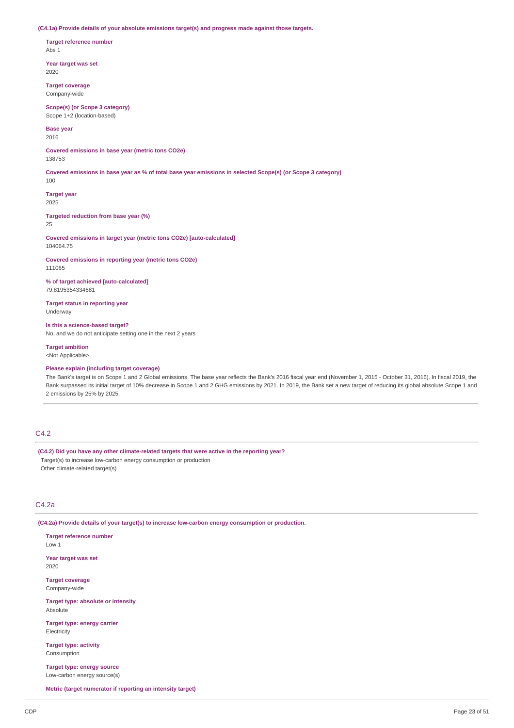**(C4.1a) Provide details of your absolute emissions target(s) and progress made against those targets.**

**Target reference number** Abs 1

**Year target was set** 2020

**Target coverage** Company-wide

**Scope(s) (or Scope 3 category)** Scope 1+2 (location-based)

**Base year**

2016

**Covered emissions in base year (metric tons CO2e)** 138753

Covered emissions in base year as % of total base year emissions in selected Scope(s) (or Scope 3 category)

**Target year**

2025

100

**Targeted reduction from base year (%)** 25

**Covered emissions in target year (metric tons CO2e) [auto-calculated]** 104064.75

**Covered emissions in reporting year (metric tons CO2e)** 111065

**% of target achieved [auto-calculated]** 79.8195354334681

**Target status in reporting year** Underway

**Is this a science-based target?** No, and we do not anticipate setting one in the next 2 years

**Target ambition**

<Not Applicable>

**Please explain (including target coverage)**

The Bank's target is on Scope 1 and 2 Global emissions. The base year reflects the Bank's 2016 fiscal year end (November 1, 2015 - October 31, 2016). In fiscal 2019, the Bank surpassed its initial target of 10% decrease in Scope 1 and 2 GHG emissions by 2021. In 2019, the Bank set a new target of reducing its global absolute Scope 1 and 2 emissions by 25% by 2025.

# C4.2

**(C4.2) Did you have any other climate-related targets that were active in the reporting year?** Target(s) to increase low-carbon energy consumption or production Other climate-related target(s)

# C4.2a

**(C4.2a) Provide details of your target(s) to increase low-carbon energy consumption or production.**

**Target reference number** Low 1 **Year target was set** 2020 **Target coverage** Company-wide **Target type: absolute or intensity** Absolute **Target type: energy carrier** Electricity **Target type: activity** Consumption

**Target type: energy source** Low-carbon energy source(s)

**Metric (target numerator if reporting an intensity target)**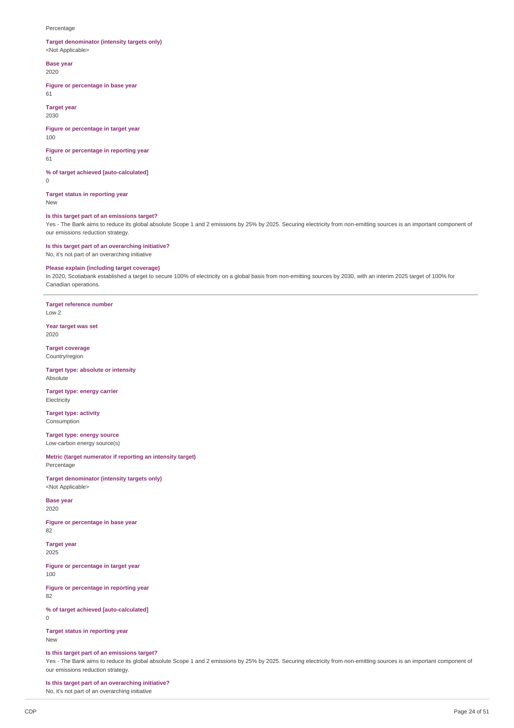#### Percentage

### **Target denominator (intensity targets only)** <Not Applicable>

**Base year** 2020

#### **Figure or percentage in base year**

61

**Target year** 2030

#### **Figure or percentage in target year** 100

**Figure or percentage in reporting year**

61

### **% of target achieved [auto-calculated]**  $\Omega$

**Target status in reporting year** New

# **Is this target part of an emissions target?**

Yes - The Bank aims to reduce its global absolute Scope 1 and 2 emissions by 25% by 2025. Securing electricity from non-emitting sources is an important component of our emissions reduction strategy.

### **Is this target part of an overarching initiative?** No, it's not part of an overarching initiative

### **Please explain (including target coverage)**

In 2020, Scotiabank established a target to secure 100% of electricity on a global basis from non-emitting sources by 2030, with an interim 2025 target of 100% for Canadian operations.

**Target reference number** Low 2

**Year target was set** 2020

**Target coverage** Country/region

**Target type: absolute or intensity** Absolute

**Target type: energy carrier Electricity** 

**Target type: activity** Consumption

**Target type: energy source** Low-carbon energy source(s)

**Metric (target numerator if reporting an intensity target)** Percentage

**Target denominator (intensity targets only)** <Not Applicable>

**Base year** 2020

**Figure or percentage in base year** 82

**Target year** 2025

**Figure or percentage in target year** 100

**Figure or percentage in reporting year** 82

**% of target achieved [auto-calculated]**

 $\overline{0}$ 

**Target status in reporting year** New

# **Is this target part of an emissions target?**

Yes - The Bank aims to reduce its global absolute Scope 1 and 2 emissions by 25% by 2025. Securing electricity from non-emitting sources is an important component of our emissions reduction strategy.

**Is this target part of an overarching initiative?**

No, it's not part of an overarching initiative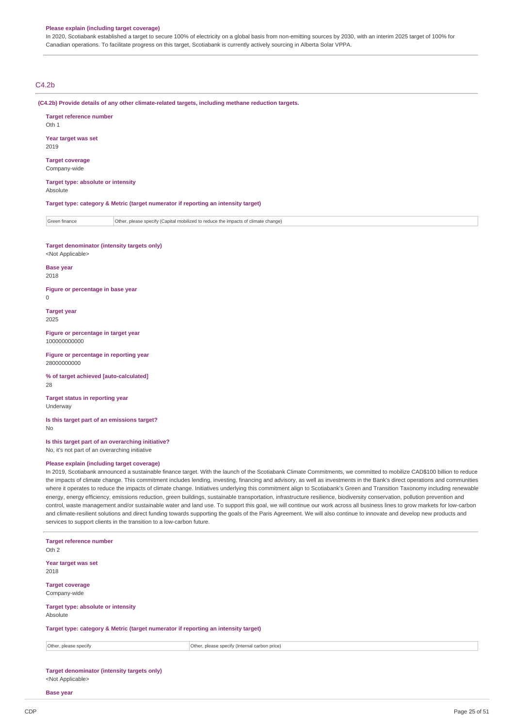#### **Please explain (including target coverage)**

In 2020, Scotiabank established a target to secure 100% of electricity on a global basis from non-emitting sources by 2030, with an interim 2025 target of 100% for Canadian operations. To facilitate progress on this target, Scotiabank is currently actively sourcing in Alberta Solar VPPA.

# C4.2b

**(C4.2b) Provide details of any other climate-related targets, including methane reduction targets.**

| <b>Target reference number</b><br>Oth 1                                            |
|------------------------------------------------------------------------------------|
| Year target was set<br>2019                                                        |
| <b>Target coverage</b><br>Company-wide                                             |
| Target type: absolute or intensity<br>Absolute                                     |
| Target type: category & Metric (target numerator if reporting an intensity target) |
|                                                                                    |

Green finance **Other, please specify (Capital mobilized to reduce the impacts of climate change)** 

**Target denominator (intensity targets only)** <Not Applicable>

**Base year**

2018

**Figure or percentage in base year**

 $\Omega$ 

**Target year**

2025

**Figure or percentage in target year** 100000000000

**Figure or percentage in reporting year** 28000000000

**% of target achieved [auto-calculated]** 28

**Target status in reporting year** Underway

**Is this target part of an emissions target?** No

**Is this target part of an overarching initiative?** No, it's not part of an overarching initiative

### **Please explain (including target coverage)**

In 2019, Scotiabank announced a sustainable finance target. With the launch of the Scotiabank Climate Commitments, we committed to mobilize CAD\$100 billion to reduce the impacts of climate change. This commitment includes lending, investing, financing and advisory, as well as investments in the Bank's direct operations and communities where it operates to reduce the impacts of climate change. Initiatives underlying this commitment align to Scotiabank's Green and Transition Taxonomy including renewable energy, energy efficiency, emissions reduction, green buildings, sustainable transportation, infrastructure resilience, biodiversity conservation, pollution prevention and control, waste management and/or sustainable water and land use. To support this goal, we will continue our work across all business lines to grow markets for low-carbon and climate-resilient solutions and direct funding towards supporting the goals of the Paris Agreement. We will also continue to innovate and develop new products and services to support clients in the transition to a low-carbon future.

| <b>Target reference number</b><br>Oth 2                                            |                                               |
|------------------------------------------------------------------------------------|-----------------------------------------------|
| Year target was set<br>2018                                                        |                                               |
| <b>Target coverage</b><br>Company-wide                                             |                                               |
| Target type: absolute or intensity<br>Absolute                                     |                                               |
| Target type: category & Metric (target numerator if reporting an intensity target) |                                               |
| Other, please specify                                                              | Other, please specify (Internal carbon price) |
|                                                                                    |                                               |

**Target denominator (intensity targets only)** <Not Applicable>

**Base year**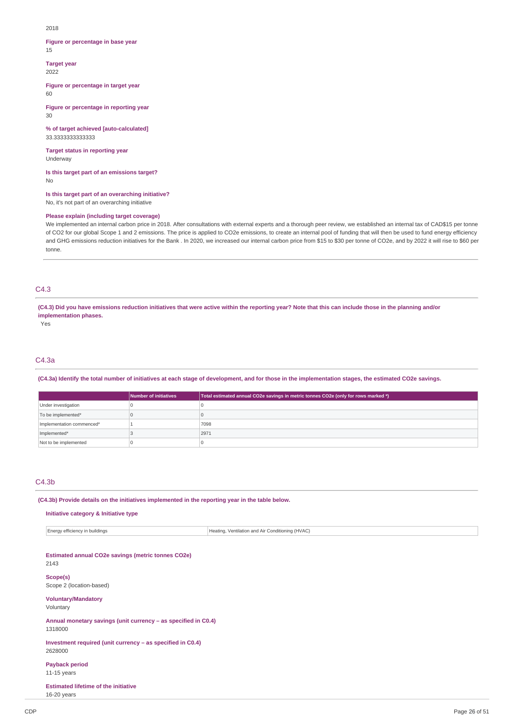2018

#### **Figure or percentage in base year** 15

**Target year** 2022

**Figure or percentage in target year** 60

**Figure or percentage in reporting year**  $30$ 

**% of target achieved [auto-calculated]** 33.3333333333333

**Target status in reporting year** Underway

**Is this target part of an emissions target?** No

**Is this target part of an overarching initiative?** No, it's not part of an overarching initiative

### **Please explain (including target coverage)**

We implemented an internal carbon price in 2018. After consultations with external experts and a thorough peer review, we established an internal tax of CAD\$15 per tonne of CO2 for our global Scope 1 and 2 emissions. The price is applied to CO2e emissions, to create an internal pool of funding that will then be used to fund energy efficiency and GHG emissions reduction initiatives for the Bank . In 2020, we increased our internal carbon price from \$15 to \$30 per tonne of CO2e, and by 2022 it will rise to \$60 per tonne.

# C4.3

(C4.3) Did you have emissions reduction initiatives that were active within the reporting year? Note that this can include those in the planning and/or **implementation phases.**

Yes

### C4.3a

(C4.3a) Identify the total number of initiatives at each stage of development, and for those in the implementation stages, the estimated CO2e savings.

|                           | Number of initiatives | Total estimated annual CO2e savings in metric tonnes CO2e (only for rows marked *) |
|---------------------------|-----------------------|------------------------------------------------------------------------------------|
| Under investigation       |                       |                                                                                    |
| To be implemented*        |                       |                                                                                    |
| Implementation commenced* |                       | 7098                                                                               |
| Implemented*              |                       | 2971                                                                               |
| Not to be implemented     |                       |                                                                                    |

### C4.3b

**(C4.3b) Provide details on the initiatives implemented in the reporting year in the table below.**

#### **Initiative category & Initiative type**

| Energy efficiency i<br>buildings | 1 (HVAC)<br>Ventilation and Air $^\prime$<br>Heating.<br>conditioning |
|----------------------------------|-----------------------------------------------------------------------|
|                                  |                                                                       |

# **Estimated annual CO2e savings (metric tonnes CO2e)** 2143

**Scope(s)** Scope 2 (location-based)

# **Voluntary/Mandatory**

Voluntary

**Annual monetary savings (unit currency – as specified in C0.4)** 1318000

**Investment required (unit currency – as specified in C0.4)** 2628000

**Payback period** 11-15 years

**Estimated lifetime of the initiative** 16-20 years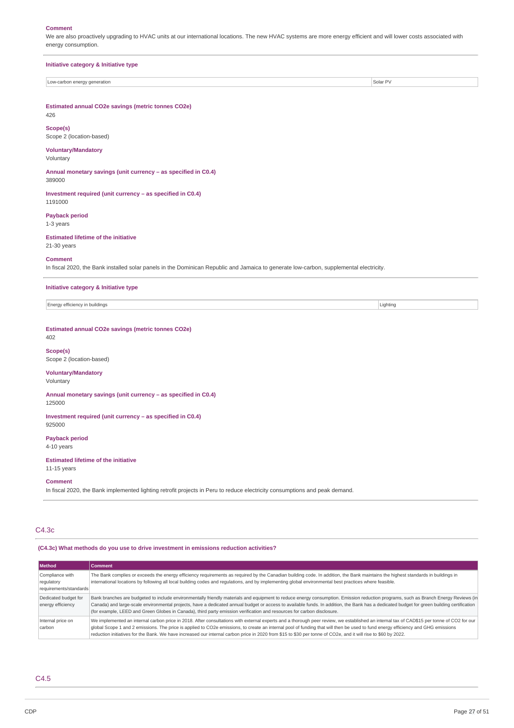#### **Comment**

We are also proactively upgrading to HVAC units at our international locations. The new HVAC systems are more energy efficient and will lower costs associated with energy consumption.

**Initiative category & Initiative type**

Low-carbon energy generation Solar PV

**Estimated annual CO2e savings (metric tonnes CO2e)** 426

**Scope(s)** Scope 2 (location-based)

#### **Voluntary/Mandatory** Voluntary

**Annual monetary savings (unit currency – as specified in C0.4)** 389000

**Investment required (unit currency – as specified in C0.4)** 1191000

**Payback period** 1-3 years

# **Estimated lifetime of the initiative**

21-30 years

# **Comment**

In fiscal 2020, the Bank installed solar panels in the Dominican Republic and Jamaica to generate low-carbon, supplemental electricity.

# **Initiative category & Initiative type**

Energy efficiency in buildings **Lighting** Lighting **Lighting** 

# **Estimated annual CO2e savings (metric tonnes CO2e)**

# 402

**Scope(s)** Scope 2 (location-based)

### **Voluntary/Mandatory**

Voluntary

**Annual monetary savings (unit currency – as specified in C0.4)** 125000

**Investment required (unit currency – as specified in C0.4)** 925000

### **Payback period** 4-10 years

### **Estimated lifetime of the initiative** 11-15 years

**Comment**

In fiscal 2020, the Bank implemented lighting retrofit projects in Peru to reduce electricity consumptions and peak demand.

# C4.3c

# **(C4.3c) What methods do you use to drive investment in emissions reduction activities?**

| Method                                                  | Comment.                                                                                                                                                                                                                                                                                                                                                                                                                                                                                                                                        |
|---------------------------------------------------------|-------------------------------------------------------------------------------------------------------------------------------------------------------------------------------------------------------------------------------------------------------------------------------------------------------------------------------------------------------------------------------------------------------------------------------------------------------------------------------------------------------------------------------------------------|
| Compliance with<br>regulatory<br>requirements/standards | The Bank complies or exceeds the energy efficiency requirements as required by the Canadian building code. In addition, the Bank maintains the highest standards in buildings in<br>international locations by following all local building codes and regulations, and by implementing global environmental best practices where feasible.                                                                                                                                                                                                      |
| Dedicated budget for<br>energy efficiency               | Bank branches are budgeted to include environmentally friendly materials and equipment to reduce energy consumption. Emission reduction programs, such as Branch Energy Reviews (in<br>Canada) and large-scale environmental projects, have a dedicated annual budget or access to available funds. In addition, the Bank has a dedicated budget for green building certification<br>(for example, LEED and Green Globes in Canada), third party emission verification and resources for carbon disclosure.                                     |
| Internal price on<br>carbon                             | We implemented an internal carbon price in 2018. After consultations with external experts and a thorough peer review, we established an internal tax of CAD\$15 per tonne of CO2 for our<br>global Scope 1 and 2 emissions. The price is applied to CO2e emissions, to create an internal pool of funding that will then be used to fund energy efficiency and GHG emissions<br>reduction initiatives for the Bank. We have increased our internal carbon price in 2020 from \$15 to \$30 per tonne of CO2e, and it will rise to \$60 by 2022. |

# C4.5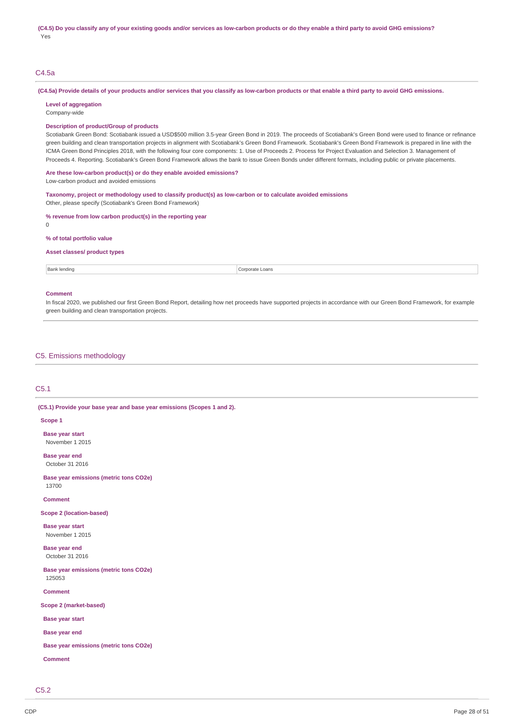(C4.5) Do you classify any of your existing goods and/or services as low-carbon products or do they enable a third party to avoid GHG emissions? Yes

### C4.5a

(C4.5a) Provide details of your products and/or services that you classify as low-carbon products or that enable a third party to avoid GHG emissions.

**Level of aggregation** Company-wide

#### **Description of product/Group of products**

Scotiabank Green Bond: Scotiabank issued a USD\$500 million 3.5-year Green Bond in 2019. The proceeds of Scotiabank's Green Bond were used to finance or refinance green building and clean transportation projects in alignment with Scotiabank's Green Bond Framework is prepared in line with the ICMA Green Bond Principles 2018, with the following four core components: 1. Use of Proceeds 2. Process for Project Evaluation and Selection 3. Management of Proceeds 4. Reporting. Scotiabank's Green Bond Framework allows the bank to issue Green Bonds under different formats, including public or private placements.

**Are these low-carbon product(s) or do they enable avoided emissions?** Low-carbon product and avoided emissions

**Taxonomy, project or methodology used to classify product(s) as low-carbon or to calculate avoided emissions** Other, please specify (Scotiabank's Green Bond Framework)

**% revenue from low carbon product(s) in the reporting year**

 $\Omega$ 

**% of total portfolio value**

# **Asset classes/ product types**

**Bank lending Corporate Loans** 

#### **Comment**

In fiscal 2020, we published our first Green Bond Report, detailing how net proceeds have supported projects in accordance with our Green Bond Framework, for example green building and clean transportation projects.

C5. Emissions methodology

# C5.1

**(C5.1) Provide your base year and base year emissions (Scopes 1 and 2).**

#### **Scope 1**

**Base year start** November 1 2015

**Base year end**

October 31 2016

**Base year emissions (metric tons CO2e)** 13700

**Comment**

**Scope 2 (location-based)**

**Base year start** November 1 2015

**Base year end** October 31 2016

**Base year emissions (metric tons CO2e)** 125053

**Comment**

**Scope 2 (market-based)**

**Base year start**

**Base year end**

**Base year emissions (metric tons CO2e)**

**Comment**

 $C5.2$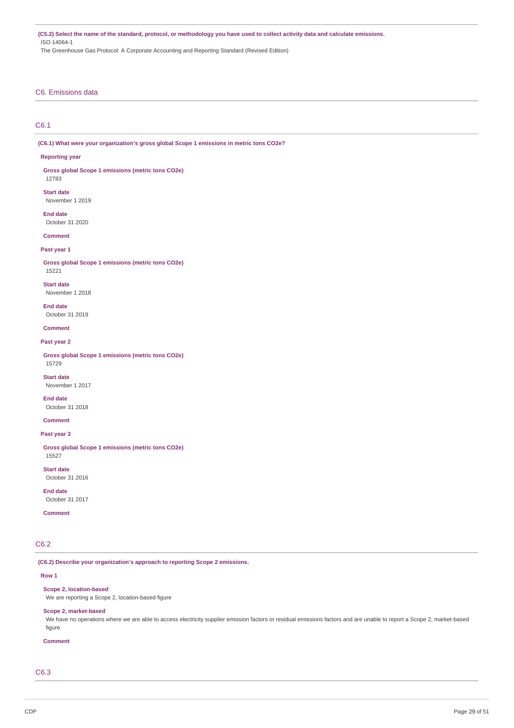(C5.2) Select the name of the standard, protocol, or methodology you have used to collect activity data and calculate emissions. ISO 14064-1 The Greenhouse Gas Protocol: A Corporate Accounting and Reporting Standard (Revised Edition)

# C6. Emissions data

# C6.1

**(C6.1) What were your organization's gross global Scope 1 emissions in metric tons CO2e?**

#### **Reporting year**

12783

**Gross global Scope 1 emissions (metric tons CO2e)**

**Start date**

November 1 2019

**End date** October 31 2020

**Comment**

### **Past year 1**

**Gross global Scope 1 emissions (metric tons CO2e)** 15221

**Start date** November 1 2018

**End date**

October 31 2019

**Comment**

### **Past year 2**

**Gross global Scope 1 emissions (metric tons CO2e)** 15729

**Start date** November 1 2017

**End date** October 31 2018

**Comment**

#### **Past year 3**

**Gross global Scope 1 emissions (metric tons CO2e)** 15527

**Start date** October 31 2016

**End date**

October 31 2017

**Comment**

# C6.2

**(C6.2) Describe your organization's approach to reporting Scope 2 emissions.**

### **Row 1**

#### **Scope 2, location-based**

We are reporting a Scope 2, location-based figure

### **Scope 2, market-based**

We have no operations where we are able to access electricity supplier emission factors or residual emissions factors and are unable to report a Scope 2, market-based figure

#### **Comment**

C6.3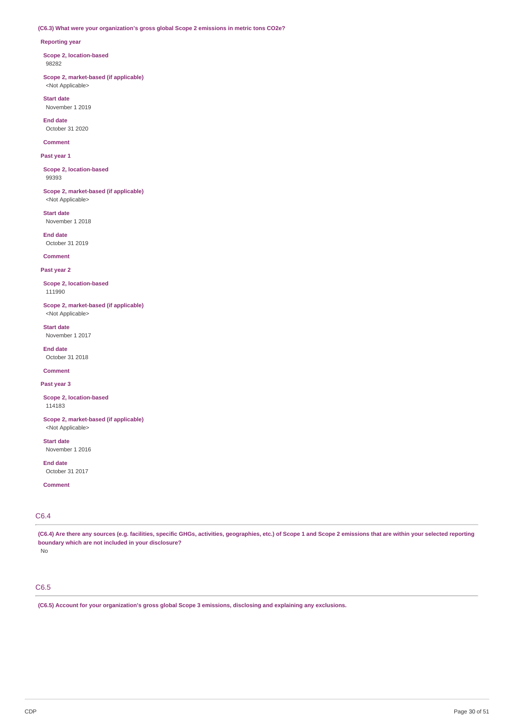### **(C6.3) What were your organization's gross global Scope 2 emissions in metric tons CO2e?**

### **Reporting year**

**Scope 2, location-based** 98282

**Scope 2, market-based (if applicable)** <Not Applicable>

**Start date** November 1 2019

**End date** October 31 2020

**Comment**

**Past year 1**

**Scope 2, location-based** 99393

**Scope 2, market-based (if applicable)** <Not Applicable>

**Start date** November 1 2018

**End date** October 31 2019

**Comment**

**Past year 2**

**Scope 2, location-based** 111990

**Scope 2, market-based (if applicable)** <Not Applicable>

**Start date** November 1 2017

**End date** October 31 2018

**Comment**

**Past year 3**

**Scope 2, location-based** 114183

**Scope 2, market-based (if applicable)** <Not Applicable>

**Start date** November 1 2016

**End date** October 31 2017

**Comment**

# C6.4

(C6.4) Are there any sources (e.g. facilities, specific GHGs, activities, geographies, etc.) of Scope 1 and Scope 2 emissions that are within your selected reporting **boundary which are not included in your disclosure?**

No

# C6.5

**(C6.5) Account for your organization's gross global Scope 3 emissions, disclosing and explaining any exclusions.**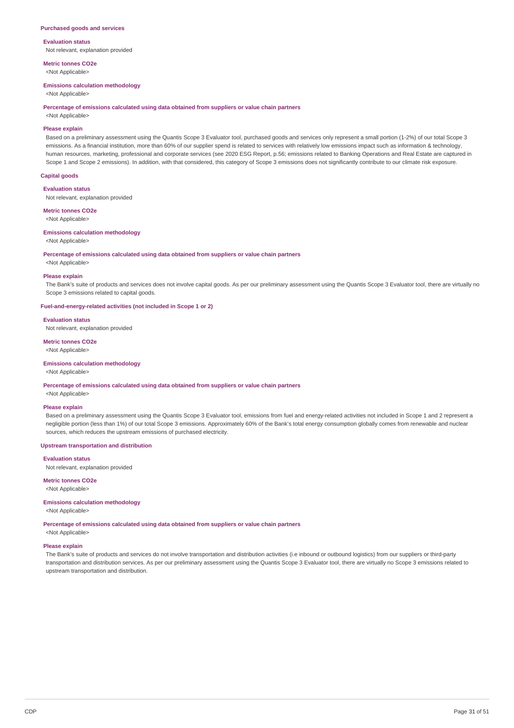#### **Purchased goods and services**

**Evaluation status** Not relevant, explanation provided

**Metric tonnes CO2e** <Not Applicable>

#### **Emissions calculation methodology**

<Not Applicable>

#### **Percentage of emissions calculated using data obtained from suppliers or value chain partners**

<Not Applicable>

#### **Please explain**

Based on a preliminary assessment using the Quantis Scope 3 Evaluator tool, purchased goods and services only represent a small portion (1-2%) of our total Scope 3 emissions. As a financial institution, more than 60% of our supplier spend is related to services with relatively low emissions impact such as information & technology, human resources, marketing, professional and corporate services (see 2020 ESG Report, p.56; emissions related to Banking Operations and Real Estate are captured in Scope 1 and Scope 2 emissions). In addition, with that considered, this category of Scope 3 emissions does not significantly contribute to our climate risk exposure.

### **Capital goods**

#### **Evaluation status**

Not relevant, explanation provided

**Metric tonnes CO2e** <Not Applicable>

#### **Emissions calculation methodology**

#### <Not Applicable>

#### **Percentage of emissions calculated using data obtained from suppliers or value chain partners**

<Not Applicable>

#### **Please explain**

The Bank's suite of products and services does not involve capital goods. As per our preliminary assessment using the Quantis Scope 3 Evaluator tool, there are virtually no Scope 3 emissions related to capital goods.

### **Fuel-and-energy-related activities (not included in Scope 1 or 2)**

#### **Evaluation status**

Not relevant, explanation provided

### **Metric tonnes CO2e**

<Not Applicable>

#### **Emissions calculation methodology**

<Not Applicable>

#### **Percentage of emissions calculated using data obtained from suppliers or value chain partners**

# <Not Applicable> **Please explain**

Based on a preliminary assessment using the Quantis Scope 3 Evaluator tool, emissions from fuel and energy-related activities not included in Scope 1 and 2 represent a negligible portion (less than 1%) of our total Scope 3 emissions. Approximately 60% of the Bank's total energy consumption globally comes from renewable and nuclear sources, which reduces the upstream emissions of purchased electricity.

#### **Upstream transportation and distribution**

### **Evaluation status**

Not relevant, explanation provided

### **Metric tonnes CO2e**

<Not Applicable>

# **Emissions calculation methodology**

<Not Applicable>

**Percentage of emissions calculated using data obtained from suppliers or value chain partners**

<Not Applicable>

# **Please explain**

The Bank's suite of products and services do not involve transportation and distribution activities (i.e inbound or outbound logistics) from our suppliers or third-party transportation and distribution services. As per our preliminary assessment using the Quantis Scope 3 Evaluator tool, there are virtually no Scope 3 emissions related to upstream transportation and distribution.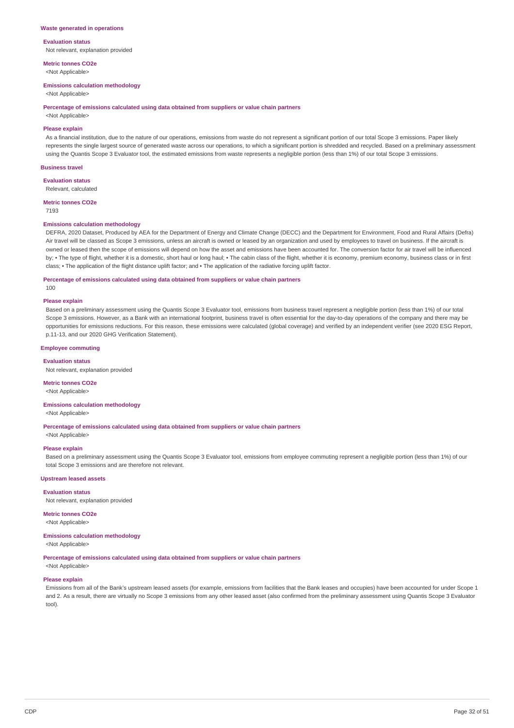#### **Waste generated in operations**

### **Evaluation status** Not relevant, explanation provided

**Metric tonnes CO2e**

<Not Applicable>

### **Emissions calculation methodology**

<Not Applicable>

#### **Percentage of emissions calculated using data obtained from suppliers or value chain partners**

<Not Applicable>

### **Please explain**

As a financial institution, due to the nature of our operations, emissions from waste do not represent a significant portion of our total Scope 3 emissions. Paper likely represents the single largest source of generated waste across our operations, to which a significant portion is shredded and recycled. Based on a preliminary assessment using the Quantis Scope 3 Evaluator tool, the estimated emissions from waste represents a negligible portion (less than 1%) of our total Scope 3 emissions.

#### **Business travel**

**Evaluation status** Relevant, calculated

#### **Metric tonnes CO2e**

7193

#### **Emissions calculation methodology**

DEFRA, 2020 Dataset, Produced by AEA for the Department of Energy and Climate Change (DECC) and the Department for Environment, Food and Rural Affairs (Defra) Air travel will be classed as Scope 3 emissions, unless an aircraft is owned or leased by an organization and used by employees to travel on business. If the aircraft is owned or leased then the scope of emissions will depend on how the asset and emissions have been accounted for. The conversion factor for air travel will be influenced by; • The type of flight, whether it is a domestic, short haul or long haul; • The cabin class of the flight, whether it is economy, premium economy, business class or in first class; • The application of the flight distance uplift factor; and • The application of the radiative forcing uplift factor.

#### **Percentage of emissions calculated using data obtained from suppliers or value chain partners**

100

# **Please explain**

Based on a preliminary assessment using the Quantis Scope 3 Evaluator tool, emissions from business travel represent a negligible portion (less than 1%) of our total Scope 3 emissions. However, as a Bank with an international footprint, business travel is often essential for the day-to-day operations of the company and there may be opportunities for emissions reductions. For this reason, these emissions were calculated (global coverage) and verified by an independent verifier (see 2020 ESG Report, p.11-13, and our 2020 GHG Verification Statement).

#### **Employee commuting**

**Evaluation status** Not relevant, explanation provided

**Metric tonnes CO2e** <Not Applicable>

# **Emissions calculation methodology**

<Not Applicable>

**Percentage of emissions calculated using data obtained from suppliers or value chain partners** <Not Applicable>

# **Please explain**

Based on a preliminary assessment using the Quantis Scope 3 Evaluator tool, emissions from employee commuting represent a negligible portion (less than 1%) of our total Scope 3 emissions and are therefore not relevant.

#### **Upstream leased assets**

**Evaluation status**

Not relevant, explanation provided

**Metric tonnes CO2e** <Not Applicable>

#### **Emissions calculation methodology** <Not Applicable>

#### **Percentage of emissions calculated using data obtained from suppliers or value chain partners**

<Not Applicable>

#### **Please explain**

Emissions from all of the Bank's upstream leased assets (for example, emissions from facilities that the Bank leases and occupies) have been accounted for under Scope 1 and 2. As a result, there are virtually no Scope 3 emissions from any other leased asset (also confirmed from the preliminary assessment using Quantis Scope 3 Evaluator tool).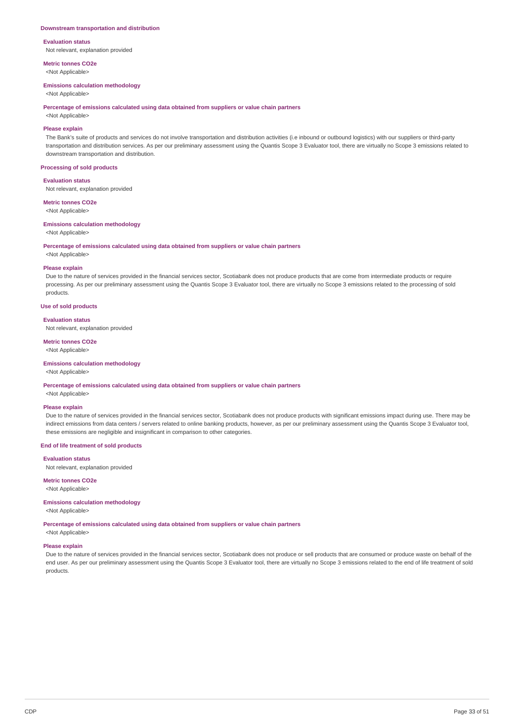#### **Downstream transportation and distribution**

**Evaluation status** Not relevant, explanation provided

**Metric tonnes CO2e** <Not Applicable>

#### **Emissions calculation methodology**

<Not Applicable>

#### **Percentage of emissions calculated using data obtained from suppliers or value chain partners**

<Not Applicable>

### **Please explain**

The Bank's suite of products and services do not involve transportation and distribution activities (i.e inbound or outbound logistics) with our suppliers or third-party transportation and distribution services. As per our preliminary assessment using the Quantis Scope 3 Evaluator tool, there are virtually no Scope 3 emissions related to downstream transportation and distribution.

#### **Processing of sold products**

#### **Evaluation status**

Not relevant, explanation provided

# **Metric tonnes CO2e**

<Not Applicable>

#### **Emissions calculation methodology**

<Not Applicable>

#### **Percentage of emissions calculated using data obtained from suppliers or value chain partners**

### <Not Applicable>

#### **Please explain**

Due to the nature of services provided in the financial services sector, Scotiabank does not produce products that are come from intermediate products or require processing. As per our preliminary assessment using the Quantis Scope 3 Evaluator tool, there are virtually no Scope 3 emissions related to the processing of sold products.

# **Use of sold products**

#### **Evaluation status**

Not relevant, explanation provided

#### **Metric tonnes CO2e**

<Not Applicable>

#### **Emissions calculation methodology**

<Not Applicable>

#### **Percentage of emissions calculated using data obtained from suppliers or value chain partners**

<Not Applicable> **Please explain**

# Due to the nature of services provided in the financial services sector, Scotiabank does not produce products with significant emissions impact during use. There may be indirect emissions from data centers / servers related to online banking products, however, as per our preliminary assessment using the Quantis Scope 3 Evaluator tool, these emissions are negligible and insignificant in comparison to other categories.

#### **End of life treatment of sold products**

# **Evaluation status**

Not relevant, explanation provided

### **Metric tonnes CO2e**

<Not Applicable>

# **Emissions calculation methodology**

<Not Applicable>

**Percentage of emissions calculated using data obtained from suppliers or value chain partners**

<Not Applicable>

# **Please explain**

Due to the nature of services provided in the financial services sector, Scotiabank does not produce or sell products that are consumed or produce waste on behalf of the end user. As per our preliminary assessment using the Quantis Scope 3 Evaluator tool, there are virtually no Scope 3 emissions related to the end of life treatment of sold products.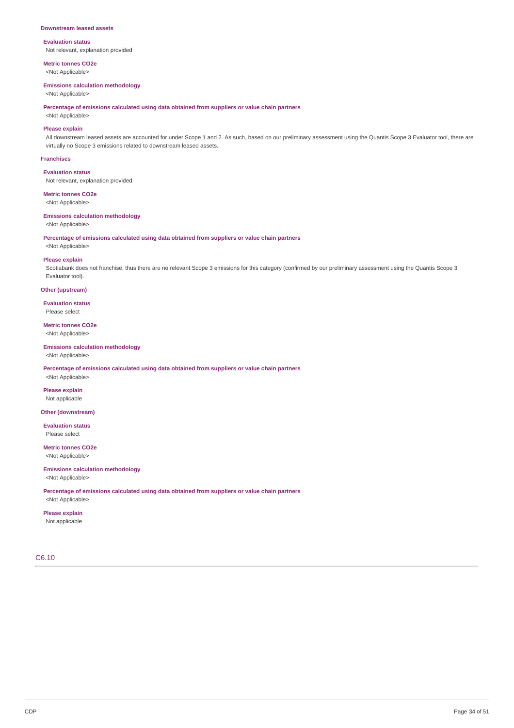#### **Downstream leased assets**

# **Evaluation status**

Not relevant, explanation provided

**Metric tonnes CO2e** <Not Applicable>

#### **Emissions calculation methodology**

<Not Applicable>

**Percentage of emissions calculated using data obtained from suppliers or value chain partners**

# <Not Applicable> **Please explain**

All downstream leased assets are accounted for under Scope 1 and 2. As such, based on our preliminary assessment using the Quantis Scope 3 Evaluator tool, there are virtually no Scope 3 emissions related to downstream leased assets.

#### **Franchises**

**Evaluation status** Not relevant, explanation provided

**Metric tonnes CO2e**

<Not Applicable>

# **Emissions calculation methodology**

<Not Applicable>

**Percentage of emissions calculated using data obtained from suppliers or value chain partners** <Not Applicable>

#### **Please explain**

Scotiabank does not franchise, thus there are no relevant Scope 3 emissions for this category (confirmed by our preliminary assessment using the Quantis Scope 3 Evaluator tool).

### **Other (upstream)**

**Evaluation status** Please select

**Metric tonnes CO2e** <Not Applicable>

#### **Emissions calculation methodology**

<Not Applicable>

**Percentage of emissions calculated using data obtained from suppliers or value chain partners**

<Not Applicable> **Please explain** Not applicable

#### **Other (downstream)**

**Evaluation status** Please select

**Metric tonnes CO2e** <Not Applicable>

### **Emissions calculation methodology** <Not Applicable>

**Percentage of emissions calculated using data obtained from suppliers or value chain partners** <Not Applicable>

#### **Please explain**

Not applicable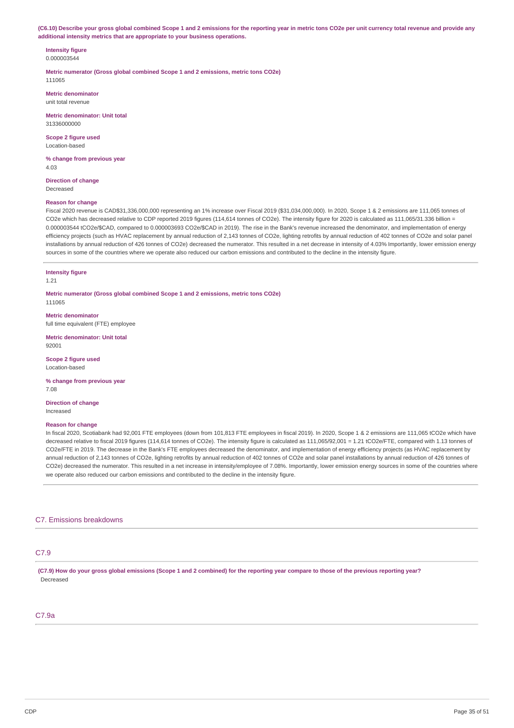(C6.10) Describe your gross global combined Scope 1 and 2 emissions for the reporting year in metric tons CO2e per unit currency total revenue and provide any **additional intensity metrics that are appropriate to your business operations.**

**Intensity figure** 0.000003544

**Metric numerator (Gross global combined Scope 1 and 2 emissions, metric tons CO2e)** 111065

**Metric denominator** unit total revenue

**Metric denominator: Unit total** 31336000000

**Scope 2 figure used** Location-based

**% change from previous year** 4.03

**Direction of change** Decreased

### **Reason for change**

Fiscal 2020 revenue is CAD\$31,336,000,000 representing an 1% increase over Fiscal 2019 (\$31,034,000,000). In 2020, Scope 1 & 2 emissions are 111,065 tonnes of CO2e which has decreased relative to CDP reported 2019 figures (114,614 tonnes of CO2e). The intensity figure for 2020 is calculated as 111,065/31.336 billion = 0.000003544 tCO2e/\$CAD, compared to 0.000003693 CO2e/\$CAD in 2019). The rise in the Bank's revenue increased the denominator, and implementation of energy efficiency projects (such as HVAC replacement by annual reduction of 2,143 tonnes of CO2e, lighting retrofits by annual reduction of 402 tonnes of CO2e and solar panel installations by annual reduction of 426 tonnes of CO2e) decreased the numerator. This resulted in a net decrease in intensity of 4.03% Importantly, lower emission energy sources in some of the countries where we operate also reduced our carbon emissions and contributed to the decline in the intensity figure.

#### **Intensity figure**

1.21

**Metric numerator (Gross global combined Scope 1 and 2 emissions, metric tons CO2e)** 111065

**Metric denominator** full time equivalent (FTE) employee

**Metric denominator: Unit total** 92001

**Scope 2 figure used** Location-based

**% change from previous year** 7.08

**Direction of change** Increased

#### **Reason for change**

In fiscal 2020, Scotiabank had 92,001 FTE employees (down from 101,813 FTE employees in fiscal 2019). In 2020, Scope 1 & 2 emissions are 111,065 tCO2e which have decreased relative to fiscal 2019 figures (114,614 tonnes of CO2e). The intensity figure is calculated as 111,065/92,001 = 1.21 tCO2e/FTE, compared with 1.13 tonnes of CO2e/FTE in 2019. The decrease in the Bank's FTE employees decreased the denominator, and implementation of energy efficiency projects (as HVAC replacement by annual reduction of 2,143 tonnes of CO2e, lighting retrofits by annual reduction of 402 tonnes of CO2e and solar panel installations by annual reduction of 426 tonnes of CO2e) decreased the numerator. This resulted in a net increase in intensity/employee of 7.08%. Importantly, lower emission energy sources in some of the countries where we operate also reduced our carbon emissions and contributed to the decline in the intensity figure.

# C7. Emissions breakdowns

# C7.9

(C7.9) How do your gross global emissions (Scope 1 and 2 combined) for the reporting year compare to those of the previous reporting year? Decreased

# C7.9a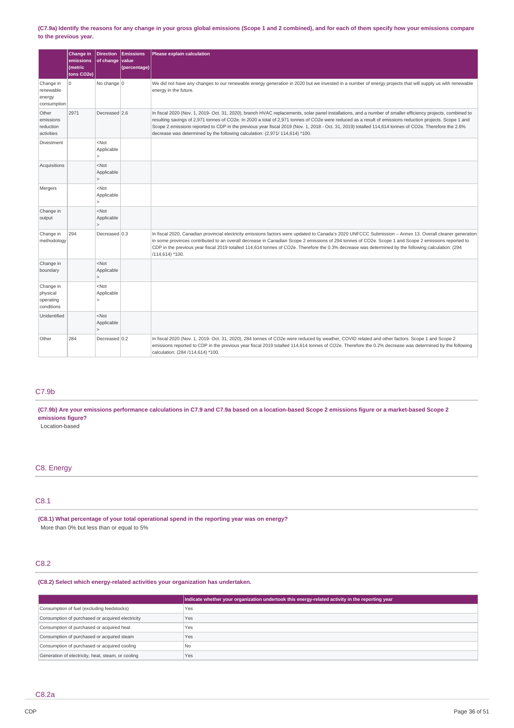### (C7.9a) Identify the reasons for any change in your gross global emissions (Scope 1 and 2 combined), and for each of them specify how your emissions compare **to the previous year.**

|                                                  | Change in<br>emissions<br><i>(metric)</i><br>tons CO2e) | <b>Direction</b><br>of change value   | Emissions<br>(percentage) | <b>Please explain calculation</b>                                                                                                                                                                                                                                                                                                                                                                                                                                                                                                                                |
|--------------------------------------------------|---------------------------------------------------------|---------------------------------------|---------------------------|------------------------------------------------------------------------------------------------------------------------------------------------------------------------------------------------------------------------------------------------------------------------------------------------------------------------------------------------------------------------------------------------------------------------------------------------------------------------------------------------------------------------------------------------------------------|
| Change in<br>renewable<br>energy<br>consumption  | 0                                                       | No change $0$                         |                           | We did not have any changes to our renewable energy generation in 2020 but we invested in a number of energy projects that will supply us with renewable<br>energy in the future.                                                                                                                                                                                                                                                                                                                                                                                |
| Other<br>emissions<br>reduction<br>activities    | 2971                                                    | Decreased 2.6                         |                           | In fiscal 2020 (Nov. 1, 2019- Oct. 31, 2020), branch HVAC replacements, solar panel installations, and a number of smaller efficiency projects, combined to<br>resulting savings of 2,971 tonnes of CO2e. In 2020 a total of 2,971 tonnes of CO2e were reduced as a result of emissions reduction projects. Scope 1 and<br>Scope 2 emissions reported to CDP in the previous year fiscal 2019 (Nov. 1, 2018 - Oct. 31, 2019) totalled 114,614 tonnes of CO2e. Therefore the 2.6%<br>decrease was determined by the following calculation: (2,971/ 114,614) *100. |
| Divestment                                       |                                                         | $<$ Not<br>Applicable<br>$\geq$       |                           |                                                                                                                                                                                                                                                                                                                                                                                                                                                                                                                                                                  |
| Acquisitions                                     |                                                         | $<$ Not<br>Applicable                 |                           |                                                                                                                                                                                                                                                                                                                                                                                                                                                                                                                                                                  |
| Mergers                                          |                                                         | $<$ Not<br>Applicable<br>$\geq$       |                           |                                                                                                                                                                                                                                                                                                                                                                                                                                                                                                                                                                  |
| Change in<br>output                              |                                                         | $<$ Not<br>Applicable<br>$\mathbf{L}$ |                           |                                                                                                                                                                                                                                                                                                                                                                                                                                                                                                                                                                  |
| Change in<br>methodology                         | 294                                                     | Decreased 0.3                         |                           | In fiscal 2020, Canadian provincial electricity emissions factors were updated to Canada's 2020 UNFCCC Submission - Annex 13. Overall cleaner generation<br>in some provinces contributed to an overall decrease in Canadian Scope 2 emissions of 294 tonnes of CO2e. Scope 1 and Scope 2 emissions reported to<br>CDP in the previous year fiscal 2019 totalled 114,614 tonnes of CO2e. Therefore the 0.3% decrease was determined by the following calculation: (294<br>/114,614) *100.                                                                        |
| Change in<br>boundary                            |                                                         | $<$ Not<br>Applicable<br>$\geq$       |                           |                                                                                                                                                                                                                                                                                                                                                                                                                                                                                                                                                                  |
| Change in<br>physical<br>operating<br>conditions |                                                         | $<$ Not<br>Applicable                 |                           |                                                                                                                                                                                                                                                                                                                                                                                                                                                                                                                                                                  |
| Unidentified                                     |                                                         | $<$ Not<br>Applicable                 |                           |                                                                                                                                                                                                                                                                                                                                                                                                                                                                                                                                                                  |
| Other                                            | 284                                                     | Decreased 0.2                         |                           | In fiscal 2020 (Nov. 1, 2019- Oct. 31, 2020), 284 tonnes of CO2e were reduced by weather, COVID related and other factors. Scope 1 and Scope 2<br>emissions reported to CDP in the previous year fiscal 2019 totalled 114,614 tonnes of CO2e. Therefore the 0.2% decrease was determined by the following<br>calculation: (284 /114,614) *100.                                                                                                                                                                                                                   |

# C7.9b

(C7.9b) Are your emissions performance calculations in C7.9 and C7.9a based on a location-based Scope 2 emissions figure or a market-based Scope 2 **emissions figure?**

Location-based

# C8. Energy

# C8.1

**(C8.1) What percentage of your total operational spend in the reporting year was on energy?** More than 0% but less than or equal to 5%

# C8.2

# **(C8.2) Select which energy-related activities your organization has undertaken.**

|                                                    | Indicate whether your organization undertook this energy-related activity in the reporting year |
|----------------------------------------------------|-------------------------------------------------------------------------------------------------|
| Consumption of fuel (excluding feedstocks)         | Yes                                                                                             |
| Consumption of purchased or acquired electricity   | Yes                                                                                             |
| Consumption of purchased or acquired heat          | Yes                                                                                             |
| Consumption of purchased or acquired steam         | Yes                                                                                             |
| Consumption of purchased or acquired cooling       | N <sub>0</sub>                                                                                  |
| Generation of electricity, heat, steam, or cooling | Yes                                                                                             |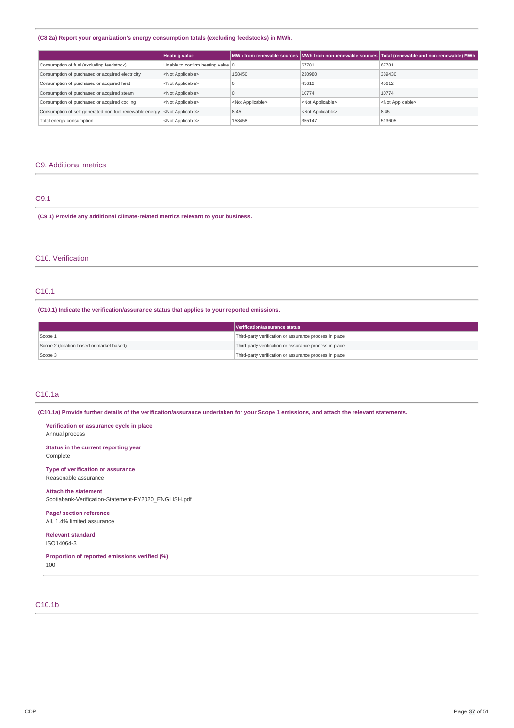### **(C8.2a) Report your organization's energy consumption totals (excluding feedstocks) in MWh.**

|                                                         | <b>Heating value</b>              |                           |                           | MWh from renewable sources MWh from non-renewable sources Total (renewable and non-renewable) MWh M |
|---------------------------------------------------------|-----------------------------------|---------------------------|---------------------------|-----------------------------------------------------------------------------------------------------|
| Consumption of fuel (excluding feedstock)               | Unable to confirm heating value 0 |                           | 67781                     | 67781                                                                                               |
| Consumption of purchased or acquired electricity        | <not applicable=""></not>         | 158450                    | 230980                    | 389430                                                                                              |
| Consumption of purchased or acquired heat               | <not applicable=""></not>         |                           | 45612                     | 45612                                                                                               |
| Consumption of purchased or acquired steam              | <not applicable=""></not>         |                           | 10774                     | 10774                                                                                               |
| Consumption of purchased or acquired cooling            | <not applicable=""></not>         | <not applicable=""></not> | <not applicable=""></not> | <not applicable=""></not>                                                                           |
| Consumption of self-generated non-fuel renewable energy | <not applicable=""></not>         | 8.45                      | <not applicable=""></not> | 8.45                                                                                                |
| Total energy consumption                                | <not applicable=""></not>         | 158458                    | 355147                    | 513605                                                                                              |

# C9. Additional metrics

# C9.1

**(C9.1) Provide any additional climate-related metrics relevant to your business.**

# C10. Verification

# C10.1

**(C10.1) Indicate the verification/assurance status that applies to your reported emissions.**

|                                          | Verification/assurance status                          |
|------------------------------------------|--------------------------------------------------------|
| Scope 1                                  | Third-party verification or assurance process in place |
| Scope 2 (location-based or market-based) | Third-party verification or assurance process in place |
| Scope 3                                  | Third-party verification or assurance process in place |

# C10.1a

(C10.1a) Provide further details of the verification/assurance undertaken for your Scope 1 emissions, and attach the relevant statements.

**Verification or assurance cycle in place** Annual process

**Status in the current reporting year** Complete

**Type of verification or assurance** Reasonable assurance

#### **Attach the statement**

Scotiabank-Verification-Statement-FY2020\_ENGLISH.pdf

**Page/ section reference** All, 1.4% limited assurance

**Relevant standard** ISO14064-3

**Proportion of reported emissions verified (%)** 100

# C10.1b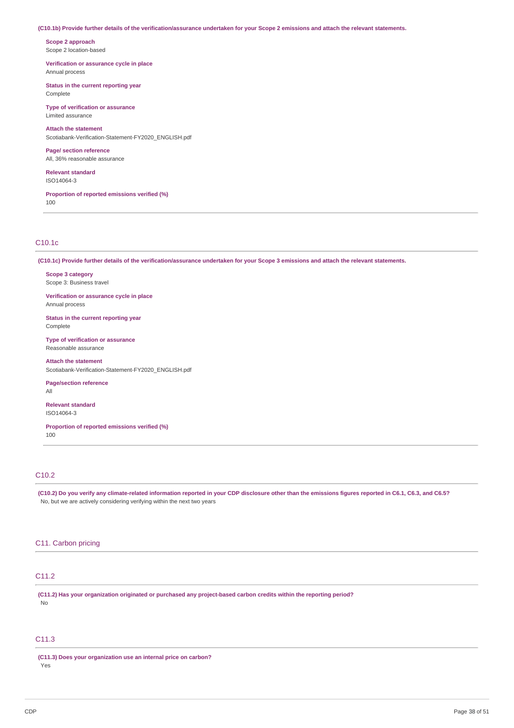#### (C10.1b) Provide further details of the verification/assurance undertaken for your Scope 2 emissions and attach the relevant statements.

**Scope 2 approach** Scope 2 location-based

**Verification or assurance cycle in place** Annual process

**Status in the current reporting year** Complete

**Type of verification or assurance** Limited assurance

**Attach the statement** Scotiabank-Verification-Statement-FY2020\_ENGLISH.pdf

**Page/ section reference** All, 36% reasonable assurance

**Relevant standard** ISO14064-3

**Proportion of reported emissions verified (%)** 100

# C10.1c

(C10.1c) Provide further details of the verification/assurance undertaken for your Scope 3 emissions and attach the relevant statements.

**Scope 3 category** Scope 3: Business travel

**Verification or assurance cycle in place** Annual process

**Status in the current reporting year** Complete

**Type of verification or assurance** Reasonable assurance

**Attach the statement** Scotiabank-Verification-Statement-FY2020\_ENGLISH.pdf

**Page/section reference** All

**Relevant standard** ISO14064-3

**Proportion of reported emissions verified (%)** 100

#### C10.2

(C10.2) Do you verify any climate-related information reported in your CDP disclosure other than the emissions figures reported in C6.1, C6.3, and C6.5? No, but we are actively considering verifying within the next two years

# C11. Carbon pricing

# C11.2

**(C11.2) Has your organization originated or purchased any project-based carbon credits within the reporting period?** No

# C11.3

**(C11.3) Does your organization use an internal price on carbon?** Yes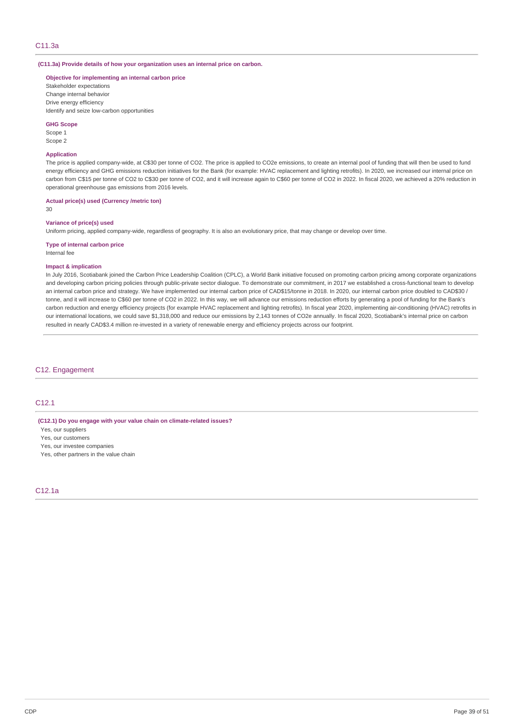**(C11.3a) Provide details of how your organization uses an internal price on carbon.**

**Objective for implementing an internal carbon price**

Stakeholder expectations Change internal behavior Drive energy efficiency Identify and seize low-carbon opportunities

#### **GHG Scope**

Scope 1 Scope 2

#### **Application**

The price is applied company-wide, at C\$30 per tonne of CO2. The price is applied to CO2e emissions, to create an internal pool of funding that will then be used to fund energy efficiency and GHG emissions reduction initiatives for the Bank (for example: HVAC replacement and lighting retrofits). In 2020, we increased our internal price on carbon from C\$15 per tonne of CO2 to C\$30 per tonne of CO2, and it will increase again to C\$60 per tonne of CO2 in 2022. In fiscal 2020, we achieved a 20% reduction in operational greenhouse gas emissions from 2016 levels.

**Actual price(s) used (Currency /metric ton)**

30

# **Variance of price(s) used**

Uniform pricing, applied company-wide, regardless of geography. It is also an evolutionary price, that may change or develop over time.

#### **Type of internal carbon price** Internal fee

# **Impact & implication**

In July 2016, Scotiabank joined the Carbon Price Leadership Coalition (CPLC), a World Bank initiative focused on promoting carbon pricing among corporate organizations and developing carbon pricing policies through public-private sector dialogue. To demonstrate our commitment, in 2017 we established a cross-functional team to develop an internal carbon price and strategy. We have implemented our internal carbon price of CAD\$15/tonne in 2018. In 2020, our internal carbon price doubled to CAD\$30 / tonne, and it will increase to C\$60 per tonne of CO2 in 2022. In this way, we will advance our emissions reduction efforts by generating a pool of funding for the Bank's carbon reduction and energy efficiency projects (for example HVAC replacement and lighting retrofits). In fiscal year 2020, implementing air-conditioning (HVAC) retrofits in our international locations, we could save \$1,318,000 and reduce our emissions by 2,143 tonnes of CO2e annually. In fiscal 2020, Scotiabank's internal price on carbon resulted in nearly CAD\$3.4 million re-invested in a variety of renewable energy and efficiency projects across our footprint.

# C12. Engagement

# C12.1

# **(C12.1) Do you engage with your value chain on climate-related issues?**

Yes, our suppliers

- Yes, our customers
- Yes, our investee companies
- Yes, other partners in the value chain

# C12.1a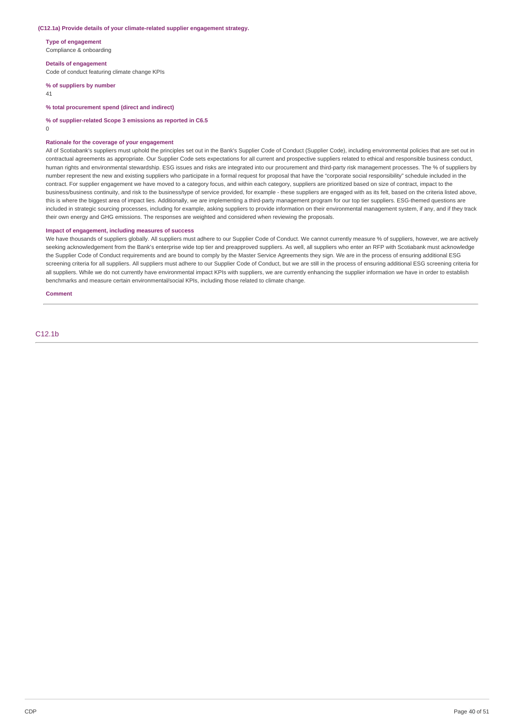#### **(C12.1a) Provide details of your climate-related supplier engagement strategy.**

**Type of engagement** Compliance & onboarding

**Details of engagement**

Code of conduct featuring climate change KPIs

**% of suppliers by number**

41

**% total procurement spend (direct and indirect)**

**% of supplier-related Scope 3 emissions as reported in C6.5**

 $\overline{0}$ 

#### **Rationale for the coverage of your engagement**

All of Scotiabank's suppliers must uphold the principles set out in the Bank's Supplier Code of Conduct (Supplier Code), including environmental policies that are set out in contractual agreements as appropriate. Our Supplier Code sets expectations for all current and prospective suppliers related to ethical and responsible business conduct, human rights and environmental stewardship. ESG issues and risks are integrated into our procurement and third-party risk management processes. The % of suppliers by number represent the new and existing suppliers who participate in a formal request for proposal that have the "corporate social responsibility" schedule included in the contract. For supplier engagement we have moved to a category focus, and within each category, suppliers are prioritized based on size of contract, impact to the business/business continuity, and risk to the business/type of service provided, for example - these suppliers are engaged with as its felt, based on the criteria listed above, this is where the biggest area of impact lies. Additionally, we are implementing a third-party management program for our top tier suppliers. ESG-themed questions are included in strategic sourcing processes, including for example, asking suppliers to provide information on their environmental management system, if any, and if they track their own energy and GHG emissions. The responses are weighted and considered when reviewing the proposals.

### **Impact of engagement, including measures of success**

We have thousands of suppliers globally. All suppliers must adhere to our Supplier Code of Conduct. We cannot currently measure % of suppliers, however, we are actively seeking acknowledgement from the Bank's enterprise wide top tier and preapproved suppliers. As well, all suppliers who enter an RFP with Scotiabank must acknowledge the Supplier Code of Conduct requirements and are bound to comply by the Master Service Agreements they sign. We are in the process of ensuring additional ESG screening criteria for all suppliers. All suppliers must adhere to our Supplier Code of Conduct, but we are still in the process of ensuring additional ESG screening criteria for all suppliers. While we do not currently have environmental impact KPIs with suppliers, we are currently enhancing the supplier information we have in order to establish benchmarks and measure certain environmental/social KPIs, including those related to climate change.

**Comment**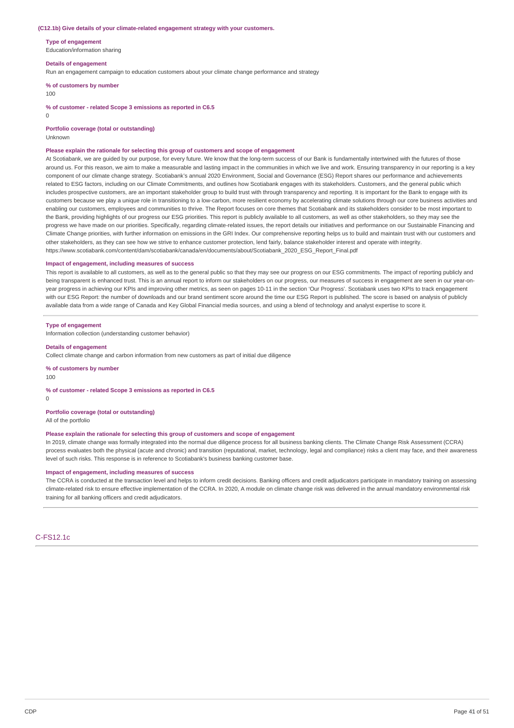#### **(C12.1b) Give details of your climate-related engagement strategy with your customers.**

**Type of engagement** Education/information sharing

### **Details of engagement**

Run an engagement campaign to education customers about your climate change performance and strategy

**% of customers by number**

100

**% of customer - related Scope 3 emissions as reported in C6.5**

 $\Omega$ 

**Portfolio coverage (total or outstanding)**

Unknown

#### **Please explain the rationale for selecting this group of customers and scope of engagement**

At Scotiabank, we are guided by our purpose, for every future. We know that the long-term success of our Bank is fundamentally intertwined with the futures of those around us. For this reason, we aim to make a measurable and lasting impact in the communities in which we live and work. Ensuring transparency in our reporting is a key component of our climate change strategy. Scotiabank's annual 2020 Environment, Social and Governance (ESG) Report shares our performance and achievements related to ESG factors, including on our Climate Commitments, and outlines how Scotiabank engages with its stakeholders. Customers, and the general public which includes prospective customers, are an important stakeholder group to build trust with through transparency and reporting. It is important for the Bank to engage with its customers because we play a unique role in transitioning to a low-carbon, more resilient economy by accelerating climate solutions through our core business activities and enabling our customers, employees and communities to thrive. The Report focuses on core themes that Scotiabank and its stakeholders consider to be most important to the Bank, providing highlights of our progress our ESG priorities. This report is publicly available to all customers, as well as other stakeholders, so they may see the progress we have made on our priorities. Specifically, regarding climate-related issues, the report details our initiatives and performance on our Sustainable Financing and Climate Change priorities, with further information on emissions in the GRI Index. Our comprehensive reporting helps us to build and maintain trust with our customers and other stakeholders, as they can see how we strive to enhance customer protection, lend fairly, balance stakeholder interest and operate with integrity. https://www.scotiabank.com/content/dam/scotiabank/canada/en/documents/about/Scotiabank\_2020\_ESG\_Report\_Final.pdf

#### **Impact of engagement, including measures of success**

This report is available to all customers, as well as to the general public so that they may see our progress on our ESG commitments. The impact of reporting publicly and being transparent is enhanced trust. This is an annual report to inform our stakeholders on our progress, our measures of success in engagement are seen in our year-onyear progress in achieving our KPIs and improving other metrics, as seen on pages 10-11 in the section 'Our Progress'. Scotiabank uses two KPIs to track engagement with our ESG Report: the number of downloads and our brand sentiment score around the time our ESG Report is published. The score is based on analysis of publicly available data from a wide range of Canada and Key Global Financial media sources, and using a blend of technology and analyst expertise to score it.

#### **Type of engagement**

Information collection (understanding customer behavior)

#### **Details of engagement**

Collect climate change and carbon information from new customers as part of initial due diligence

**% of customers by number**

100

#### **% of customer - related Scope 3 emissions as reported in C6.5**

 $\Omega$ 

### **Portfolio coverage (total or outstanding)**

All of the portfolio

#### **Please explain the rationale for selecting this group of customers and scope of engagement**

In 2019, climate change was formally integrated into the normal due diligence process for all business banking clients. The Climate Change Risk Assessment (CCRA) process evaluates both the physical (acute and chronic) and transition (reputational, market, technology, legal and compliance) risks a client may face, and their awareness level of such risks. This response is in reference to Scotiabank's business banking customer base.

#### **Impact of engagement, including measures of success**

The CCRA is conducted at the transaction level and helps to inform credit decisions. Banking officers and credit adjudicators participate in mandatory training on assessing climate-related risk to ensure effective implementation of the CCRA. In 2020, A module on climate change risk was delivered in the annual mandatory environmental risk training for all banking officers and credit adjudicators.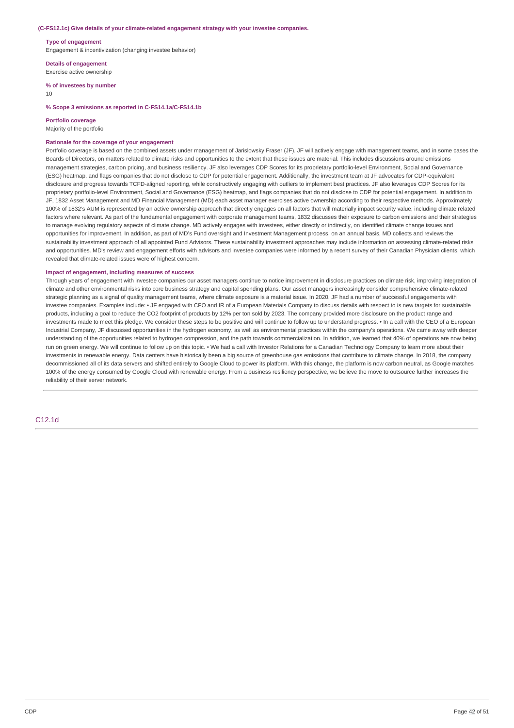#### **(C-FS12.1c) Give details of your climate-related engagement strategy with your investee companies.**

**Type of engagement**

Engagement & incentivization (changing investee behavior)

**Details of engagement** Exercise active ownership

#### **% of investees by number** 10

#### **% Scope 3 emissions as reported in C-FS14.1a/C-FS14.1b**

#### **Portfolio coverage**

#### Majority of the portfolio

#### **Rationale for the coverage of your engagement**

Portfolio coverage is based on the combined assets under management of Jarislowsky Fraser (JF). JF will actively engage with management teams, and in some cases the Boards of Directors, on matters related to climate risks and opportunities to the extent that these issues are material. This includes discussions around emissions management strategies, carbon pricing, and business resiliency. JF also leverages CDP Scores for its proprietary portfolio-level Environment, Social and Governance (ESG) heatmap, and flags companies that do not disclose to CDP for potential engagement. Additionally, the investment team at JF advocates for CDP-equivalent disclosure and progress towards TCFD-aligned reporting, while constructively engaging with outliers to implement best practices. JF also leverages CDP Scores for its proprietary portfolio-level Environment, Social and Governance (ESG) heatmap, and flags companies that do not disclose to CDP for potential engagement. In addition to JF, 1832 Asset Management and MD Financial Management (MD) each asset manager exercises active ownership according to their respective methods. Approximately 100% of 1832's AUM is represented by an active ownership approach that directly engages on all factors that will materially impact security value, including climate related factors where relevant. As part of the fundamental engagement with corporate management teams, 1832 discusses their exposure to carbon emissions and their strategies to manage evolving regulatory aspects of climate change. MD actively engages with investees, either directly or indirectly, on identified climate change issues and opportunities for improvement. In addition, as part of MD's Fund oversight and Investment Management process, on an annual basis, MD collects and reviews the sustainability investment approach of all appointed Fund Advisors. These sustainability investment approaches may include information on assessing climate-related risks and opportunities. MD's review and engagement efforts with advisors and investee companies were informed by a recent survey of their Canadian Physician clients, which revealed that climate-related issues were of highest concern.

### **Impact of engagement, including measures of success**

Through years of engagement with investee companies our asset managers continue to notice improvement in disclosure practices on climate risk, improving integration of climate and other environmental risks into core business strategy and capital spending plans. Our asset managers increasingly consider comprehensive climate-related strategic planning as a signal of quality management teams, where climate exposure is a material issue. In 2020, JF had a number of successful engagements with investee companies. Examples include: • JF engaged with CFO and IR of a European Materials Company to discuss details with respect to is new targets for sustainable products, including a goal to reduce the CO2 footprint of products by 12% per ton sold by 2023. The company provided more disclosure on the product range and investments made to meet this pledge. We consider these steps to be positive and will continue to follow up to understand progress. • In a call with the CEO of a European Industrial Company, JF discussed opportunities in the hydrogen economy, as well as environmental practices within the company's operations. We came away with deeper understanding of the opportunities related to hydrogen compression, and the path towards commercialization. In addition, we learned that 40% of operations are now being run on green energy. We will continue to follow up on this topic. • We had a call with Investor Relations for a Canadian Technology Company to learn more about their investments in renewable energy. Data centers have historically been a big source of greenhouse gas emissions that contribute to climate change. In 2018, the company decommissioned all of its data servers and shifted entirely to Google Cloud to power its platform. With this change, the platform is now carbon neutral, as Google matches 100% of the energy consumed by Google Cloud with renewable energy. From a business resiliency perspective, we believe the move to outsource further increases the reliability of their server network.

C12.1d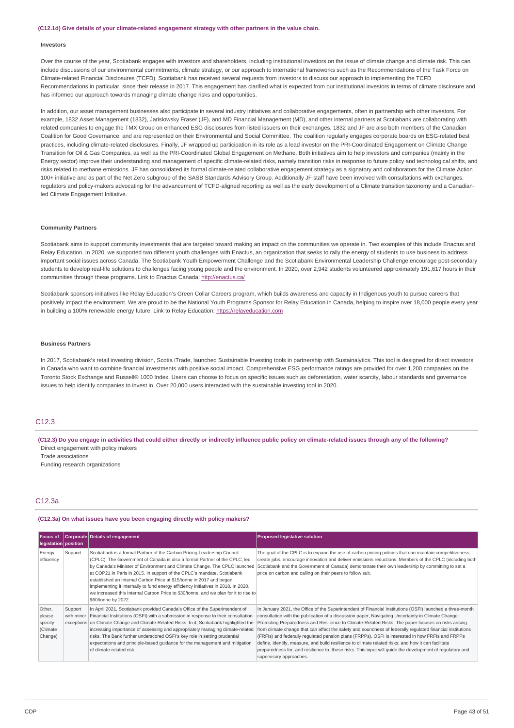#### **(C12.1d) Give details of your climate-related engagement strategy with other partners in the value chain.**

#### **Investors**

Over the course of the year, Scotiabank engages with investors and shareholders, including institutional investors on the issue of climate change and climate risk. This can include discussions of our environmental commitments, climate strategy, or our approach to international frameworks such as the Recommendations of the Task Force on Climate-related Financial Disclosures (TCFD). Scotiabank has received several requests from investors to discuss our approach to implementing the TCFD Recommendations in particular, since their release in 2017. This engagement has clarified what is expected from our institutional investors in terms of climate disclosure and has informed our approach towards managing climate change risks and opportunities.

In addition, our asset management businesses also participate in several industry initiatives and collaborative engagements, often in partnership with other investors. For example, 1832 Asset Management (1832), Jarislowsky Fraser (JF), and MD Financial Management (MD), and other internal partners at Scotiabank are collaborating with related companies to engage the TMX Group on enhanced ESG disclosures from listed issuers on their exchanges. 1832 and JF are also both members of the Canadian Coalition for Good Governance, and are represented on their Environmental and Social Committee. The coalition regularly engages corporate boards on ESG-related best practices, including climate-related disclosures. Finally, JF wrapped up participation in its role as a lead investor on the PRI-Coordinated Engagement on Climate Change Transition for Oil & Gas Companies, as well as the PRI-Coordinated Global Engagement on Methane. Both initiatives aim to help investors and companies (mainly in the Energy sector) improve their understanding and management of specific climate-related risks, namely transition risks in response to future policy and technological shifts, and risks related to methane emissions. JF has consolidated its formal climate-related collaborative engagement strategy as a signatory and collaborators for the Climate Action 100+ initiative and as part of the Net Zero subgroup of the SASB Standards Advisory Group. Additionally JF staff have been involved with consultations with exchanges, regulators and policy-makers advocating for the advancement of TCFD-aligned reporting as well as the early development of a Climate transition taxonomy and a Canadianled Climate Engagement Initiative.

#### **Community Partners**

Scotiabank aims to support community investments that are targeted toward making an impact on the communities we operate in. Two examples of this include Enactus and Relay Education. In 2020, we supported two different youth challenges with Enactus, an organization that seeks to rally the energy of students to use business to address important social issues across Canada. The Scotiabank Youth Empowerment Challenge and the Scotiabank Environmental Leadership Challenge encourage post-secondary students to develop real-life solutions to challenges facing young people and the environment. In 2020, over 2,942 students volunteered approximately 191,617 hours in their communities through these programs. Link to Enactus Canada: <http://enactus.ca/>

Scotiabank sponsors initiatives like Relay Education's Green Collar Careers program, which builds awareness and capacity in Indigenous youth to pursue careers that positively impact the environment. We are proud to be the National Youth Programs Sponsor for Relay Education in Canada, helping to inspire over 18,000 people every year in building a 100% renewable energy future. Link to Relay Education: [https://relayeducation.com](https://relayeducation.com/)

#### **Business Partners**

In 2017, Scotiabank's retail investing division, Scotia iTrade, launched Sustainable Investing tools in partnership with Sustainalytics. This tool is designed for direct investors in Canada who want to combine financial investments with positive social impact. Comprehensive ESG performance ratings are provided for over 1,200 companies on the Toronto Stock Exchange and Russell® 1000 Index. Users can choose to focus on specific issues such as deforestation, water scarcity, labour standards and governance issues to help identify companies to invest in. Over 20,000 users interacted with the sustainable investing tool in 2020.

### C12.3

(C12.3) Do you engage in activities that could either directly or indirectly influence public policy on climate-related issues through any of the following? Direct engagement with policy makers

Trade associations

Funding research organizations

#### $C12.3a$

#### **(C12.3a) On what issues have you been engaging directly with policy makers?**

| Focus of<br>legislation position                   |                       | Corporate Details of engagement                                                                                                                                                                                                                                                                                                                                                                                                                                                                                                                                                            | <b>Proposed legislative solution</b>                                                                                                                                                                                                                                                                                                                                                                                                                                                                                                                                                                                                                                                                                                                                                   |
|----------------------------------------------------|-----------------------|--------------------------------------------------------------------------------------------------------------------------------------------------------------------------------------------------------------------------------------------------------------------------------------------------------------------------------------------------------------------------------------------------------------------------------------------------------------------------------------------------------------------------------------------------------------------------------------------|----------------------------------------------------------------------------------------------------------------------------------------------------------------------------------------------------------------------------------------------------------------------------------------------------------------------------------------------------------------------------------------------------------------------------------------------------------------------------------------------------------------------------------------------------------------------------------------------------------------------------------------------------------------------------------------------------------------------------------------------------------------------------------------|
| Energy<br>efficiency                               | Support               | Scotiabank is a formal Partner of the Carbon Pricing Leadership Council<br>(CPLC). The Government of Canada is also a formal Partner of the CPLC, led<br>by Canada's Minister of Environment and Climate Change. The CPLC launched<br>at COP21 in Paris in 2015. In support of the CPLC's mandate, Scotiabank<br>established an Internal Carbon Price at \$15/tonne in 2017 and began<br>implementing it internally to fund energy efficiency initiatives in 2018. In 2020,<br>we increased this Internal Carbon Price to \$30/tonne, and we plan for it to rise to<br>\$60/tonne by 2022. | The goal of the CPLC is to expand the use of carbon pricing policies that can maintain competitiveness,<br>create jobs, encourage innovation and deliver emissions reductions. Members of the CPLC (including both<br>Scotiabank and the Government of Canada) demonstrate their own leadership by committing to set a<br>price on carbon and calling on their peers to follow suit.                                                                                                                                                                                                                                                                                                                                                                                                   |
| Other,<br>please<br>specify<br>(Climate<br>Change) | Support<br>with minor | In April 2021, Scotiabank provided Canada's Office of the Superintendent of<br>Financial Institutions (OSFI) with a submission in response to their consultation<br>exceptions on Climate Change and Climate-Related Risks. In it, Scotiabank highlighted the<br>increasing importance of assessing and appropriately managing climate-related<br>risks. The Bank further underscored OSFI's key role in setting prudential<br>expectations and principle-based quidance for the management and mitigation<br>of climate-related risk.                                                     | In January 2021, the Office of the Superintendent of Financial Institutions (OSFI) launched a three-month<br>consultation with the publication of a discussion paper, Navigating Uncertainty in Climate Change:<br>Promoting Preparedness and Resilience to Climate-Related Risks. The paper focuses on risks arising<br>from climate change that can affect the safety and soundness of federally regulated financial institutions<br>(FRFIs) and federally regulated pension plans (FRPPs). OSFI is interested in how FRFIs and FRPPs<br>define, identify, measure, and build resilience to climate related risks; and how it can facilitate<br>preparedness for, and resilience to, these risks. This input will quide the development of requlatory and<br>supervisory approaches. |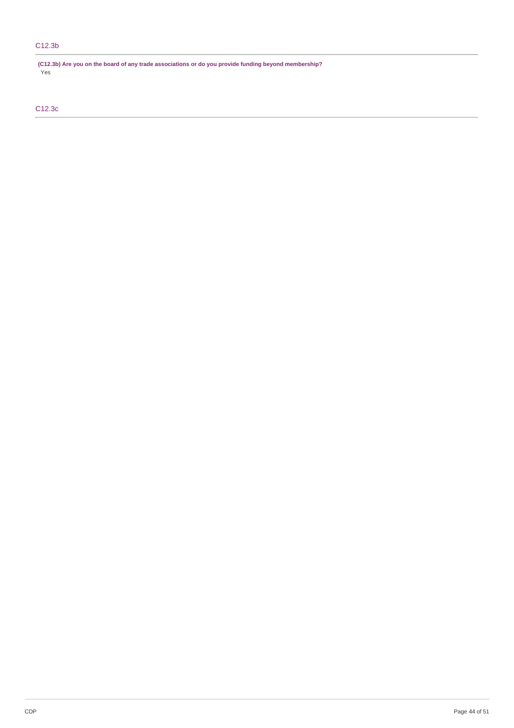# C12.3b

**(C12.3b) Are you on the board of any trade associations or do you provide funding beyond membership?** Yes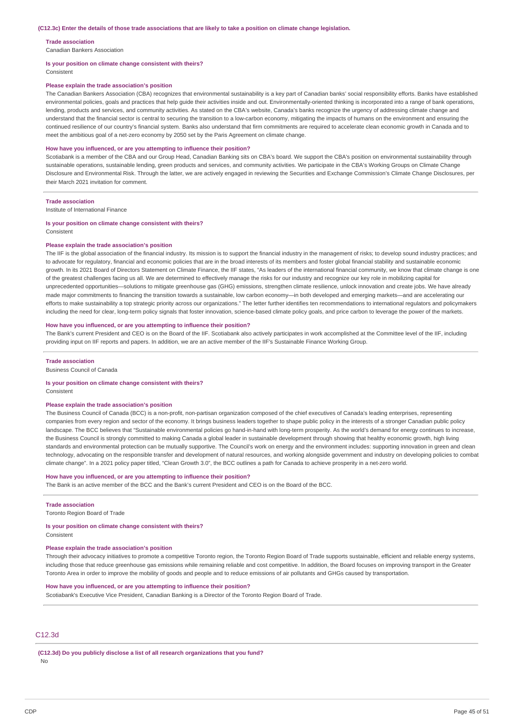#### **Trade association**

Canadian Bankers Association

#### **Is your position on climate change consistent with theirs?**

Consistent

#### **Please explain the trade association's position**

The Canadian Bankers Association (CBA) recognizes that environmental sustainability is a key part of Canadian banks' social responsibility efforts. Banks have established environmental policies, goals and practices that help guide their activities inside and out. Environmentally-oriented thinking is incorporated into a range of bank operations, lending, products and services, and community activities. As stated on the CBA's website, Canada's banks recognize the urgency of addressing climate change and understand that the financial sector is central to securing the transition to a low-carbon economy, mitigating the impacts of humans on the environment and ensuring the continued resilience of our country's financial system. Banks also understand that firm commitments are required to accelerate clean economic growth in Canada and to meet the ambitious goal of a net-zero economy by 2050 set by the Paris Agreement on climate change.

#### **How have you influenced, or are you attempting to influence their position?**

Scotiabank is a member of the CBA and our Group Head, Canadian Banking sits on CBA's board. We support the CBA's position on environmental sustainability through sustainable operations, sustainable lending, green products and services, and community activities. We participate in the CBA's Working Groups on Climate Change Disclosure and Environmental Risk. Through the latter, we are actively engaged in reviewing the Securities and Exchange Commission's Climate Change Disclosures, per their March 2021 invitation for comment.

#### **Trade association**

Institute of International Finance

#### **Is your position on climate change consistent with theirs?** Consistent

**Please explain the trade association's position**

The IIF is the global association of the financial industry. Its mission is to support the financial industry in the management of risks; to develop sound industry practices; and to advocate for regulatory, financial and economic policies that are in the broad interests of its members and foster global financial stability and sustainable economic growth. In its 2021 Board of Directors Statement on Climate Finance, the IIF states, "As leaders of the international financial community, we know that climate change is one of the greatest challenges facing us all. We are determined to effectively manage the risks for our industry and recognize our key role in mobilizing capital for unprecedented opportunities—solutions to mitigate greenhouse gas (GHG) emissions, strengthen climate resilience, unlock innovation and create jobs. We have already made major commitments to financing the transition towards a sustainable, low carbon economy—in both developed and emerging markets—and are accelerating our efforts to make sustainability a top strategic priority across our organizations." The letter further identifies ten recommendations to international regulators and policymakers including the need for clear, long-term policy signals that foster innovation, science-based climate policy goals, and price carbon to leverage the power of the markets.

#### **How have you influenced, or are you attempting to influence their position?**

The Bank's current President and CEO is on the Board of the IIF. Scotiabank also actively participates in work accomplished at the Committee level of the IIF, including providing input on IIF reports and papers. In addition, we are an active member of the IIF's Sustainable Finance Working Group.

#### **Trade association**

Business Council of Canada

#### **Is your position on climate change consistent with theirs?**

Consistent

#### **Please explain the trade association's position**

The Business Council of Canada (BCC) is a non-profit, non-partisan organization composed of the chief executives of Canada's leading enterprises, representing companies from every region and sector of the economy. It brings business leaders together to shape public policy in the interests of a stronger Canadian public policy landscape. The BCC believes that "Sustainable environmental policies go hand-in-hand with long-term prosperity. As the world's demand for energy continues to increase, the Business Council is strongly committed to making Canada a global leader in sustainable development through showing that healthy economic growth, high living standards and environmental protection can be mutually supportive. The Council's work on energy and the environment includes: supporting innovation in green and clean technology, advocating on the responsible transfer and development of natural resources, and working alongside government and industry on developing policies to combat climate change". In a 2021 policy paper titled, "Clean Growth 3.0", the BCC outlines a path for Canada to achieve prosperity in a net-zero world.

#### **How have you influenced, or are you attempting to influence their position?**

The Bank is an active member of the BCC and the Bank's current President and CEO is on the Board of the BCC.

# **Trade association**

Toronto Region Board of Trade

# **Is your position on climate change consistent with theirs?**

Consistent

# **Please explain the trade association's position**

Through their advocacy initiatives to promote a competitive Toronto region, the Toronto Region Board of Trade supports sustainable, efficient and reliable energy systems, including those that reduce greenhouse gas emissions while remaining reliable and cost competitive. In addition, the Board focuses on improving transport in the Greater Toronto Area in order to improve the mobility of goods and people and to reduce emissions of air pollutants and GHGs caused by transportation.

### **How have you influenced, or are you attempting to influence their position?**

Scotiabank's Executive Vice President, Canadian Banking is a Director of the Toronto Region Board of Trade.

# C12.3d

**(C12.3d) Do you publicly disclose a list of all research organizations that you fund?** No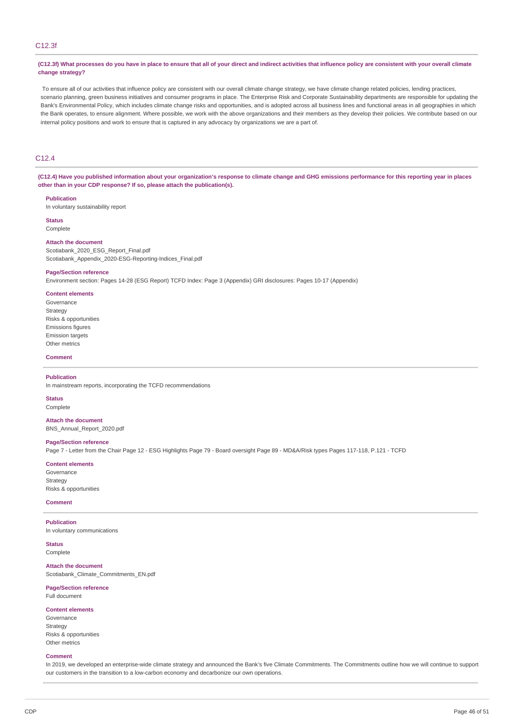# C12.3f

(C12.3f) What processes do you have in place to ensure that all of your direct and indirect activities that influence policy are consistent with your overall climate **change strategy?**

To ensure all of our activities that influence policy are consistent with our overall climate change strategy, we have climate change related policies, lending practices, scenario planning, green business initiatives and consumer programs in place. The Enterprise Risk and Corporate Sustainability departments are responsible for updating the Bank's Environmental Policy, which includes climate change risks and opportunities, and is adopted across all business lines and functional areas in all geographies in which the Bank operates, to ensure alignment. Where possible, we work with the above organizations and their members as they develop their policies. We contribute based on our internal policy positions and work to ensure that is captured in any advocacy by organizations we are a part of.

# C12.4

(C12.4) Have you published information about your organization's response to climate change and GHG emissions performance for this reporting year in places **other than in your CDP response? If so, please attach the publication(s).**

#### **Publication**

In voluntary sustainability report

**Status**

# Complete

# **Attach the document**

Scotiabank 2020 ESG Report Final.pdf Scotiabank\_Appendix\_2020-ESG-Reporting-Indices\_Final.pdf

#### **Page/Section reference**

Environment section: Pages 14-28 (ESG Report) TCFD Index: Page 3 (Appendix) GRI disclosures: Pages 10-17 (Appendix)

**Content elements** Governance Strategy Risks & opportunities Emissions figures Emission targets Other metrics

#### **Comment**

#### **Publication**

In mainstream reports, incorporating the TCFD recommendations

**Status**

#### Complete

**Attach the document** BNS\_Annual\_Report\_2020.pdf

#### **Page/Section reference**

Page 7 - Letter from the Chair Page 12 - ESG Highlights Page 79 - Board oversight Page 89 - MD&A/Risk types Pages 117-118, P.121 - TCFD

**Content elements**

Governance Strategy Risks & opportunities

### **Comment**

#### **Publication**

In voluntary communications

**Status** Complete

**Attach the document** Scotiabank\_Climate\_Commitments\_EN.pdf

# **Page/Section reference**

Full document

### **Content elements**

Governance Strategy Risks & opportunities Other metrics

#### **Comment**

In 2019, we developed an enterprise-wide climate strategy and announced the Bank's five Climate Commitments. The Commitments outline how we will continue to support our customers in the transition to a low-carbon economy and decarbonize our own operations.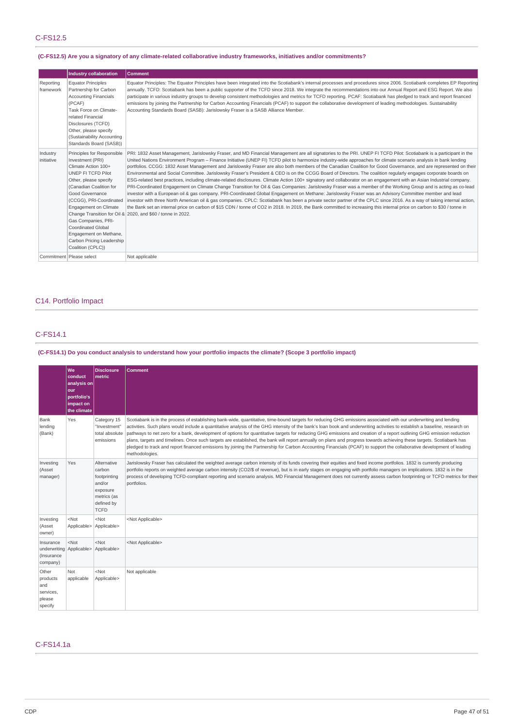# **(C-FS12.5) Are you a signatory of any climate-related collaborative industry frameworks, initiatives and/or commitments?**

|                        | <b>Industry collaboration</b>                                                                                                                                                                                                                                                                                                                          | Comment                                                                                                                                                                                                                                                                                                                                                                                                                                                                                                                                                                                                                                                                                                                                                                                                                                                                                                                                                                                                                                                                                                                                                                                                                                                                                                                                                                                                                                                                                                                                                                                               |
|------------------------|--------------------------------------------------------------------------------------------------------------------------------------------------------------------------------------------------------------------------------------------------------------------------------------------------------------------------------------------------------|-------------------------------------------------------------------------------------------------------------------------------------------------------------------------------------------------------------------------------------------------------------------------------------------------------------------------------------------------------------------------------------------------------------------------------------------------------------------------------------------------------------------------------------------------------------------------------------------------------------------------------------------------------------------------------------------------------------------------------------------------------------------------------------------------------------------------------------------------------------------------------------------------------------------------------------------------------------------------------------------------------------------------------------------------------------------------------------------------------------------------------------------------------------------------------------------------------------------------------------------------------------------------------------------------------------------------------------------------------------------------------------------------------------------------------------------------------------------------------------------------------------------------------------------------------------------------------------------------------|
| Reporting<br>framework | <b>Equator Principles</b><br>Partnership for Carbon<br><b>Accounting Financials</b><br>(PCAF)<br>Task Force on Climate-<br>related Financial<br>Disclosures (TCFD)<br>Other, please specify<br>(Sustainability Accounting<br>Standards Board (SASB))                                                                                                   | Equator Principles: The Equator Principles have been integrated into the Scotiabank's internal processes and procedures since 2006. Scotiabank completes EP Reporting<br>annually. TCFD: Scotiabank has been a public supporter of the TCFD since 2018. We integrate the recommendations into our Annual Report and ESG Report. We also<br>participate in various industry groups to develop consistent methodologies and metrics for TCFD reporting. PCAF: Scotiabank has pledged to track and report financed<br>emissions by joining the Partnership for Carbon Accounting Financials (PCAF) to support the collaborative development of leading methodologies. Sustainability<br>Accounting Standards Board (SASB): Jarislowsky Fraser is a SASB Alliance Member.                                                                                                                                                                                                                                                                                                                                                                                                                                                                                                                                                                                                                                                                                                                                                                                                                                 |
| Industry<br>initiative | Principles for Responsible<br>Investment (PRI)<br>Climate Action 100+<br>UNEP FI TCFD Pilot<br>Other, please specify<br>(Canadian Coalition for<br>Good Governance<br>(CCGG), PRI-Coordinated<br>Engagement on Climate<br>Gas Companies, PRI-<br><b>Coordinated Global</b><br>Engagement on Methane,<br>Carbon Pricing Leadership<br>Coalition (CPLC)) | PRI: 1832 Asset Management, Jarislowsky Fraser, and MD Financial Management are all signatories to the PRI. UNEP FI TCFD Pilot: Scotiabank is a participant in the<br>United Nations Environment Program - Finance Initiative (UNEP FI) TCFD pilot to harmonize industry-wide approaches for climate scenario analysis in bank lending<br>portfolios. CCGG: 1832 Asset Management and Jarislowsky Fraser are also both members of the Canadian Coalition for Good Governance, and are represented on their<br>Environmental and Social Committee. Jarislowsky Fraser's President & CEO is on the CCGG Board of Directors. The coalition regularly engages corporate boards on<br>ESG-related best practices, including climate-related disclosures. Climate Action 100+ signatory and collaborator on an engagement with an Asian Industrial company.<br>PRI-Coordinated Engagement on Climate Change Transition for Oil & Gas Companies: Jarislowsky Fraser was a member of the Working Group and is acting as co-lead<br>investor with a European oil & qas company. PRI-Coordinated Global Engagement on Methane: Jarislowsky Fraser was an Advisory Committee member and lead<br>investor with three North American oil & gas companies. CPLC: Scotiabank has been a private sector partner of the CPLC since 2016. As a way of taking internal action,<br>the Bank set an internal price on carbon of \$15 CDN / tonne of CO2 in 2018. In 2019, the Bank committed to increasing this internal price on carbon to \$30 / tonne in<br>Change Transition for Oil & 2020, and \$60 / tonne in 2022. |
|                        | Commitment   Please select                                                                                                                                                                                                                                                                                                                             | Not applicable                                                                                                                                                                                                                                                                                                                                                                                                                                                                                                                                                                                                                                                                                                                                                                                                                                                                                                                                                                                                                                                                                                                                                                                                                                                                                                                                                                                                                                                                                                                                                                                        |

# C14. Portfolio Impact

# C-FS14.1

# (C-FS14.1) Do you conduct analysis to understand how your portfolio impacts the climate? (Scope 3 portfolio impact)

|                                                                 | We<br>conduct<br>analysis on<br>our<br>portfolio's<br>impact on<br>the climate | <b>Disclosure</b><br>metric                                                                             | <b>Comment</b>                                                                                                                                                                                                                                                                                                                                                                                                                                                                                                                                                                                                                                                                                                                                                                                                                                                                             |
|-----------------------------------------------------------------|--------------------------------------------------------------------------------|---------------------------------------------------------------------------------------------------------|--------------------------------------------------------------------------------------------------------------------------------------------------------------------------------------------------------------------------------------------------------------------------------------------------------------------------------------------------------------------------------------------------------------------------------------------------------------------------------------------------------------------------------------------------------------------------------------------------------------------------------------------------------------------------------------------------------------------------------------------------------------------------------------------------------------------------------------------------------------------------------------------|
| Bank<br>lending<br>(Bank)                                       | Yes                                                                            | Category 15<br>"Investment"<br>total absolute<br>emissions                                              | Scotiabank is in the process of establishing bank-wide, quantitative, time-bound targets for reducing GHG emissions associated with our underwriting and lending<br>activities. Such plans would include a quantitative analysis of the GHG intensity of the bank's loan book and underwriting activities to establish a baseline, research on<br>pathways to net zero for a bank, development of options for quantitative targets for reducing GHG emissions and creation of a report outlining GHG emission reduction<br>plans, targets and timelines. Once such targets are established, the bank will report annually on plans and progress towards achieving these targets. Scotiabank has<br>pledged to track and report financed emissions by joining the Partnership for Carbon Accounting Financials (PCAF) to support the collaborative development of leading<br>methodologies. |
| Investing<br>(Asset<br>manager)                                 | Yes                                                                            | Alternative<br>carbon<br>footprinting<br>and/or<br>exposure<br>metrics (as<br>defined by<br><b>TCFD</b> | Jarislowsky Fraser has calculated the weighted average carbon intensity of its funds covering their equities and fixed income portfolios. 1832 is currently producing<br>portfolio reports on weighted average carbon intensity (CO2/\$ of revenue), but is in early stages on engaging with portfolio managers on implications. 1832 is in the<br>process of developing TCFD-compliant reporting and scenario analysis. MD Financial Management does not currently assess carbon footprinting or TCFD metrics for their<br>portfolios.                                                                                                                                                                                                                                                                                                                                                    |
| Investing<br>(Asset<br>owner)                                   | $<$ Not<br>Applicable>                                                         | $<$ Not<br>Applicable>                                                                                  | <not applicable=""></not>                                                                                                                                                                                                                                                                                                                                                                                                                                                                                                                                                                                                                                                                                                                                                                                                                                                                  |
| Insurance<br>underwriting Applicable><br>(Insurance<br>company) | $<$ Not                                                                        | $<$ Not<br>Applicable>                                                                                  | <not applicable=""></not>                                                                                                                                                                                                                                                                                                                                                                                                                                                                                                                                                                                                                                                                                                                                                                                                                                                                  |
| Other<br>products<br>and<br>services,<br>please<br>specify      | Not<br>applicable                                                              | $<$ Not<br>Applicable>                                                                                  | Not applicable                                                                                                                                                                                                                                                                                                                                                                                                                                                                                                                                                                                                                                                                                                                                                                                                                                                                             |

# C-FS14.1a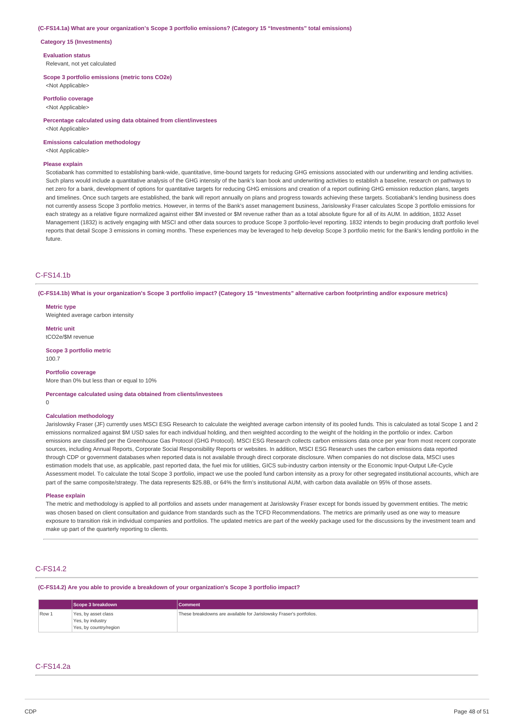#### **(C-FS14.1a) What are your organization's Scope 3 portfolio emissions? (Category 15 "Investments" total emissions)**

#### **Category 15 (Investments)**

**Evaluation status**

Relevant, not yet calculated

**Scope 3 portfolio emissions (metric tons CO2e)** <Not Applicable>

**Portfolio coverage**

<Not Applicable>

**Percentage calculated using data obtained from client/investees** <Not Applicable>

**Emissions calculation methodology**

<Not Applicable>

# **Please explain**

Scotiabank has committed to establishing bank-wide, quantitative, time-bound targets for reducing GHG emissions associated with our underwriting and lending activities. Such plans would include a quantitative analysis of the GHG intensity of the bank's loan book and underwriting activities to establish a baseline, research on pathways to net zero for a bank, development of options for quantitative targets for reducing GHG emissions and creation of a report outlining GHG emission reduction plans, targets and timelines. Once such targets are established, the bank will report annually on plans and progress towards achieving these targets. Scotiabank's lending business does not currently assess Scope 3 portfolio metrics. However, in terms of the Bank's asset management business, Jarislowsky Fraser calculates Scope 3 portfolio emissions for each strategy as a relative figure normalized against either \$M invested or \$M revenue rather than as a total absolute figure for all of its AUM. In addition, 1832 Asset Management (1832) is actively engaging with MSCI and other data sources to produce Scope 3 portfolio-level reporting. 1832 intends to begin producing draft portfolio level reports that detail Scope 3 emissions in coming months. These experiences may be leveraged to help develop Scope 3 portfolio metric for the Bank's lending portfolio in the future.

#### C-FS14.1b

(C-FS14.1b) What is your organization's Scope 3 portfolio impact? (Category 15 "Investments" alternative carbon footprinting and/or exposure metrics)

**Metric type** Weighted average carbon intensity

**Metric unit** tCO2e/\$M revenue

**Scope 3 portfolio metric** 100.7

#### **Portfolio coverage**

More than 0% but less than or equal to 10%

#### **Percentage calculated using data obtained from clients/investees**

0

#### **Calculation methodology**

Jarislowsky Fraser (JF) currently uses MSCI ESG Research to calculate the weighted average carbon intensity of its pooled funds. This is calculated as total Scope 1 and 2 emissions normalized against \$M USD sales for each individual holding, and then weighted according to the weight of the holding in the portfolio or index. Carbon emissions are classified per the Greenhouse Gas Protocol (GHG Protocol). MSCI ESG Research collects carbon emissions data once per year from most recent corporate sources, including Annual Reports, Corporate Social Responsibility Reports or websites. In addition, MSCI ESG Research uses the carbon emissions data reported through CDP or government databases when reported data is not available through direct corporate disclosure. When companies do not disclose data, MSCI uses estimation models that use, as applicable, past reported data, the fuel mix for utilities, GICS sub-industry carbon intensity or the Economic Input-Output Life-Cycle Assessment model. To calculate the total Scope 3 portfolio, impact we use the pooled fund carbon intensity as a proxy for other segregated institutional accounts, which are part of the same composite/strategy. The data represents \$25.8B, or 64% the firm's institutional AUM, with carbon data available on 95% of those assets.

#### **Please explain**

The metric and methodology is applied to all portfolios and assets under management at Jarislowsky Fraser except for bonds issued by government entities. The metric was chosen based on client consultation and guidance from standards such as the TCFD Recommendations. The metrics are primarily used as one way to measure exposure to transition risk in individual companies and portfolios. The updated metrics are part of the weekly package used for the discussions by the investment team and make up part of the quarterly reporting to clients.

# C-FS14.2

**(C-FS14.2) Are you able to provide a breakdown of your organization's Scope 3 portfolio impact?**

|       | Scope 3 breakdown      | <b>Comment</b>                                                      |
|-------|------------------------|---------------------------------------------------------------------|
| Row 1 | Yes, by asset class    | These breakdowns are available for Jarislowsky Fraser's portfolios. |
|       | Yes, by industry       |                                                                     |
|       | Yes, by country/region |                                                                     |

# C-FS14.2a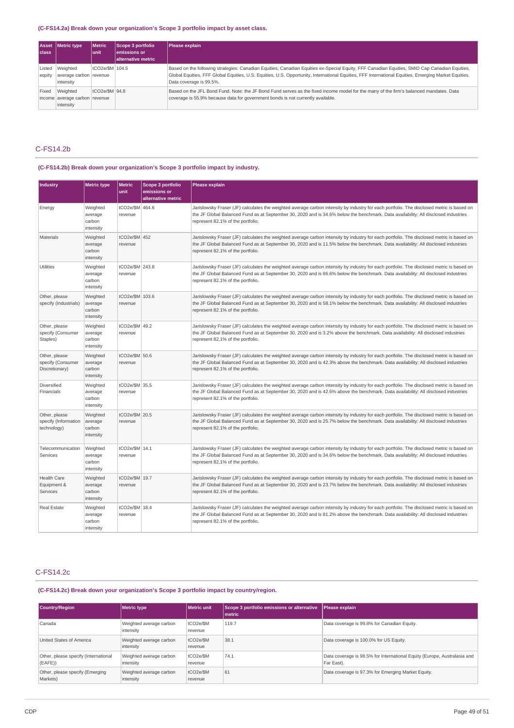### **(C-FS14.2a) Break down your organization's Scope 3 portfolio impact by asset class.**

| <b>Asset</b><br>class | Metric type                                            | <b>Metric</b><br>lunit | Scope 3 portfolio<br>emissions or<br>alternative metric | Please explain                                                                                                                                                                                                                                                                                                                   |
|-----------------------|--------------------------------------------------------|------------------------|---------------------------------------------------------|----------------------------------------------------------------------------------------------------------------------------------------------------------------------------------------------------------------------------------------------------------------------------------------------------------------------------------|
| Listed<br>equity      | Weighted<br>average carbon revenue<br>intensity        | tCO2e/\$M   104.5      |                                                         | Based on the following strategies: Canadian Equities, Canadian Equities ex-Special Equity, FFF Canadian Equities, SMID Cap Canadian Equities,<br>Global Equities, FFF Global Equities, U.S. Equities, U.S. Opportunity, International Equities, FFF International Equities, Emerging Market Equities.<br>Data coverage is 99.5%. |
| Fixed                 | Weighted<br>income average carbon revenue<br>intensity | tCO2e/\$M 94.8         |                                                         | Based on the JFL Bond Fund. Note: the JF Bond Fund serves as the fixed income model for the many of the firm's balanced mandates. Data<br>coverage is 55.9% because data for government bonds is not currently available.                                                                                                        |

# C-FS14.2b

# **(C-FS14.2b) Break down your organization's Scope 3 portfolio impact by industry.**

| <b>Industry</b>                                      | <b>Metric type</b>                         | <b>Metric</b><br>unit      | Scope 3 portfolio<br>emissions or<br>alternative metric | Please explain                                                                                                                                                                                                                                                                                                       |  |
|------------------------------------------------------|--------------------------------------------|----------------------------|---------------------------------------------------------|----------------------------------------------------------------------------------------------------------------------------------------------------------------------------------------------------------------------------------------------------------------------------------------------------------------------|--|
| Energy                                               | Weighted<br>average<br>carbon<br>intensity | tCO2e/\$M 464.6<br>revenue |                                                         | Jarislowsky Fraser (JF) calculates the weighted average carbon intensity by industry for each portfolio. The disclosed metric is based on<br>the JF Global Balanced Fund as at September 30, 2020 and is 34.6% below the benchmark. Data availability: All disclosed industries<br>represent 82.1% of the portfolio. |  |
| <b>Materials</b>                                     | Weighted<br>average<br>carbon<br>intensity | tCO2e/\$M 452<br>revenue   |                                                         | Jarislowsky Fraser (JF) calculates the weighted average carbon intensity by industry for each portfolio. The disclosed metric is based on<br>the JF Global Balanced Fund as at September 30, 2020 and is 11.5% below the benchmark. Data availability: All disclosed industries<br>represent 82.1% of the portfolio. |  |
| Utilities                                            | Weighted<br>average<br>carbon<br>intensity | tCO2e/\$M 243.8<br>revenue |                                                         | Jarislowsky Fraser (JF) calculates the weighted average carbon intensity by industry for each portfolio. The disclosed metric is based on<br>the JF Global Balanced Fund as at September 30, 2020 and is 86.6% below the benchmark. Data availability: All disclosed industries<br>represent 82.1% of the portfolio. |  |
| Other, please<br>specify (Industrials)               | Weighted<br>average<br>carbon<br>intensity | tCO2e/\$M 103.6<br>revenue |                                                         | Jarislowsky Fraser (JF) calculates the weighted average carbon intensity by industry for each portfolio. The disclosed metric is based on<br>the JF Global Balanced Fund as at September 30, 2020 and is 58.1% below the benchmark. Data availability: All disclosed industries<br>represent 82.1% of the portfolio. |  |
| Other, please<br>specify (Consumer<br>Staples)       | Weighted<br>average<br>carbon<br>intensity | tCO2e/\$M 49.2<br>revenue  |                                                         | Jarislowsky Fraser (JF) calculates the weighted average carbon intensity by industry for each portfolio. The disclosed metric is based on<br>the JF Global Balanced Fund as at September 30, 2020 and is 3.2% above the benchmark. Data availability: All disclosed industries<br>represent 82.1% of the portfolio.  |  |
| Other, please<br>specify (Consumer<br>Discretionary) | Weighted<br>average<br>carbon<br>intensity | tCO2e/\$M 50.6<br>revenue  |                                                         | Jarislowsky Fraser (JF) calculates the weighted average carbon intensity by industry for each portfolio. The disclosed metric is based on<br>the JF Global Balanced Fund as at September 30, 2020 and is 42.3% above the benchmark. Data availability: All disclosed industries<br>represent 82.1% of the portfolio. |  |
| Diversified<br>Financials                            | Weighted<br>average<br>carbon<br>intensity | tCO2e/\$M 35.5<br>revenue  |                                                         | Jarislowsky Fraser (JF) calculates the weighted average carbon intensity by industry for each portfolio. The disclosed metric is based on<br>the JF Global Balanced Fund as at September 30, 2020 and is 42.6% above the benchmark. Data availability: All disclosed industries<br>represent 82.1% of the portfolio. |  |
| Other, please<br>specify (Information<br>technology) | Weighted<br>average<br>carbon<br>intensity | tCO2e/\$M 20.5<br>revenue  |                                                         | Jarislowsky Fraser (JF) calculates the weighted average carbon intensity by industry for each portfolio. The disclosed metric is based on<br>the JF Global Balanced Fund as at September 30, 2020 and is 25.7% below the benchmark. Data availability: All disclosed industries<br>represent 82.1% of the portfolio. |  |
| Telecommunication<br>Services                        | Weighted<br>average<br>carbon<br>intensity | tCO2e/\$M 14.1<br>revenue  |                                                         | Jarislowsky Fraser (JF) calculates the weighted average carbon intensity by industry for each portfolio. The disclosed metric is based on<br>the JF Global Balanced Fund as at September 30, 2020 and is 34.6% below the benchmark. Data availability: All disclosed industries<br>represent 82.1% of the portfolio. |  |
| <b>Health Care</b><br>Equipment &<br>Services        | Weighted<br>average<br>carbon<br>intensity | tCO2e/\$M 19.7<br>revenue  |                                                         | Jarislowsky Fraser (JF) calculates the weighted average carbon intensity by industry for each portfolio. The disclosed metric is based on<br>the JF Global Balanced Fund as at September 30, 2020 and is 23.7% below the benchmark. Data availability: All disclosed industries<br>represent 82.1% of the portfolio. |  |
| Real Estate                                          | Weighted<br>average<br>carbon<br>intensity | tCO2e/\$M 18.4<br>revenue  |                                                         | Jarislowsky Fraser (JF) calculates the weighted average carbon intensity by industry for each portfolio. The disclosed metric is based on<br>the JF Global Balanced Fund as at September 30, 2020 and is 81.2% above the benchmark. Data availability: All disclosed industries<br>represent 82.1% of the portfolio. |  |

# C-FS14.2c

**(C-FS14.2c) Break down your organization's Scope 3 portfolio impact by country/region.**

| <b>Country/Region</b>                          | Metric type                          | Metric unit          | Scope 3 portfolio emissions or alternative<br>l metric | Please explain                                                                         |
|------------------------------------------------|--------------------------------------|----------------------|--------------------------------------------------------|----------------------------------------------------------------------------------------|
| Canada                                         | Weighted average carbon<br>intensity | tCO2e/\$M<br>revenue | 119.7                                                  | Data coverage is 99.8% for Canadian Equity.                                            |
| United States of America                       | Weighted average carbon<br>intensity | tCO2e/\$M<br>revenue | 38.1                                                   | Data coverage is 100.0% for US Equity.                                                 |
| Other, please specify (International<br>(EAFE) | Weighted average carbon<br>intensity | tCO2e/\$M<br>revenue | 74.1                                                   | Data coverage is 98.5% for International Equity (Europe, Australasia and<br>Far East). |
| Other, please specify (Emerging<br>Markets)    | Weighted average carbon<br>intensity | tCO2e/\$M<br>revenue | 61                                                     | Data coverage is 97.3% for Emerging Market Equity.                                     |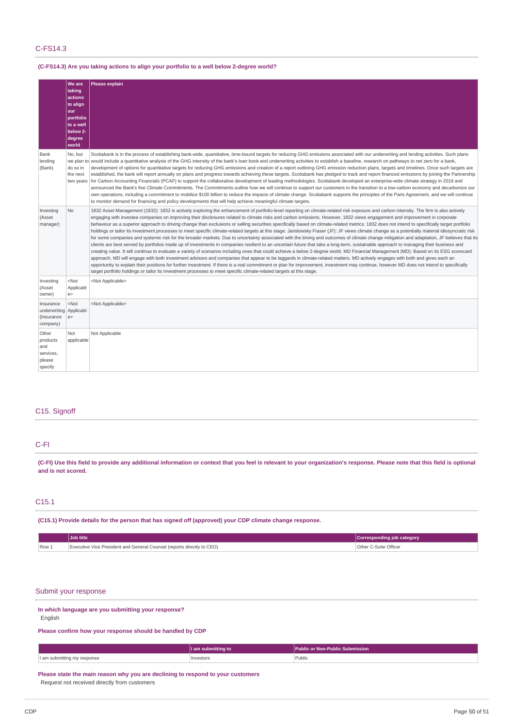# C-FS14.3

# **(C-FS14.3) Are you taking actions to align your portfolio to a well below 2-degree world?**

|                                                               | <b>We are</b><br>taking<br>actions<br>to align<br>lour<br>portfolio<br>to a well<br>below 2-<br>degree<br>world | <b>Please explain</b>                                                                                                                                                                                                                                                                                                                                                                                                                                                                                                                                                                                                                                                                                                                                                                                                                                                                                                                                                                                                                                                                                                                                                                                                                                                                                                                                                                                                                                                                                                                                                                                                                                                                                                                                                                                                                                           |
|---------------------------------------------------------------|-----------------------------------------------------------------------------------------------------------------|-----------------------------------------------------------------------------------------------------------------------------------------------------------------------------------------------------------------------------------------------------------------------------------------------------------------------------------------------------------------------------------------------------------------------------------------------------------------------------------------------------------------------------------------------------------------------------------------------------------------------------------------------------------------------------------------------------------------------------------------------------------------------------------------------------------------------------------------------------------------------------------------------------------------------------------------------------------------------------------------------------------------------------------------------------------------------------------------------------------------------------------------------------------------------------------------------------------------------------------------------------------------------------------------------------------------------------------------------------------------------------------------------------------------------------------------------------------------------------------------------------------------------------------------------------------------------------------------------------------------------------------------------------------------------------------------------------------------------------------------------------------------------------------------------------------------------------------------------------------------|
| Bank<br>lending<br>(Bank)                                     | No, but<br>do so in<br>the next<br>two years                                                                    | Scotiabank is in the process of establishing bank-wide, quantitative, time-bound targets for reducing GHG emissions associated with our underwriting and lending activities. Such plans<br>we plan to would include a quantitative analysis of the GHG intensity of the bank's loan book and underwriting activities to establish a baseline, research on pathways to net zero for a bank,<br>development of options for quantitative targets for reducing GHG emissions and creation of a report outlining GHG emission reduction plans, targets and timelines. Once such targets are<br>established, the bank will report annually on plans and progress towards achieving these targets. Scotiabank has pledged to track and report financed emissions by joining the Partnership<br>for Carbon Accounting Financials (PCAF) to support the collaborative development of leading methodologies. Scotiabank developed an enterprise-wide climate strategy in 2019 and<br>announced the Bank's five Climate Commitments. The Commitments outline how we will continue to support our customers in the transition to a low-carbon economy and decarbonize our<br>own operations, including a commitment to mobilize \$100 billion to reduce the impacts of climate change. Scotiabank supports the principles of the Paris Agreement, and we will continue<br>to monitor demand for financing and policy developments that will help achieve meaningful climate targets.                                                                                                                                                                                                                                                                                                                                                                                        |
| Investing<br>(Asset<br>manager)                               | <b>No</b>                                                                                                       | 1832 Asset Management (1832): 1832 is actively exploring the enhancement of portfolio-level reporting on climate-related risk exposure and carbon intensity. The firm is also actively<br>engaging with investee companies on improving their disclosures related to climate risks and carbon emissions. However, 1832 views engagement and improvement in corporate<br>behaviour as a superior approach to driving change than exclusions or selling securities specifically based on climate-related metrics. 1832 does not intend to specifically target portfolio<br>holdings or tailor its investment processes to meet specific climate-related targets at this stage. Jarislowsky Fraser (JF): JF views climate change as a potentially material idiosyncratic risk<br>for some companies and systemic risk for the broader markets. Due to uncertainty associated with the timing and outcomes of climate change mitigation and adaptation, JF believes that its<br>clients are best served by portfolios made up of investments in companies resilient to an uncertain future that take a long-term, sustainable approach to managing their business and<br>creating value. It will continue to evaluate a variety of scenarios including ones that could achieve a below 2-degree world. MD Financial Management (MD): Based on its ESG scorecard<br>approach, MD will engage with both investment advisors and companies that appear to be laggards in climate-related matters. MD actively engages with both and gives each an<br>opportunity to explain their positions for further investment. If there is a real commitment or plan for improvement, investment may continue, however MD does not intend to specifically<br>target portfolio holdings or tailor its investment processes to meet specific climate-related targets at this stage. |
| Investing<br>(Asset<br>owner)                                 | $<$ Not<br>Applicabl<br>e                                                                                       | <not applicable=""></not>                                                                                                                                                                                                                                                                                                                                                                                                                                                                                                                                                                                                                                                                                                                                                                                                                                                                                                                                                                                                                                                                                                                                                                                                                                                                                                                                                                                                                                                                                                                                                                                                                                                                                                                                                                                                                                       |
| Insurance<br>underwriting Applicabl<br>(Insurance<br>company) | $<$ Not<br>e                                                                                                    | <not applicable=""></not>                                                                                                                                                                                                                                                                                                                                                                                                                                                                                                                                                                                                                                                                                                                                                                                                                                                                                                                                                                                                                                                                                                                                                                                                                                                                                                                                                                                                                                                                                                                                                                                                                                                                                                                                                                                                                                       |
| Other<br>products<br>and<br>services,<br>please<br>specify    | Not<br>applicable                                                                                               | Not Applicable                                                                                                                                                                                                                                                                                                                                                                                                                                                                                                                                                                                                                                                                                                                                                                                                                                                                                                                                                                                                                                                                                                                                                                                                                                                                                                                                                                                                                                                                                                                                                                                                                                                                                                                                                                                                                                                  |

# C15. Signoff

### C-FI

(C-FI) Use this field to provide any additional information or context that you feel is relevant to your organization's response. Please note that this field is optional **and is not scored.**

### C15.1

**(C15.1) Provide details for the person that has signed off (approved) your CDP climate change response.**

|                  | Job title                                                              | Corresponding job category         |
|------------------|------------------------------------------------------------------------|------------------------------------|
| Row <sub>1</sub> | Executive Vice President and General Counsel (reports directly to CEO) | <sup>1</sup> ∩ther C-Suite Officer |

# Submit your response

**In which language are you submitting your response?**

English

**Please confirm how your response should be handled by CDP**

|                                                   | <b>Countiling</b> to | Public or Non-Public Submission |  |
|---------------------------------------------------|----------------------|---------------------------------|--|
| an submitting my roll<br>response<br>. <b>. .</b> | Investors<br>.       | Public<br>.                     |  |

**Please state the main reason why you are declining to respond to your customers** Request not received directly from customers